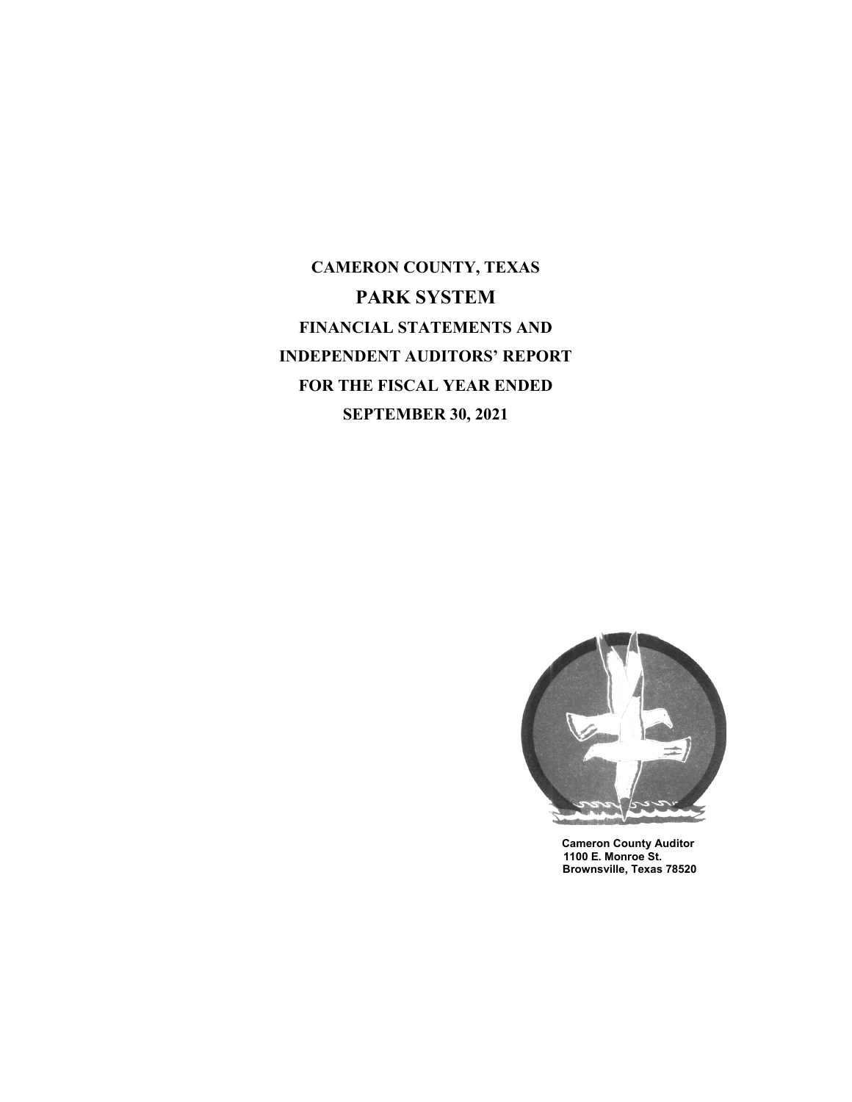**CAMERON COUNTY, TEXAS PARK SYSTEM FINANCIAL STATEMENTS AND INDEPENDENT AUDITORS' REPORT FOR THE FISCAL YEAR ENDED SEPTEMBER 30, 2021** 



 **Cameron County Auditor 1100 E. Monroe St. Brownsville, Texas 78520**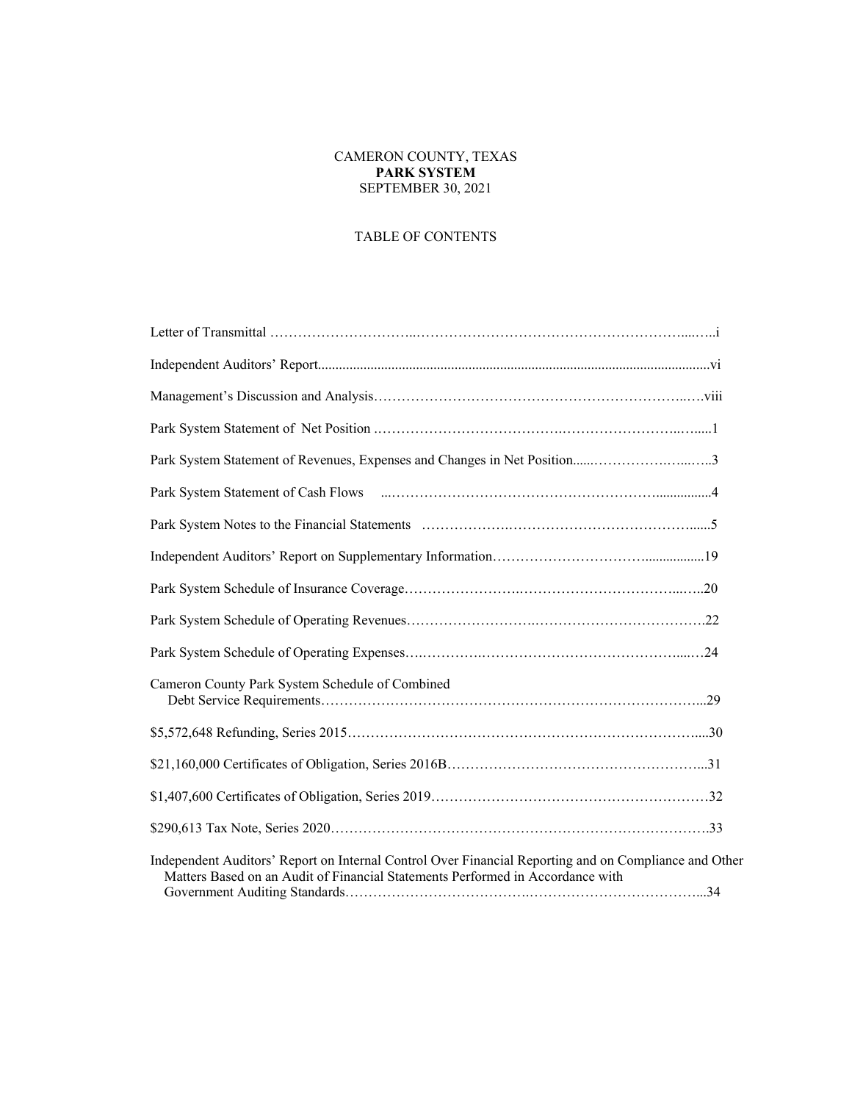### CAMERON COUNTY, TEXAS **PARK SYSTEM**  SEPTEMBER 30, 2021

### TABLE OF CONTENTS

| Park System Statement of Revenues, Expenses and Changes in Net Position3                                                                                                                |
|-----------------------------------------------------------------------------------------------------------------------------------------------------------------------------------------|
|                                                                                                                                                                                         |
|                                                                                                                                                                                         |
|                                                                                                                                                                                         |
|                                                                                                                                                                                         |
|                                                                                                                                                                                         |
|                                                                                                                                                                                         |
| Cameron County Park System Schedule of Combined                                                                                                                                         |
|                                                                                                                                                                                         |
|                                                                                                                                                                                         |
|                                                                                                                                                                                         |
|                                                                                                                                                                                         |
| Independent Auditors' Report on Internal Control Over Financial Reporting and on Compliance and Other<br>Matters Based on an Audit of Financial Statements Performed in Accordance with |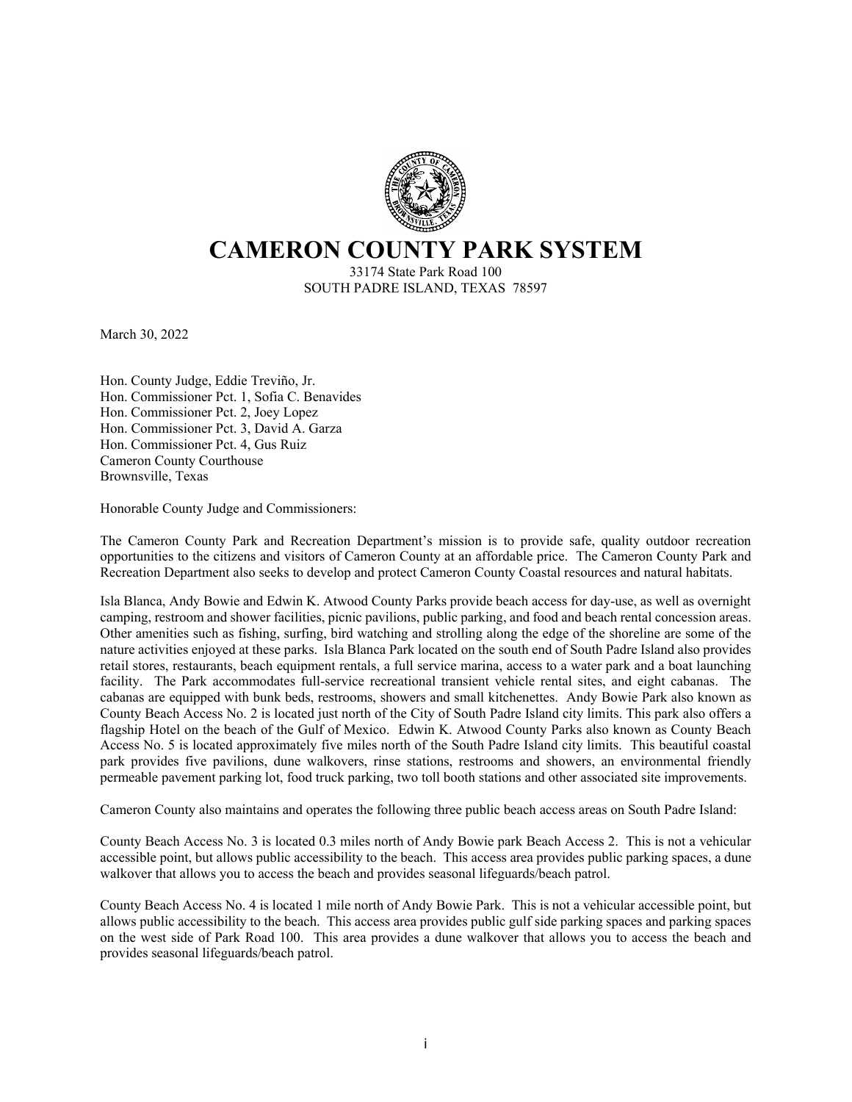

# **CAMERON COUNTY PARK SYSTEM**

33174 State Park Road 100 SOUTH PADRE ISLAND, TEXAS 78597

March 30, 2022

Hon. County Judge, Eddie Treviño, Jr. Hon. Commissioner Pct. 1, Sofia C. Benavides Hon. Commissioner Pct. 2, Joey Lopez Hon. Commissioner Pct. 3, David A. Garza Hon. Commissioner Pct. 4, Gus Ruiz Cameron County Courthouse Brownsville, Texas

Honorable County Judge and Commissioners:

The Cameron County Park and Recreation Department's mission is to provide safe, quality outdoor recreation opportunities to the citizens and visitors of Cameron County at an affordable price. The Cameron County Park and Recreation Department also seeks to develop and protect Cameron County Coastal resources and natural habitats.

Isla Blanca, Andy Bowie and Edwin K. Atwood County Parks provide beach access for day-use, as well as overnight camping, restroom and shower facilities, picnic pavilions, public parking, and food and beach rental concession areas. Other amenities such as fishing, surfing, bird watching and strolling along the edge of the shoreline are some of the nature activities enjoyed at these parks. Isla Blanca Park located on the south end of South Padre Island also provides retail stores, restaurants, beach equipment rentals, a full service marina, access to a water park and a boat launching facility. The Park accommodates full-service recreational transient vehicle rental sites, and eight cabanas. The cabanas are equipped with bunk beds, restrooms, showers and small kitchenettes. Andy Bowie Park also known as County Beach Access No. 2 is located just north of the City of South Padre Island city limits. This park also offers a flagship Hotel on the beach of the Gulf of Mexico. Edwin K. Atwood County Parks also known as County Beach Access No. 5 is located approximately five miles north of the South Padre Island city limits. This beautiful coastal park provides five pavilions, dune walkovers, rinse stations, restrooms and showers, an environmental friendly permeable pavement parking lot, food truck parking, two toll booth stations and other associated site improvements.

Cameron County also maintains and operates the following three public beach access areas on South Padre Island:

County Beach Access No. 3 is located 0.3 miles north of Andy Bowie park Beach Access 2. This is not a vehicular accessible point, but allows public accessibility to the beach. This access area provides public parking spaces, a dune walkover that allows you to access the beach and provides seasonal lifeguards/beach patrol.

County Beach Access No. 4 is located 1 mile north of Andy Bowie Park. This is not a vehicular accessible point, but allows public accessibility to the beach. This access area provides public gulf side parking spaces and parking spaces on the west side of Park Road 100. This area provides a dune walkover that allows you to access the beach and provides seasonal lifeguards/beach patrol.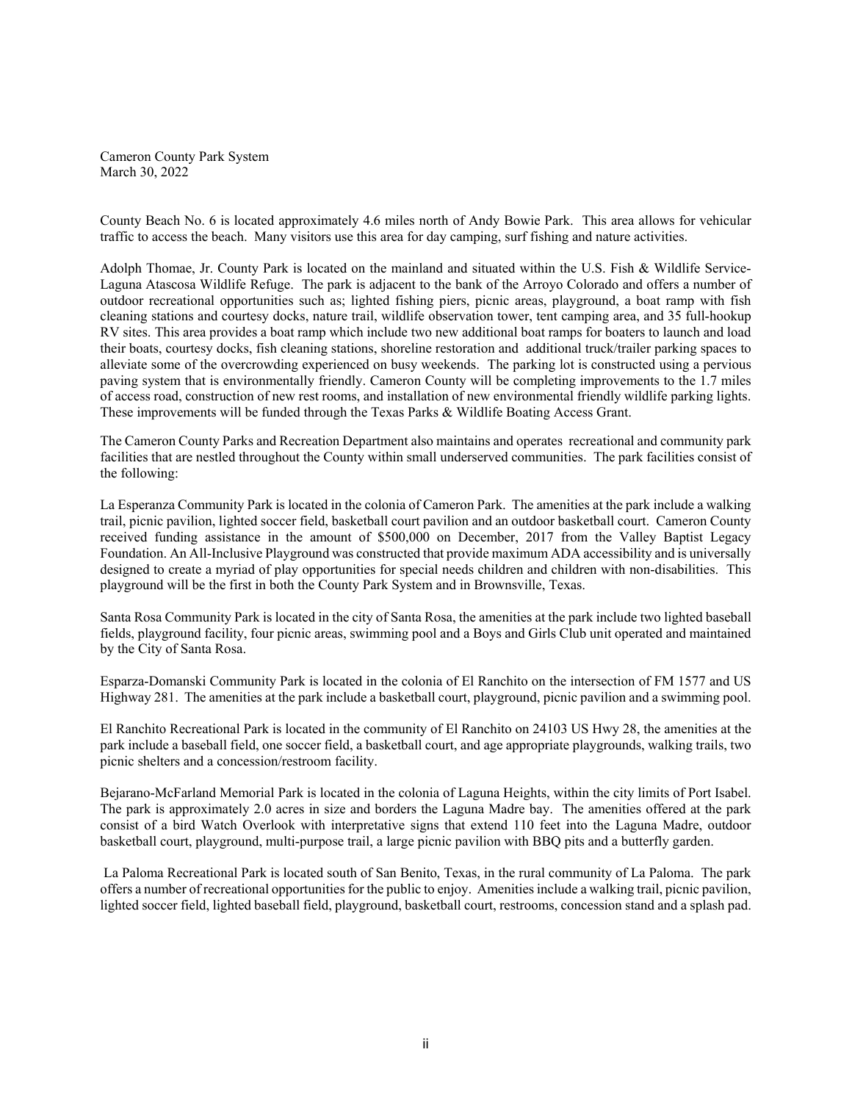Cameron County Park System March 30, 2022

County Beach No. 6 is located approximately 4.6 miles north of Andy Bowie Park. This area allows for vehicular traffic to access the beach. Many visitors use this area for day camping, surf fishing and nature activities.

Adolph Thomae, Jr. County Park is located on the mainland and situated within the U.S. Fish & Wildlife Service-Laguna Atascosa Wildlife Refuge. The park is adjacent to the bank of the Arroyo Colorado and offers a number of outdoor recreational opportunities such as; lighted fishing piers, picnic areas, playground, a boat ramp with fish cleaning stations and courtesy docks, nature trail, wildlife observation tower, tent camping area, and 35 full-hookup RV sites. This area provides a boat ramp which include two new additional boat ramps for boaters to launch and load their boats, courtesy docks, fish cleaning stations, shoreline restoration and additional truck/trailer parking spaces to alleviate some of the overcrowding experienced on busy weekends. The parking lot is constructed using a pervious paving system that is environmentally friendly. Cameron County will be completing improvements to the 1.7 miles of access road, construction of new rest rooms, and installation of new environmental friendly wildlife parking lights. These improvements will be funded through the Texas Parks & Wildlife Boating Access Grant.

The Cameron County Parks and Recreation Department also maintains and operates recreational and community park facilities that are nestled throughout the County within small underserved communities. The park facilities consist of the following:

La Esperanza Community Park is located in the colonia of Cameron Park. The amenities at the park include a walking trail, picnic pavilion, lighted soccer field, basketball court pavilion and an outdoor basketball court. Cameron County received funding assistance in the amount of \$500,000 on December, 2017 from the Valley Baptist Legacy Foundation. An All-Inclusive Playground was constructed that provide maximum ADA accessibility and is universally designed to create a myriad of play opportunities for special needs children and children with non-disabilities. This playground will be the first in both the County Park System and in Brownsville, Texas.

Santa Rosa Community Park is located in the city of Santa Rosa, the amenities at the park include two lighted baseball fields, playground facility, four picnic areas, swimming pool and a Boys and Girls Club unit operated and maintained by the City of Santa Rosa.

Esparza-Domanski Community Park is located in the colonia of El Ranchito on the intersection of FM 1577 and US Highway 281. The amenities at the park include a basketball court, playground, picnic pavilion and a swimming pool.

El Ranchito Recreational Park is located in the community of El Ranchito on 24103 US Hwy 28, the amenities at the park include a baseball field, one soccer field, a basketball court, and age appropriate playgrounds, walking trails, two picnic shelters and a concession/restroom facility.

Bejarano-McFarland Memorial Park is located in the colonia of Laguna Heights, within the city limits of Port Isabel. The park is approximately 2.0 acres in size and borders the Laguna Madre bay. The amenities offered at the park consist of a bird Watch Overlook with interpretative signs that extend 110 feet into the Laguna Madre, outdoor basketball court, playground, multi-purpose trail, a large picnic pavilion with BBQ pits and a butterfly garden.

 La Paloma Recreational Park is located south of San Benito, Texas, in the rural community of La Paloma. The park offers a number of recreational opportunities for the public to enjoy. Amenities include a walking trail, picnic pavilion, lighted soccer field, lighted baseball field, playground, basketball court, restrooms, concession stand and a splash pad.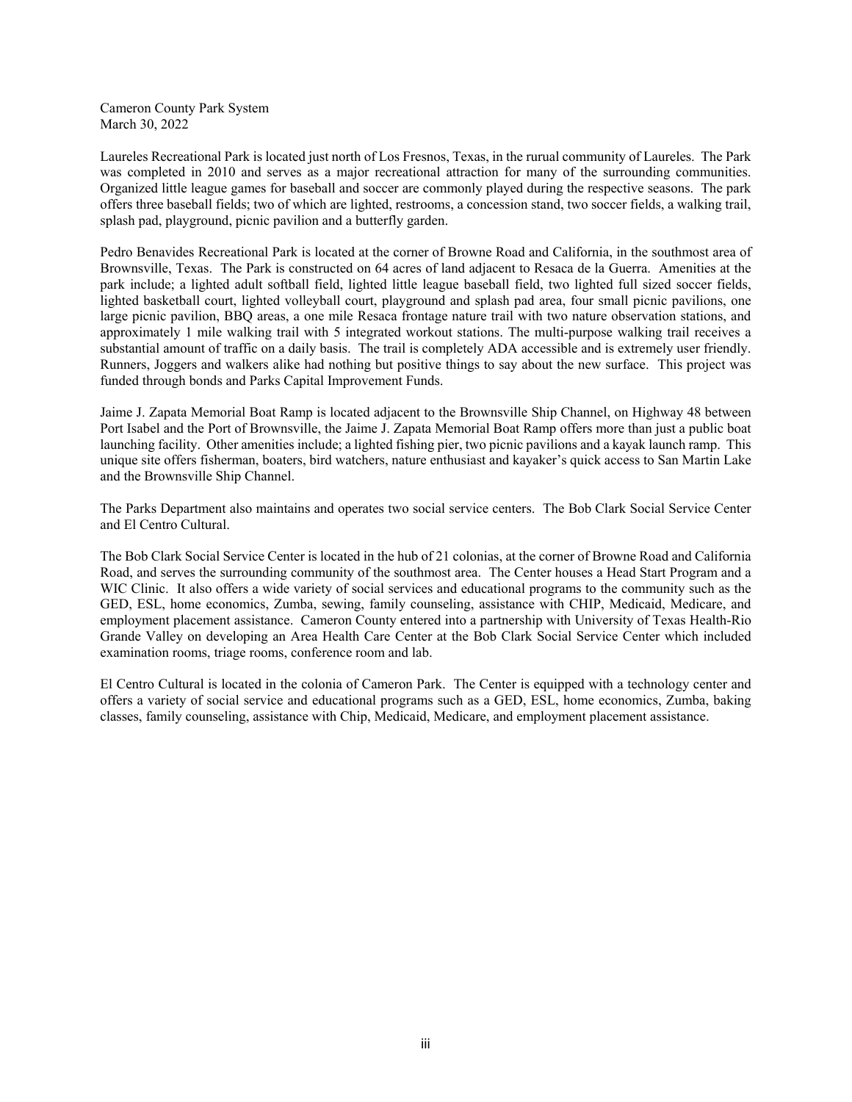Cameron County Park System March 30, 2022

Laureles Recreational Park is located just north of Los Fresnos, Texas, in the rurual community of Laureles. The Park was completed in 2010 and serves as a major recreational attraction for many of the surrounding communities. Organized little league games for baseball and soccer are commonly played during the respective seasons. The park offers three baseball fields; two of which are lighted, restrooms, a concession stand, two soccer fields, a walking trail, splash pad, playground, picnic pavilion and a butterfly garden.

Pedro Benavides Recreational Park is located at the corner of Browne Road and California, in the southmost area of Brownsville, Texas. The Park is constructed on 64 acres of land adjacent to Resaca de la Guerra. Amenities at the park include; a lighted adult softball field, lighted little league baseball field, two lighted full sized soccer fields, lighted basketball court, lighted volleyball court, playground and splash pad area, four small picnic pavilions, one large picnic pavilion, BBQ areas, a one mile Resaca frontage nature trail with two nature observation stations, and approximately 1 mile walking trail with 5 integrated workout stations. The multi-purpose walking trail receives a substantial amount of traffic on a daily basis. The trail is completely ADA accessible and is extremely user friendly. Runners, Joggers and walkers alike had nothing but positive things to say about the new surface. This project was funded through bonds and Parks Capital Improvement Funds.

Jaime J. Zapata Memorial Boat Ramp is located adjacent to the Brownsville Ship Channel, on Highway 48 between Port Isabel and the Port of Brownsville, the Jaime J. Zapata Memorial Boat Ramp offers more than just a public boat launching facility. Other amenities include; a lighted fishing pier, two picnic pavilions and a kayak launch ramp. This unique site offers fisherman, boaters, bird watchers, nature enthusiast and kayaker's quick access to San Martin Lake and the Brownsville Ship Channel.

The Parks Department also maintains and operates two social service centers. The Bob Clark Social Service Center and El Centro Cultural.

The Bob Clark Social Service Center is located in the hub of 21 colonias, at the corner of Browne Road and California Road, and serves the surrounding community of the southmost area. The Center houses a Head Start Program and a WIC Clinic. It also offers a wide variety of social services and educational programs to the community such as the GED, ESL, home economics, Zumba, sewing, family counseling, assistance with CHIP, Medicaid, Medicare, and employment placement assistance. Cameron County entered into a partnership with University of Texas Health-Rio Grande Valley on developing an Area Health Care Center at the Bob Clark Social Service Center which included examination rooms, triage rooms, conference room and lab.

El Centro Cultural is located in the colonia of Cameron Park. The Center is equipped with a technology center and offers a variety of social service and educational programs such as a GED, ESL, home economics, Zumba, baking classes, family counseling, assistance with Chip, Medicaid, Medicare, and employment placement assistance.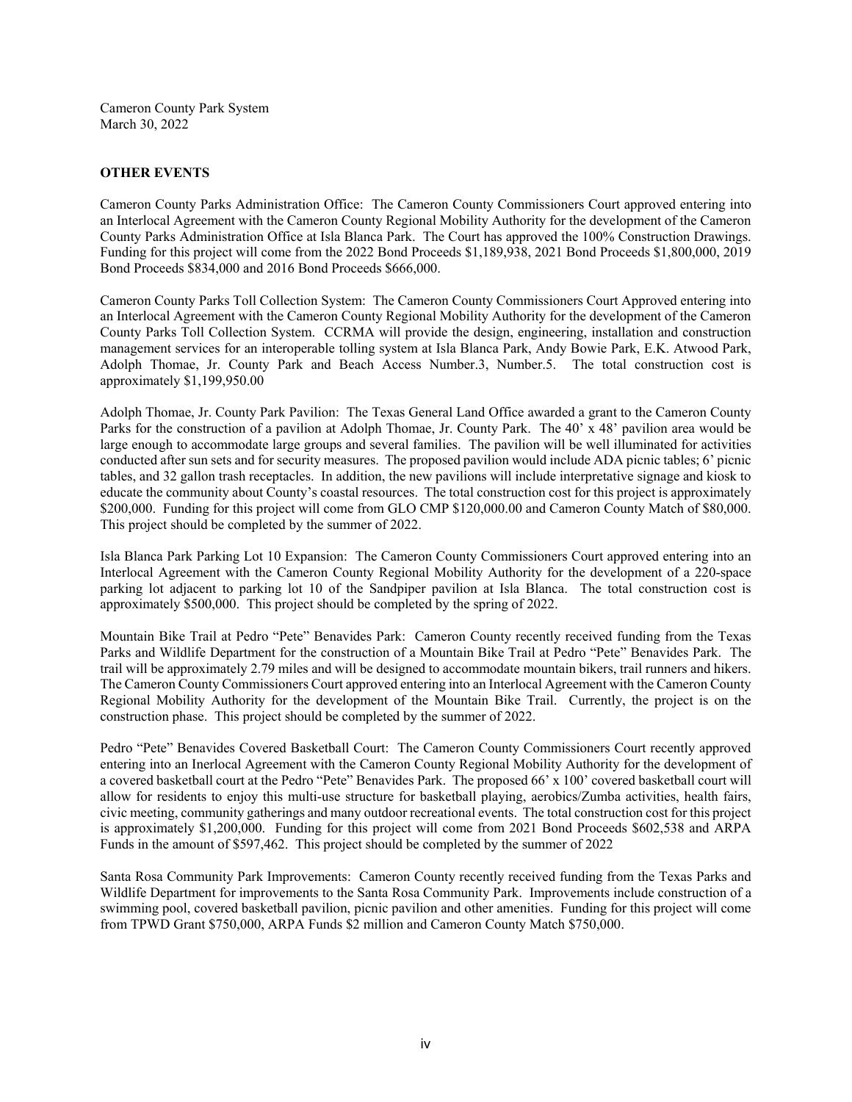Cameron County Park System March 30, 2022

### **OTHER EVENTS**

Cameron County Parks Administration Office: The Cameron County Commissioners Court approved entering into an Interlocal Agreement with the Cameron County Regional Mobility Authority for the development of the Cameron County Parks Administration Office at Isla Blanca Park. The Court has approved the 100% Construction Drawings. Funding for this project will come from the 2022 Bond Proceeds \$1,189,938, 2021 Bond Proceeds \$1,800,000, 2019 Bond Proceeds \$834,000 and 2016 Bond Proceeds \$666,000.

Cameron County Parks Toll Collection System: The Cameron County Commissioners Court Approved entering into an Interlocal Agreement with the Cameron County Regional Mobility Authority for the development of the Cameron County Parks Toll Collection System. CCRMA will provide the design, engineering, installation and construction management services for an interoperable tolling system at Isla Blanca Park, Andy Bowie Park, E.K. Atwood Park, Adolph Thomae, Jr. County Park and Beach Access Number.3, Number.5. The total construction cost is approximately \$1,199,950.00

Adolph Thomae, Jr. County Park Pavilion: The Texas General Land Office awarded a grant to the Cameron County Parks for the construction of a pavilion at Adolph Thomae, Jr. County Park. The 40' x 48' pavilion area would be large enough to accommodate large groups and several families. The pavilion will be well illuminated for activities conducted after sun sets and for security measures. The proposed pavilion would include ADA picnic tables; 6' picnic tables, and 32 gallon trash receptacles. In addition, the new pavilions will include interpretative signage and kiosk to educate the community about County's coastal resources. The total construction cost for this project is approximately \$200,000. Funding for this project will come from GLO CMP \$120,000.00 and Cameron County Match of \$80,000. This project should be completed by the summer of 2022.

Isla Blanca Park Parking Lot 10 Expansion: The Cameron County Commissioners Court approved entering into an Interlocal Agreement with the Cameron County Regional Mobility Authority for the development of a 220-space parking lot adjacent to parking lot 10 of the Sandpiper pavilion at Isla Blanca. The total construction cost is approximately \$500,000. This project should be completed by the spring of 2022.

Mountain Bike Trail at Pedro "Pete" Benavides Park: Cameron County recently received funding from the Texas Parks and Wildlife Department for the construction of a Mountain Bike Trail at Pedro "Pete" Benavides Park. The trail will be approximately 2.79 miles and will be designed to accommodate mountain bikers, trail runners and hikers. The Cameron County Commissioners Court approved entering into an Interlocal Agreement with the Cameron County Regional Mobility Authority for the development of the Mountain Bike Trail. Currently, the project is on the construction phase. This project should be completed by the summer of 2022.

Pedro "Pete" Benavides Covered Basketball Court: The Cameron County Commissioners Court recently approved entering into an Inerlocal Agreement with the Cameron County Regional Mobility Authority for the development of a covered basketball court at the Pedro "Pete" Benavides Park. The proposed 66' x 100' covered basketball court will allow for residents to enjoy this multi-use structure for basketball playing, aerobics/Zumba activities, health fairs, civic meeting, community gatherings and many outdoor recreational events. The total construction cost for this project is approximately \$1,200,000. Funding for this project will come from 2021 Bond Proceeds \$602,538 and ARPA Funds in the amount of \$597,462. This project should be completed by the summer of 2022

Santa Rosa Community Park Improvements: Cameron County recently received funding from the Texas Parks and Wildlife Department for improvements to the Santa Rosa Community Park. Improvements include construction of a swimming pool, covered basketball pavilion, picnic pavilion and other amenities. Funding for this project will come from TPWD Grant \$750,000, ARPA Funds \$2 million and Cameron County Match \$750,000.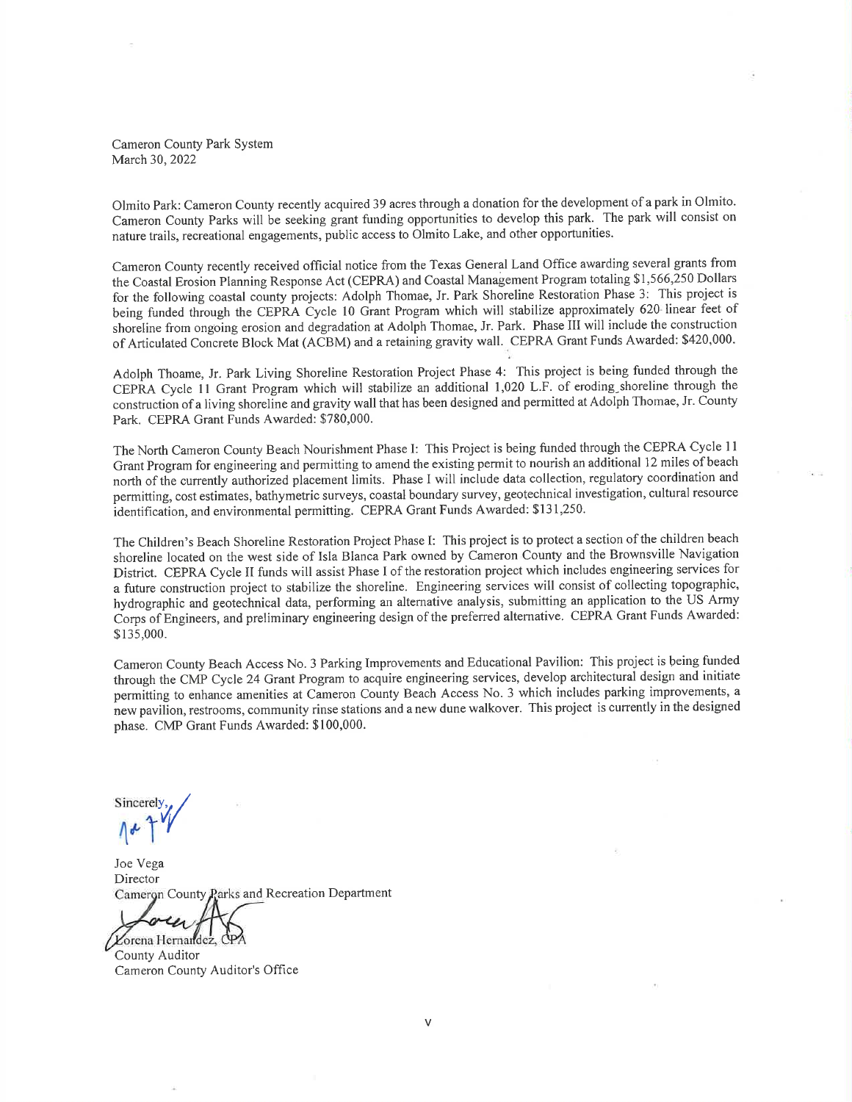Cameron County Park System March 30, 2022

Olmito Park: Cameron County recently acquired 39 acres through a donation for the development of a park in Olmito. Cameron County Parks will be seeking grant funding opportunities to develop this park. The park will consist on nature trails, recreational engagements, public access to Olmito Lake, and other opportunities.

Cameron County recently received official notice from the Texas General Land Office awarding several grants from the Coastal Erosion Planning Response Act (CEPRA) and Coastal Management Program totaling \$1,566,250 Dollars for the following coastal county projects: Adolph Thomae, Jr. Park Shoreline Restoration Phase 3: This project is being funded through the CEPRA Cycle 10 Grant Program which will stabilize approximately 620 linear feet of shoreline from ongoing erosion and degradation at Adolph Thomae, Jr. Park. Phase III will include the construction of Articulated Concrete Block Mat (ACBM) and a retaining gravity wall. CEPRA Grant Funds Awarded: \$420,000.

Adolph Thoame, Jr. Park Living Shoreline Restoration Project Phase 4: This project is being funded through the CEPRA Cycle 11 Grant Program which will stabilize an additional 1,020 L.F. of eroding shoreline through the construction of a living shoreline and gravity wall that has been designed and permitted at Adolph Thomae, Jr. County Park. CEPRA Grant Funds Awarded: \$780,000.

The North Cameron County Beach Nourishment Phase I: This Project is being funded through the CEPRA Cycle 11 Grant Program for engineering and permitting to amend the existing permit to nourish an additional 12 miles of beach north of the currently authorized placement limits. Phase I will include data collection, regulatory coordination and permitting, cost estimates, bathymetric surveys, coastal boundary survey, geotechnical investigation, cultural resource identification, and environmental permitting. CEPRA Grant Funds Awarded: \$131,250.

The Children's Beach Shoreline Restoration Project Phase I: This project is to protect a section of the children beach shoreline located on the west side of Isla Blanca Park owned by Cameron County and the Brownsville Navigation District. CEPRA Cycle II funds will assist Phase I of the restoration project which includes engineering services for a future construction project to stabilize the shoreline. Engineering services will consist of collecting topographic, hydrographic and geotechnical data, performing an alternative analysis, submitting an application to the US Army Corps of Engineers, and preliminary engineering design of the preferred alternative. CEPRA Grant Funds Awarded: \$135,000.

Cameron County Beach Access No. 3 Parking Improvements and Educational Pavilion: This project is being funded through the CMP Cycle 24 Grant Program to acquire engineering services, develop architectural design and initiate permitting to enhance amenities at Cameron County Beach Access No. 3 which includes parking improvements, a new pavilion, restrooms, community rinse stations and a new dune walkover. This project is currently in the designed phase. CMP Grant Funds Awarded: \$100,000.

Sincerely

Joe Vega Director Cameron County Parks and Recreation Department

**Zorena** Hernande: County Auditor Cameron County Auditor's Office

 $\vee$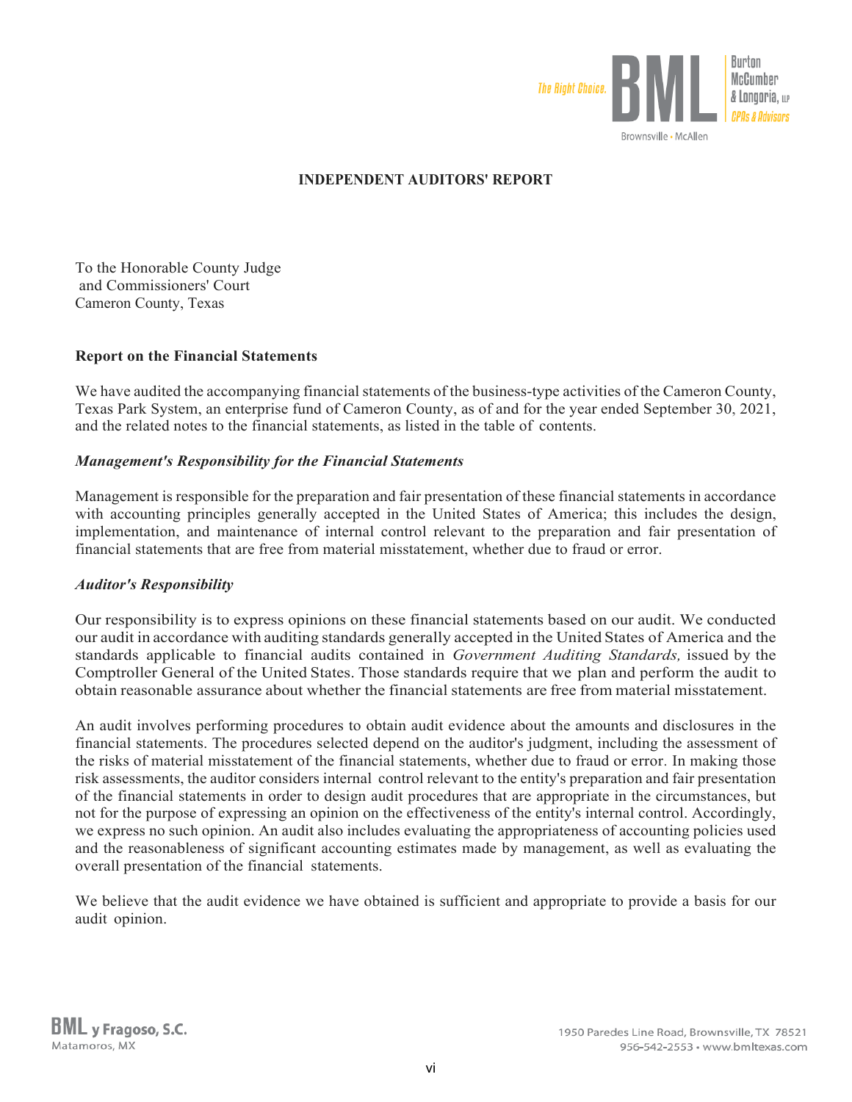

## **INDEPENDENT AUDITORS' REPORT**

To the Honorable County Judge and Commissioners' Court Cameron County, Texas

### **Report on the Financial Statements**

We have audited the accompanying financial statements of the business-type activities of the Cameron County, Texas Park System, an enterprise fund of Cameron County, as of and for the year ended September 30, 2021, and the related notes to the financial statements, as listed in the table of contents.

### *Management's Responsibility for the Financial Statements*

Management is responsible for the preparation and fair presentation of these financial statements in accordance with accounting principles generally accepted in the United States of America; this includes the design, implementation, and maintenance of internal control relevant to the preparation and fair presentation of financial statements that are free from material misstatement, whether due to fraud or error.

### *Auditor's Responsibility*

Our responsibility is to express opinions on these financial statements based on our audit. We conducted our audit in accordance with auditing standards generally accepted in the United States of America and the standards applicable to financial audits contained in *Government Auditing Standards,* issued by the Comptroller General of the United States. Those standards require that we plan and perform the audit to obtain reasonable assurance about whether the financial statements are free from material misstatement.

An audit involves performing procedures to obtain audit evidence about the amounts and disclosures in the financial statements. The procedures selected depend on the auditor's judgment, including the assessment of the risks of material misstatement of the financial statements, whether due to fraud or error. In making those risk assessments, the auditor considers internal control relevant to the entity's preparation and fair presentation of the financial statements in order to design audit procedures that are appropriate in the circumstances, but not for the purpose of expressing an opinion on the effectiveness of the entity's internal control. Accordingly, we express no such opinion. An audit also includes evaluating the appropriateness of accounting policies used and the reasonableness of significant accounting estimates made by management, as well as evaluating the overall presentation of the financial statements.

We believe that the audit evidence we have obtained is sufficient and appropriate to provide a basis for our audit opinion.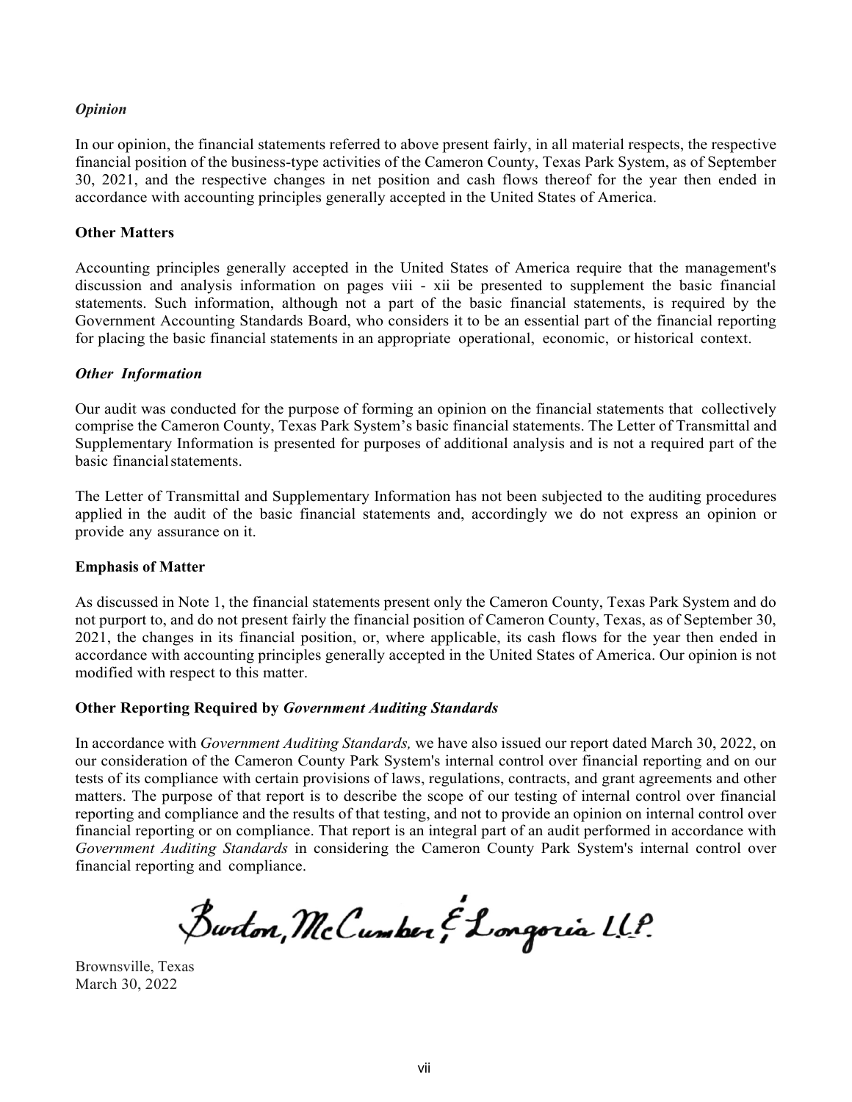### *Opinion*

In our opinion, the financial statements referred to above present fairly, in all material respects, the respective financial position of the business-type activities of the Cameron County, Texas Park System, as of September 30, 2021, and the respective changes in net position and cash flows thereof for the year then ended in accordance with accounting principles generally accepted in the United States of America.

### **Other Matters**

Accounting principles generally accepted in the United States of America require that the management's discussion and analysis information on pages viii - xii be presented to supplement the basic financial statements. Such information, although not a part of the basic financial statements, is required by the Government Accounting Standards Board, who considers it to be an essential part of the financial reporting for placing the basic financial statements in an appropriate operational, economic, or historical context.

### *Other Information*

Our audit was conducted for the purpose of forming an opinion on the financial statements that collectively comprise the Cameron County, Texas Park System's basic financial statements. The Letter of Transmittal and Supplementary Information is presented for purposes of additional analysis and is not a required part of the basic financial statements.

The Letter of Transmittal and Supplementary Information has not been subjected to the auditing procedures applied in the audit of the basic financial statements and, accordingly we do not express an opinion or provide any assurance on it.

### **Emphasis of Matter**

As discussed in Note 1, the financial statements present only the Cameron County, Texas Park System and do not purport to, and do not present fairly the financial position of Cameron County, Texas, as of September 30, 2021, the changes in its financial position, or, where applicable, its cash flows for the year then ended in accordance with accounting principles generally accepted in the United States of America. Our opinion is not modified with respect to this matter.

### **Other Reporting Required by** *Government Auditing Standards*

In accordance with *Government Auditing Standards,* we have also issued our report dated March 30, 2022, on our consideration of the Cameron County Park System's internal control over financial reporting and on our tests of its compliance with certain provisions of laws, regulations, contracts, and grant agreements and other matters. The purpose of that report is to describe the scope of our testing of internal control over financial reporting and compliance and the results of that testing, and not to provide an opinion on internal control over financial reporting or on compliance. That report is an integral part of an audit performed in accordance with *Government Auditing Standards* in considering the Cameron County Park System's internal control over financial reporting and compliance.

Burton, McCumber, ELongoria LLP.

Brownsville, Texas March 30, 2022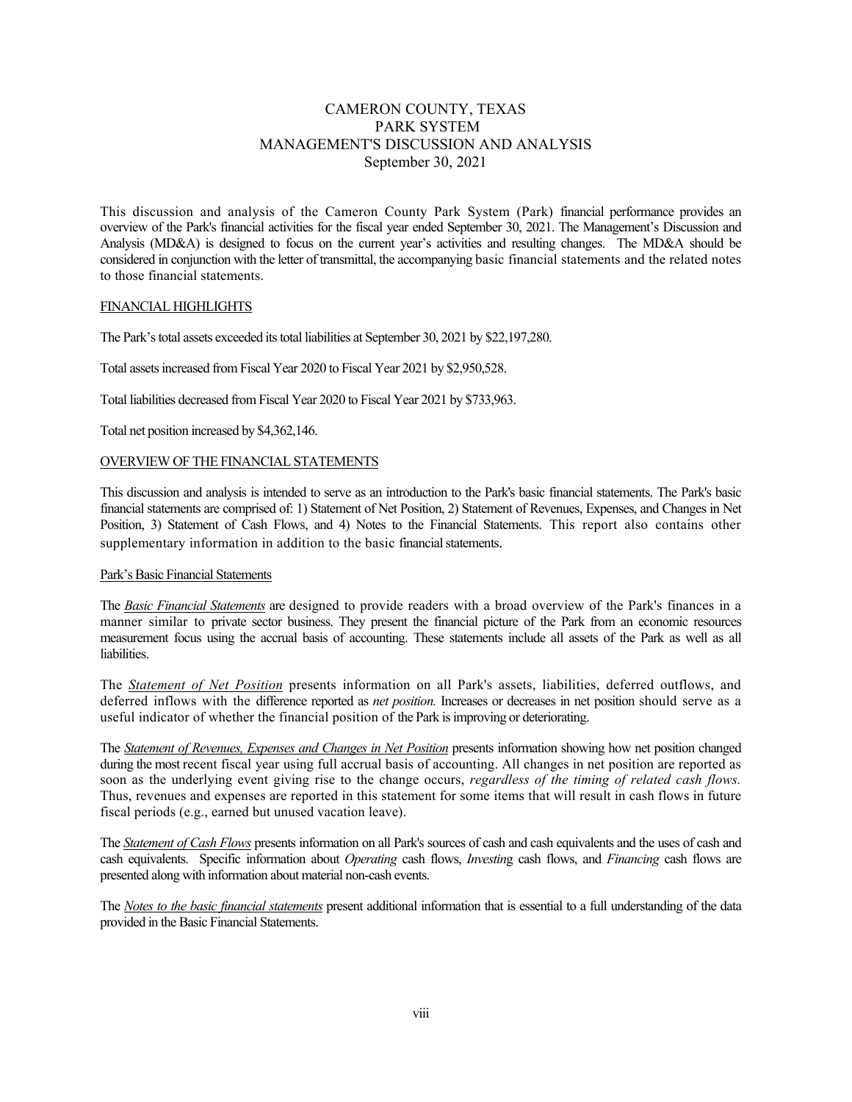### CAMERON COUNTY, TEXAS PARK SYSTEM MANAGEMENT'S DISCUSSION AND ANALYSIS September 30, 2021

This discussion and analysis of the Cameron County Park System (Park) financial performance provides an overview of the Park's financial activities for the fiscal year ended September 30, 2021. The Management's Discussion and Analysis (MD&A) is designed to focus on the current year's activities and resulting changes. The MD&A should be considered in conjunction with the letter of transmittal, the accompanying basic financial statements and the related notes to those financial statements.

#### FINANCIAL HIGHLIGHTS

The Park's total assets exceeded its total liabilities at September 30, 2021 by \$22,197,280.

Total assets increased from Fiscal Year 2020 to Fiscal Year 2021 by \$2,950,528.

Total liabilities decreased from Fiscal Year 2020 to Fiscal Year 2021 by \$733,963.

Total net position increased by \$4,362,146.

#### OVERVIEW OF THE FINANCIAL STATEMENTS

This discussion and analysis is intended to serve as an introduction to the Park's basic financial statements. The Park's basic financial statements are comprised of: 1) Statement of Net Position, 2) Statement of Revenues, Expenses, and Changes in Net Position, 3) Statement of Cash Flows, and 4) Notes to the Financial Statements. This report also contains other supplementary information in addition to the basic financial statements.

#### Park's Basic Financial Statements

The *Basic Financial Statements* are designed to provide readers with a broad overview of the Park's finances in a manner similar to private sector business. They present the financial picture of the Park from an economic resources measurement focus using the accrual basis of accounting. These statements include all assets of the Park as well as all liabilities.

The *Statement of Net Position* presents information on all Park's assets, liabilities, deferred outflows, and deferred inflows with the difference reported as *net position.* Increases or decreases in net position should serve as a useful indicator of whether the financial position of the Park is improving or deteriorating.

The *Statement of Revenues, Expenses and Changes in Net Position* presents information showing how net position changed during the most recent fiscal year using full accrual basis of accounting. All changes in net position are reported as soon as the underlying event giving rise to the change occurs, *regardless of the timing of related cash flows.*  Thus, revenues and expenses are reported in this statement for some items that will result in cash flows in future fiscal periods (e.g., earned but unused vacation leave).

The *Statement of Cash Flows* presents information on all Park's sources of cash and cash equivalents and the uses of cash and cash equivalents. Specific information about *Operating* cash flows, *Investin*g cash flows, and *Financing* cash flows are presented along with information about material non-cash events.

The *Notes to the basic financial statements* present additional information that is essential to a full understanding of the data provided in the Basic Financial Statements.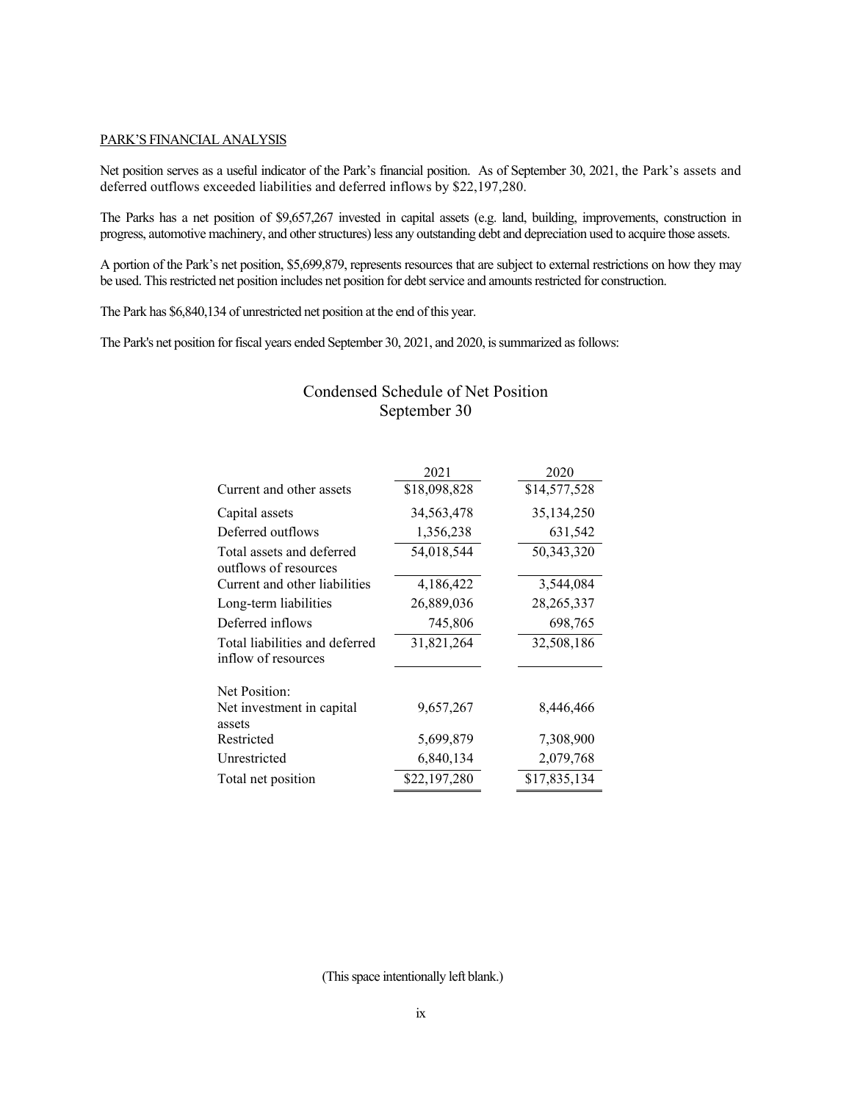#### PARK'S FINANCIAL ANALYSIS

Net position serves as a useful indicator of the Park's financial position. As of September 30, 2021, the Park's assets and deferred outflows exceeded liabilities and deferred inflows by \$22,197,280.

The Parks has a net position of \$9,657,267 invested in capital assets (e.g. land, building, improvements, construction in progress, automotive machinery, and other structures) less any outstanding debt and depreciation used to acquire those assets.

A portion of the Park's net position, \$5,699,879, represents resources that are subject to external restrictions on how they may be used. This restricted net position includes net position for debt service and amounts restricted for construction.

The Park has \$6,840,134 of unrestricted net position at the end of this year.

The Park's net position for fiscal years ended September 30, 2021, and 2020, is summarized as follows:

# Condensed Schedule of Net Position September 30

|                                                       | 2021         | 2020         |
|-------------------------------------------------------|--------------|--------------|
| Current and other assets                              | \$18,098,828 | \$14,577,528 |
| Capital assets                                        | 34, 563, 478 | 35,134,250   |
| Deferred outflows                                     | 1,356,238    | 631,542      |
| Total assets and deferred<br>outflows of resources    | 54,018,544   | 50,343,320   |
| Current and other liabilities                         | 4,186,422    | 3,544,084    |
| Long-term liabilities                                 | 26,889,036   | 28, 265, 337 |
| Deferred inflows                                      | 745,806      | 698,765      |
| Total liabilities and deferred<br>inflow of resources | 31,821,264   | 32,508,186   |
| Net Position:                                         |              |              |
| Net investment in capital<br>assets                   | 9,657,267    | 8,446,466    |
| Restricted                                            | 5,699,879    | 7,308,900    |
| Unrestricted                                          | 6,840,134    | 2,079,768    |
| Total net position                                    | \$22,197,280 | \$17,835,134 |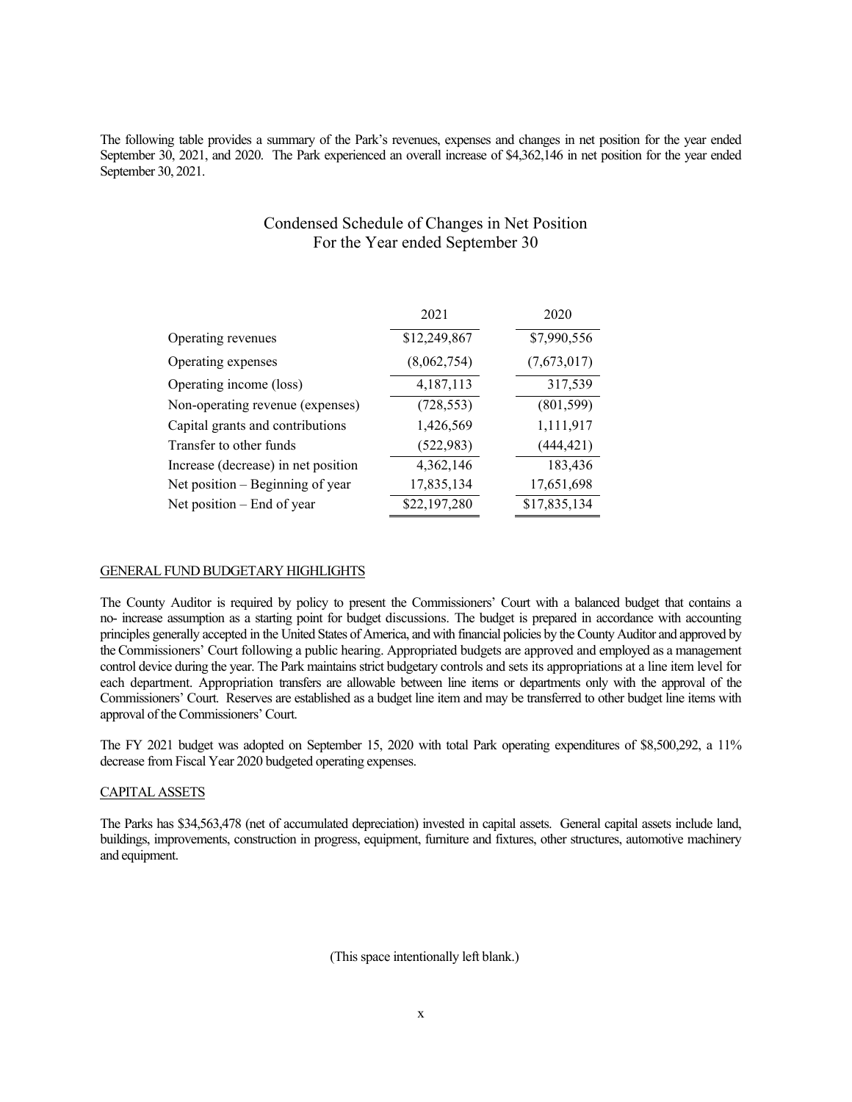The following table provides a summary of the Park's revenues, expenses and changes in net position for the year ended September 30, 2021, and 2020. The Park experienced an overall increase of \$4,362,146 in net position for the year ended September 30, 2021.

# Condensed Schedule of Changes in Net Position For the Year ended September 30

|                                     | 2021         | 2020         |
|-------------------------------------|--------------|--------------|
| Operating revenues                  | \$12,249,867 | \$7,990,556  |
| Operating expenses                  | (8,062,754)  | (7,673,017)  |
| Operating income (loss)             | 4,187,113    | 317,539      |
| Non-operating revenue (expenses)    | (728, 553)   | (801, 599)   |
| Capital grants and contributions    | 1,426,569    | 1,111,917    |
| Transfer to other funds             | (522, 983)   | (444, 421)   |
| Increase (decrease) in net position | 4,362,146    | 183,436      |
| Net position – Beginning of year    | 17,835,134   | 17,651,698   |
| Net position – End of year          | \$22,197,280 | \$17,835,134 |
|                                     |              |              |

#### GENERAL FUND BUDGETARY HIGHLIGHTS

The County Auditor is required by policy to present the Commissioners' Court with a balanced budget that contains a no- increase assumption as a starting point for budget discussions. The budget is prepared in accordance with accounting principles generally accepted in the United States of America, and with financial policies by the County Auditor and approved by the Commissioners' Court following a public hearing. Appropriated budgets are approved and employed as a management control device during the year. The Park maintains strict budgetary controls and sets its appropriations at a line item level for each department. Appropriation transfers are allowable between line items or departments only with the approval of the Commissioners' Court. Reserves are established as a budget line item and may be transferred to other budget line items with approval of the Commissioners' Court.

The FY 2021 budget was adopted on September 15, 2020 with total Park operating expenditures of \$8,500,292, a 11% decrease from Fiscal Year 2020 budgeted operating expenses.

#### CAPITAL ASSETS

The Parks has \$34,563,478 (net of accumulated depreciation) invested in capital assets. General capital assets include land, buildings, improvements, construction in progress, equipment, furniture and fixtures, other structures, automotive machinery and equipment.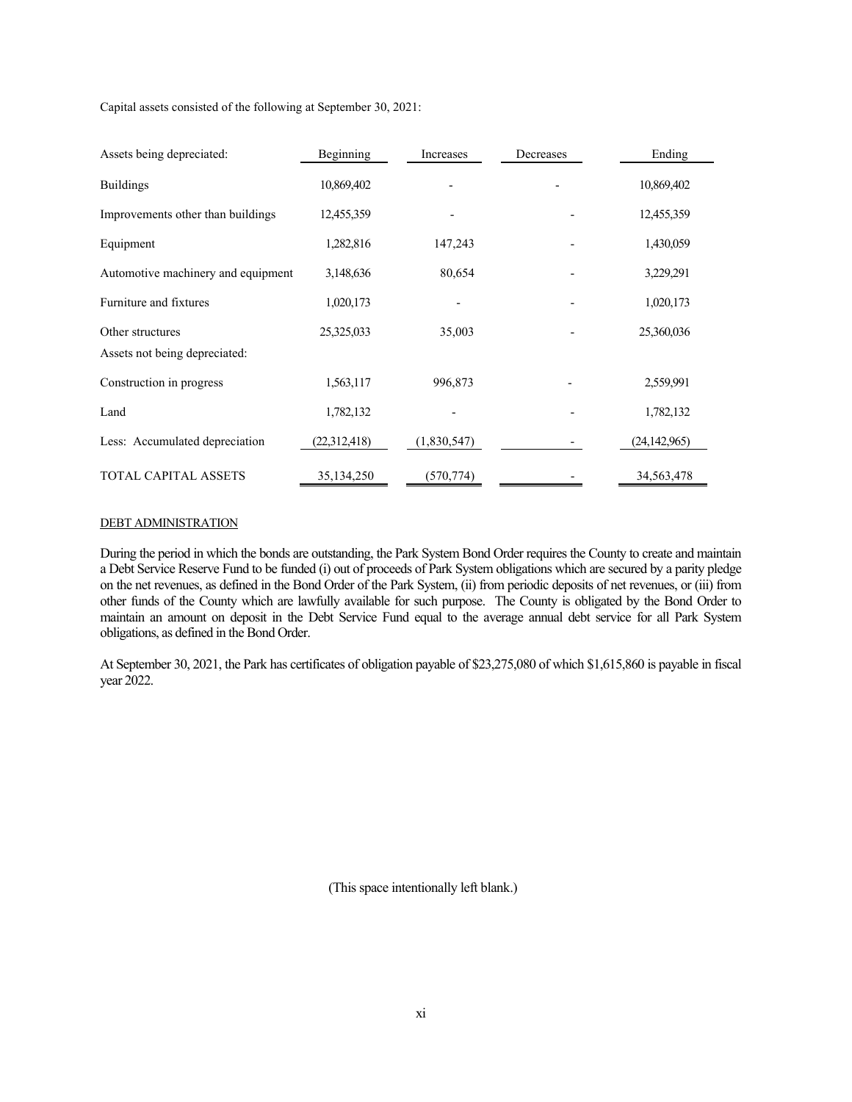Capital assets consisted of the following at September 30, 2021:

| Assets being depreciated:                         | Beginning    | Increases   | Decreases | Ending         |
|---------------------------------------------------|--------------|-------------|-----------|----------------|
| <b>Buildings</b>                                  | 10,869,402   |             |           | 10,869,402     |
| Improvements other than buildings                 | 12,455,359   |             |           | 12,455,359     |
| Equipment                                         | 1,282,816    | 147,243     |           | 1,430,059      |
| Automotive machinery and equipment                | 3,148,636    | 80,654      |           | 3,229,291      |
| Furniture and fixtures                            | 1,020,173    |             |           | 1,020,173      |
| Other structures<br>Assets not being depreciated: | 25,325,033   | 35,003      |           | 25,360,036     |
| Construction in progress                          | 1,563,117    | 996,873     |           | 2,559,991      |
| Land                                              | 1,782,132    |             |           | 1,782,132      |
| Less: Accumulated depreciation                    | (22,312,418) | (1,830,547) |           | (24, 142, 965) |
| <b>TOTAL CAPITAL ASSETS</b>                       | 35,134,250   | (570, 774)  |           | 34, 563, 478   |

#### DEBT ADMINISTRATION

During the period in which the bonds are outstanding, the Park System Bond Order requires the County to create and maintain a Debt Service Reserve Fund to be funded (i) out of proceeds of Park System obligations which are secured by a parity pledge on the net revenues, as defined in the Bond Order of the Park System, (ii) from periodic deposits of net revenues, or (iii) from other funds of the County which are lawfully available for such purpose. The County is obligated by the Bond Order to maintain an amount on deposit in the Debt Service Fund equal to the average annual debt service for all Park System obligations, as defined in the Bond Order.

At September 30, 2021, the Park has certificates of obligation payable of \$23,275,080 of which \$1,615,860 is payable in fiscal year 2022.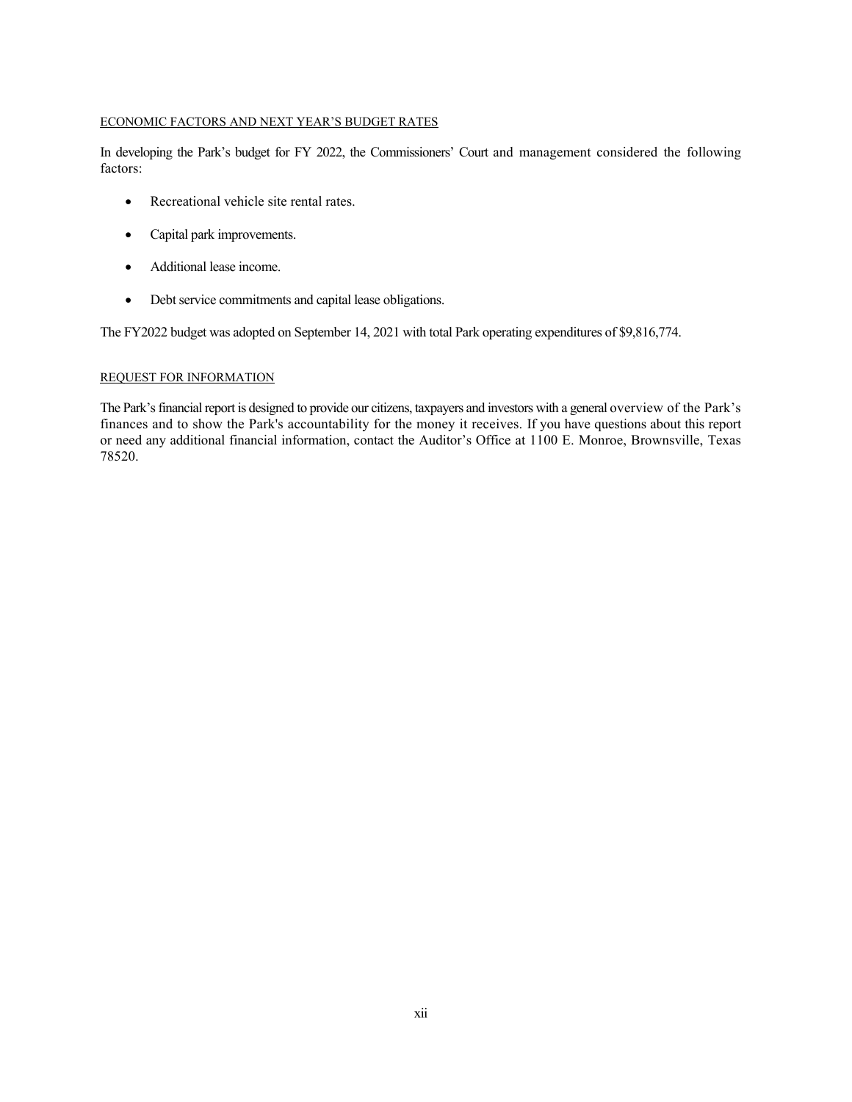### ECONOMIC FACTORS AND NEXT YEAR'S BUDGET RATES

In developing the Park's budget for FY 2022, the Commissioners' Court and management considered the following factors:

- Recreational vehicle site rental rates.
- Capital park improvements.
- Additional lease income.
- Debt service commitments and capital lease obligations.

The FY2022 budget was adopted on September 14, 2021 with total Park operating expenditures of \$9,816,774.

#### REQUEST FOR INFORMATION

The Park's financial report is designed to provide our citizens, taxpayers and investors with a general overview of the Park's finances and to show the Park's accountability for the money it receives. If you have questions about this report or need any additional financial information, contact the Auditor's Office at 1100 E. Monroe, Brownsville, Texas 78520.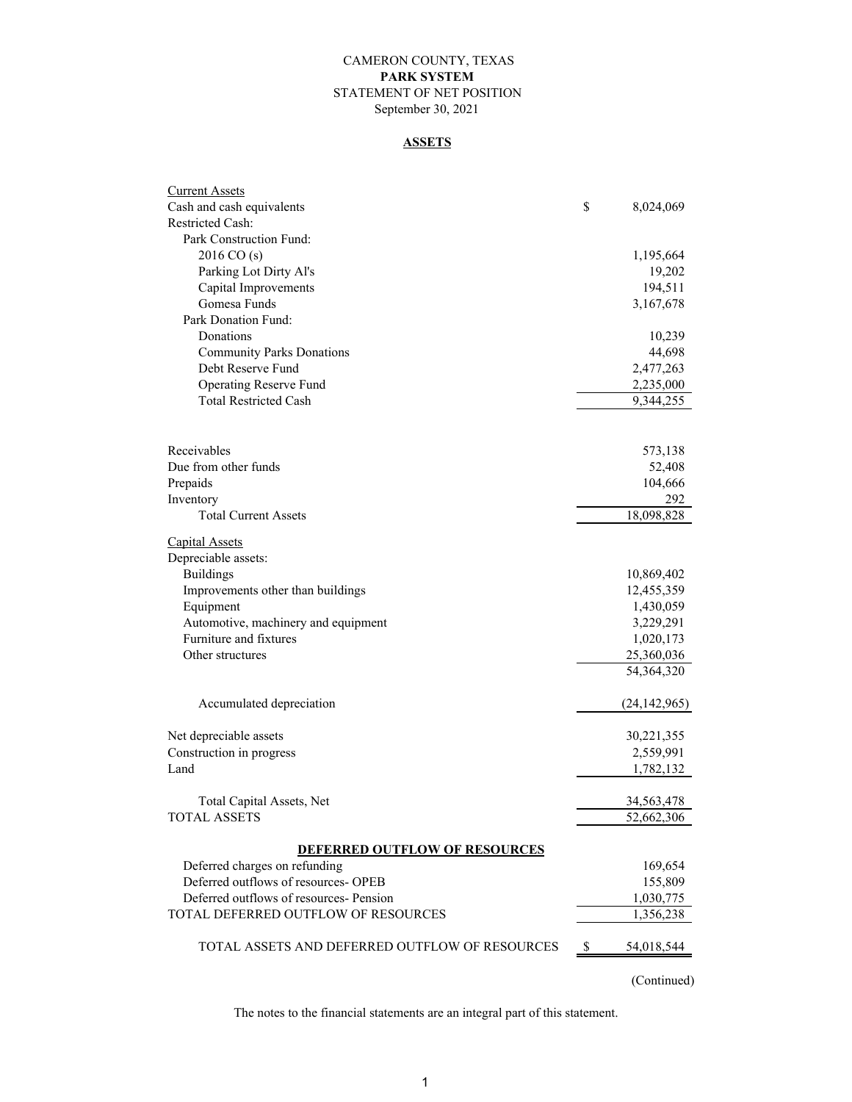### CAMERON COUNTY, TEXAS **PARK SYSTEM** STATEMENT OF NET POSITION September 30, 2021

# **ASSETS**

| <b>Current Assets</b>                          |                  |
|------------------------------------------------|------------------|
| Cash and cash equivalents                      | \$<br>8,024,069  |
| Restricted Cash:                               |                  |
| Park Construction Fund:                        |                  |
| $2016$ CO $(s)$                                | 1,195,664        |
| Parking Lot Dirty Al's                         | 19,202           |
| Capital Improvements                           | 194,511          |
| Gomesa Funds                                   | 3,167,678        |
| Park Donation Fund:<br>Donations               |                  |
|                                                | 10,239           |
| <b>Community Parks Donations</b>               | 44,698           |
| Debt Reserve Fund                              | 2,477,263        |
| <b>Operating Reserve Fund</b>                  | 2,235,000        |
| <b>Total Restricted Cash</b>                   | 9,344,255        |
| Receivables                                    | 573,138          |
| Due from other funds                           | 52,408           |
| Prepaids                                       | 104,666          |
| Inventory                                      | 292              |
| <b>Total Current Assets</b>                    | 18,098,828       |
| <b>Capital Assets</b>                          |                  |
| Depreciable assets:                            |                  |
| <b>Buildings</b>                               | 10,869,402       |
| Improvements other than buildings              | 12,455,359       |
| Equipment                                      | 1,430,059        |
| Automotive, machinery and equipment            | 3,229,291        |
| Furniture and fixtures                         | 1,020,173        |
| Other structures                               | 25,360,036       |
|                                                | 54,364,320       |
| Accumulated depreciation                       | (24, 142, 965)   |
| Net depreciable assets                         | 30,221,355       |
| Construction in progress                       | 2,559,991        |
| Land                                           | 1,782,132        |
| Total Capital Assets, Net                      | 34,563,478       |
| <b>TOTAL ASSETS</b>                            | 52,662,306       |
| <b>DEFERRED OUTFLOW OF RESOURCES</b>           |                  |
| Deferred charges on refunding                  | 169,654          |
| Deferred outflows of resources- OPEB           | 155,809          |
| Deferred outflows of resources- Pension        | 1,030,775        |
| TOTAL DEFERRED OUTFLOW OF RESOURCES            | 1,356,238        |
| TOTAL ASSETS AND DEFERRED OUTFLOW OF RESOURCES | \$<br>54,018,544 |
|                                                |                  |

(Continued)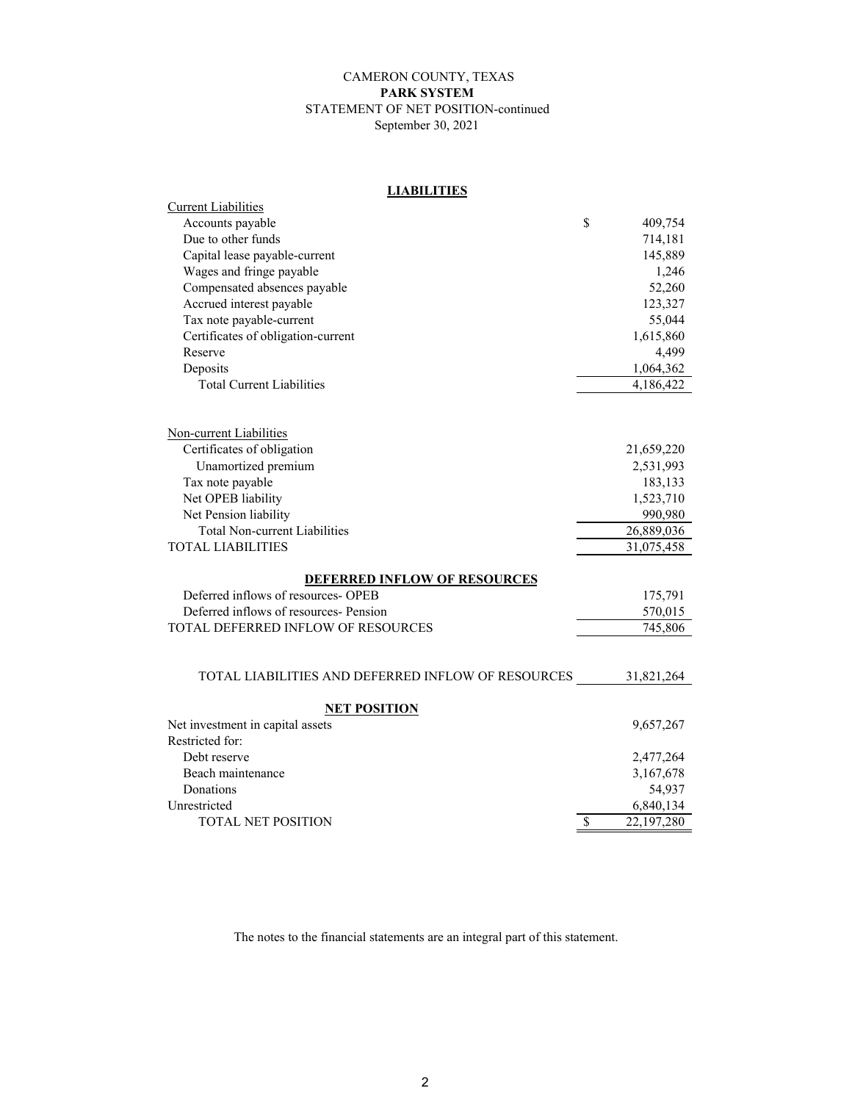### CAMERON COUNTY, TEXAS **PARK SYSTEM** STATEMENT OF NET POSITION-continued September 30, 2021

# **LIABILITIES**

| <b>Current Liabilities</b>                                   |                         |            |
|--------------------------------------------------------------|-------------------------|------------|
| Accounts payable                                             | \$                      | 409,754    |
| Due to other funds                                           |                         | 714,181    |
| Capital lease payable-current                                |                         | 145,889    |
| Wages and fringe payable                                     |                         | 1,246      |
| Compensated absences payable                                 |                         | 52,260     |
| Accrued interest payable                                     |                         | 123,327    |
| Tax note payable-current                                     |                         | 55,044     |
| Certificates of obligation-current                           |                         | 1,615,860  |
| Reserve                                                      |                         | 4,499      |
| Deposits                                                     |                         | 1,064,362  |
| <b>Total Current Liabilities</b>                             |                         | 4,186,422  |
|                                                              |                         |            |
| <b>Non-current Liabilities</b><br>Certificates of obligation |                         | 21,659,220 |
| Unamortized premium                                          |                         | 2,531,993  |
| Tax note payable                                             |                         | 183,133    |
| Net OPEB liability                                           |                         | 1,523,710  |
| Net Pension liability                                        |                         | 990,980    |
| <b>Total Non-current Liabilities</b>                         |                         | 26,889,036 |
| <b>TOTAL LIABILITIES</b>                                     |                         | 31,075,458 |
|                                                              |                         |            |
| <b>DEFERRED INFLOW OF RESOURCES</b>                          |                         |            |
| Deferred inflows of resources- OPEB                          |                         | 175,791    |
| Deferred inflows of resources- Pension                       |                         | 570,015    |
| <b>TOTAL DEFERRED INFLOW OF RESOURCES</b>                    |                         | 745,806    |
|                                                              |                         |            |
| TOTAL LIABILITIES AND DEFERRED INFLOW OF RESOURCES           |                         | 31,821,264 |
| <b>NET POSITION</b>                                          |                         |            |
| Net investment in capital assets                             |                         | 9,657,267  |
| Restricted for:                                              |                         |            |
| Debt reserve                                                 |                         | 2,477,264  |
| Beach maintenance                                            |                         | 3,167,678  |
| Donations                                                    |                         | 54,937     |
| Unrestricted                                                 |                         | 6,840,134  |
| <b>TOTAL NET POSITION</b>                                    | $\overline{\mathbb{S}}$ | 22,197,280 |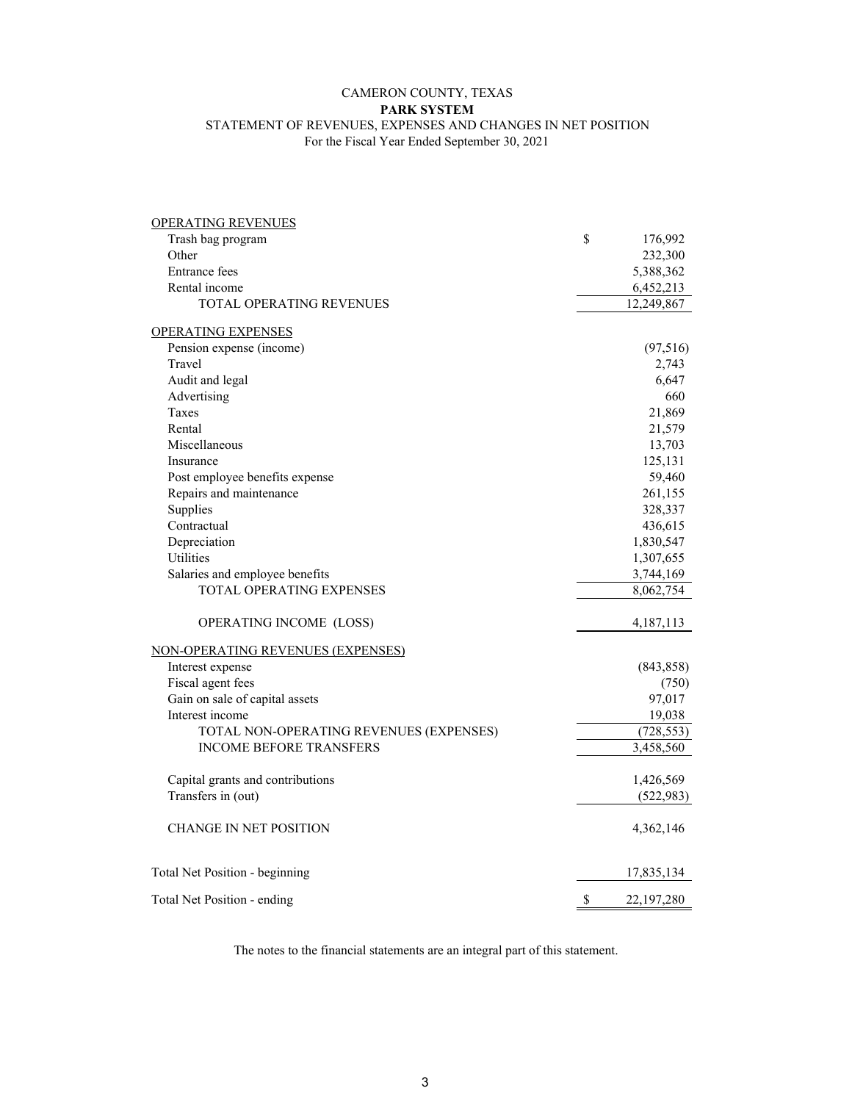### **PARK SYSTEM** STATEMENT OF REVENUES, EXPENSES AND CHANGES IN NET POSITION For the Fiscal Year Ended September 30, 2021 CAMERON COUNTY, TEXAS

| <b>OPERATING REVENUES</b>                |                  |
|------------------------------------------|------------------|
| Trash bag program                        | \$<br>176,992    |
| Other                                    | 232,300          |
| <b>Entrance</b> fees                     | 5,388,362        |
| Rental income                            | 6,452,213        |
| TOTAL OPERATING REVENUES                 | 12,249,867       |
| <b>OPERATING EXPENSES</b>                |                  |
| Pension expense (income)                 | (97, 516)        |
| Travel                                   | 2,743            |
| Audit and legal                          | 6,647            |
| Advertising                              | 660              |
| Taxes                                    | 21,869           |
| Rental                                   | 21,579           |
| Miscellaneous                            | 13,703           |
| Insurance                                | 125,131          |
| Post employee benefits expense           | 59,460           |
| Repairs and maintenance                  | 261,155          |
| Supplies                                 | 328,337          |
| Contractual                              | 436,615          |
| Depreciation                             | 1,830,547        |
| Utilities                                | 1,307,655        |
| Salaries and employee benefits           | 3,744,169        |
| TOTAL OPERATING EXPENSES                 | 8,062,754        |
| OPERATING INCOME (LOSS)                  | 4,187,113        |
| <u>NON-OPERATING REVENUES (EXPENSES)</u> |                  |
| Interest expense                         | (843, 858)       |
| Fiscal agent fees                        | (750)            |
| Gain on sale of capital assets           | 97,017           |
| Interest income                          | 19,038           |
| TOTAL NON-OPERATING REVENUES (EXPENSES)  | (728, 553)       |
| <b>INCOME BEFORE TRANSFERS</b>           | 3,458,560        |
| Capital grants and contributions         | 1,426,569        |
| Transfers in (out)                       | (522, 983)       |
| <b>CHANGE IN NET POSITION</b>            | 4,362,146        |
| Total Net Position - beginning           | 17,835,134       |
| Total Net Position - ending              | \$<br>22,197,280 |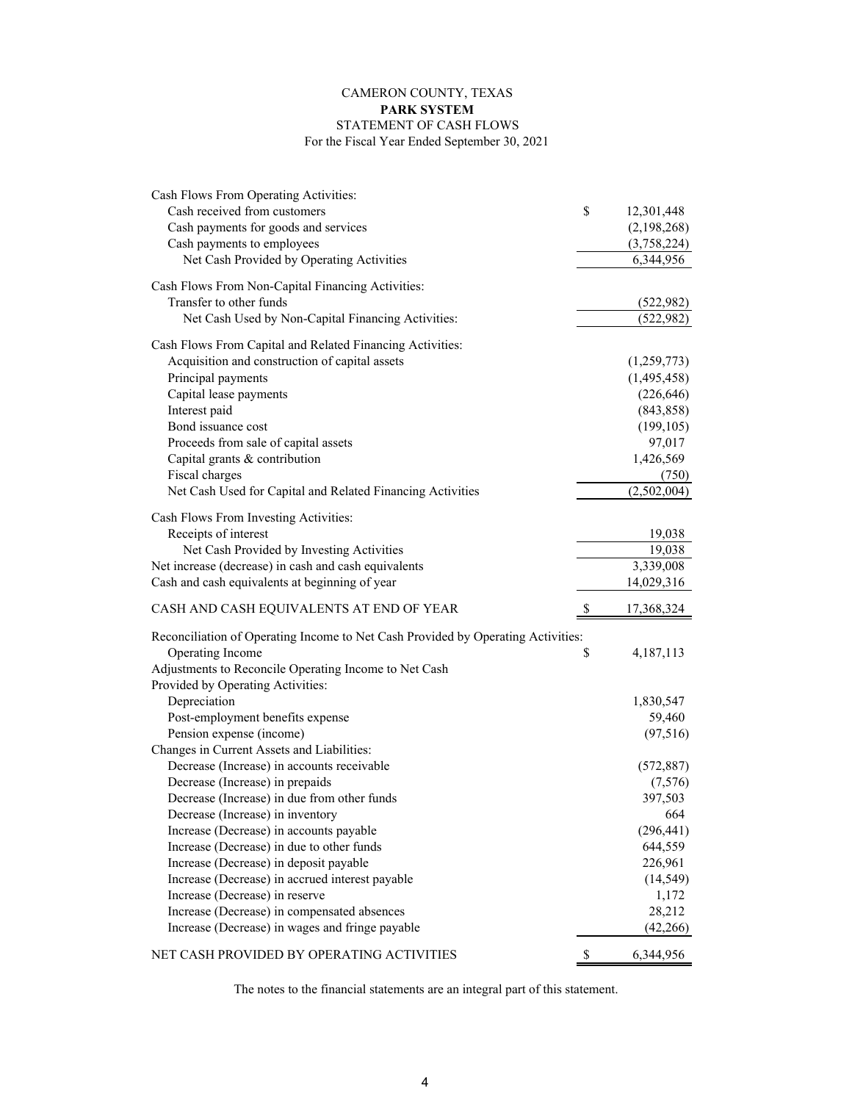### CAMERON COUNTY, TEXAS **PARK SYSTEM** STATEMENT OF CASH FLOWS

### For the Fiscal Year Ended September 30, 2021

| Cash Flows From Operating Activities:<br>Cash received from customers<br>Cash payments for goods and services<br>Cash payments to employees | \$<br>12,301,448<br>(2,198,268)<br>(3,758,224) |
|---------------------------------------------------------------------------------------------------------------------------------------------|------------------------------------------------|
| Net Cash Provided by Operating Activities                                                                                                   | 6,344,956                                      |
| Cash Flows From Non-Capital Financing Activities:                                                                                           |                                                |
| Transfer to other funds                                                                                                                     | (522, 982)                                     |
| Net Cash Used by Non-Capital Financing Activities:                                                                                          | (522, 982)                                     |
| Cash Flows From Capital and Related Financing Activities:                                                                                   |                                                |
| Acquisition and construction of capital assets                                                                                              | (1,259,773)                                    |
| Principal payments                                                                                                                          | (1,495,458)                                    |
| Capital lease payments                                                                                                                      | (226, 646)                                     |
| Interest paid                                                                                                                               | (843, 858)                                     |
| Bond issuance cost                                                                                                                          | (199, 105)                                     |
| Proceeds from sale of capital assets                                                                                                        | 97,017                                         |
| Capital grants & contribution                                                                                                               | 1,426,569                                      |
| Fiscal charges                                                                                                                              | (750)                                          |
| Net Cash Used for Capital and Related Financing Activities                                                                                  | (2,502,004)                                    |
| Cash Flows From Investing Activities:                                                                                                       |                                                |
| Receipts of interest                                                                                                                        | 19,038                                         |
| Net Cash Provided by Investing Activities                                                                                                   | 19,038                                         |
| Net increase (decrease) in cash and cash equivalents                                                                                        | 3,339,008                                      |
| Cash and cash equivalents at beginning of year                                                                                              | 14,029,316                                     |
| CASH AND CASH EQUIVALENTS AT END OF YEAR                                                                                                    | \$<br>17,368,324                               |
| Reconciliation of Operating Income to Net Cash Provided by Operating Activities:                                                            |                                                |
| Operating Income                                                                                                                            | \$<br>4,187,113                                |
| Adjustments to Reconcile Operating Income to Net Cash                                                                                       |                                                |
| Provided by Operating Activities:                                                                                                           |                                                |
| Depreciation                                                                                                                                | 1,830,547                                      |
| Post-employment benefits expense                                                                                                            | 59,460                                         |
| Pension expense (income)                                                                                                                    | (97, 516)                                      |
| Changes in Current Assets and Liabilities:                                                                                                  |                                                |
| Decrease (Increase) in accounts receivable                                                                                                  | (572, 887)                                     |
| Decrease (Increase) in prepaids                                                                                                             | (7,576)                                        |
| Decrease (Increase) in due from other funds                                                                                                 | 397,503                                        |
| Decrease (Increase) in inventory                                                                                                            | 664                                            |
| Increase (Decrease) in accounts payable                                                                                                     | (296, 441)                                     |
| Increase (Decrease) in due to other funds                                                                                                   | 644,559                                        |
| Increase (Decrease) in deposit payable                                                                                                      | 226,961                                        |
| Increase (Decrease) in accrued interest payable                                                                                             | (14, 549)                                      |
| Increase (Decrease) in reserve                                                                                                              | 1,172                                          |
| Increase (Decrease) in compensated absences                                                                                                 | 28,212                                         |
| Increase (Decrease) in wages and fringe payable                                                                                             | (42, 266)                                      |
| NET CASH PROVIDED BY OPERATING ACTIVITIES                                                                                                   | \$<br>6,344,956                                |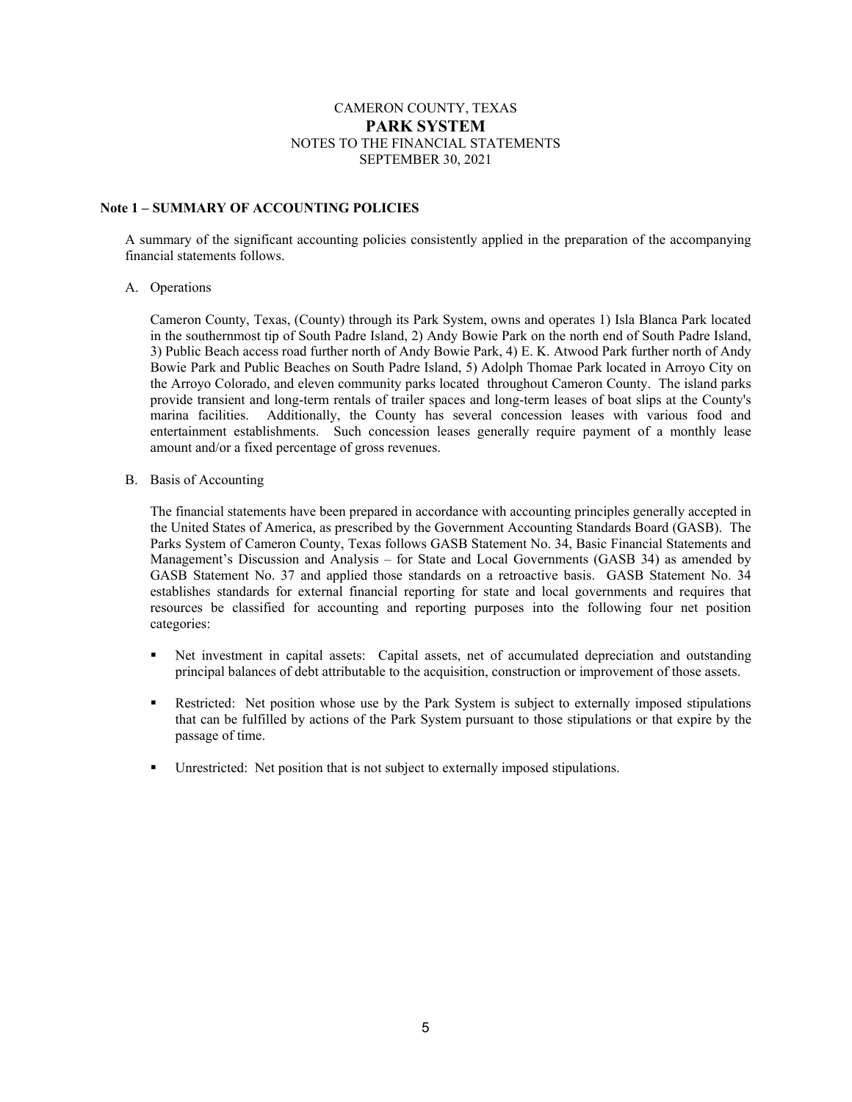#### **Note 1 – SUMMARY OF ACCOUNTING POLICIES**

 A summary of the significant accounting policies consistently applied in the preparation of the accompanying financial statements follows.

### A. Operations

Cameron County, Texas, (County) through its Park System, owns and operates 1) Isla Blanca Park located in the southernmost tip of South Padre Island, 2) Andy Bowie Park on the north end of South Padre Island, 3) Public Beach access road further north of Andy Bowie Park, 4) E. K. Atwood Park further north of Andy Bowie Park and Public Beaches on South Padre Island, 5) Adolph Thomae Park located in Arroyo City on the Arroyo Colorado, and eleven community parks located throughout Cameron County. The island parks provide transient and long-term rentals of trailer spaces and long-term leases of boat slips at the County's marina facilities. Additionally, the County has several concession leases with various food and entertainment establishments. Such concession leases generally require payment of a monthly lease amount and/or a fixed percentage of gross revenues.

#### B. Basis of Accounting

The financial statements have been prepared in accordance with accounting principles generally accepted in the United States of America, as prescribed by the Government Accounting Standards Board (GASB). The Parks System of Cameron County, Texas follows GASB Statement No. 34, Basic Financial Statements and Management's Discussion and Analysis – for State and Local Governments (GASB 34) as amended by GASB Statement No. 37 and applied those standards on a retroactive basis. GASB Statement No. 34 establishes standards for external financial reporting for state and local governments and requires that resources be classified for accounting and reporting purposes into the following four net position categories:

- Net investment in capital assets: Capital assets, net of accumulated depreciation and outstanding principal balances of debt attributable to the acquisition, construction or improvement of those assets.
- Restricted: Net position whose use by the Park System is subject to externally imposed stipulations that can be fulfilled by actions of the Park System pursuant to those stipulations or that expire by the passage of time.
- Unrestricted: Net position that is not subject to externally imposed stipulations.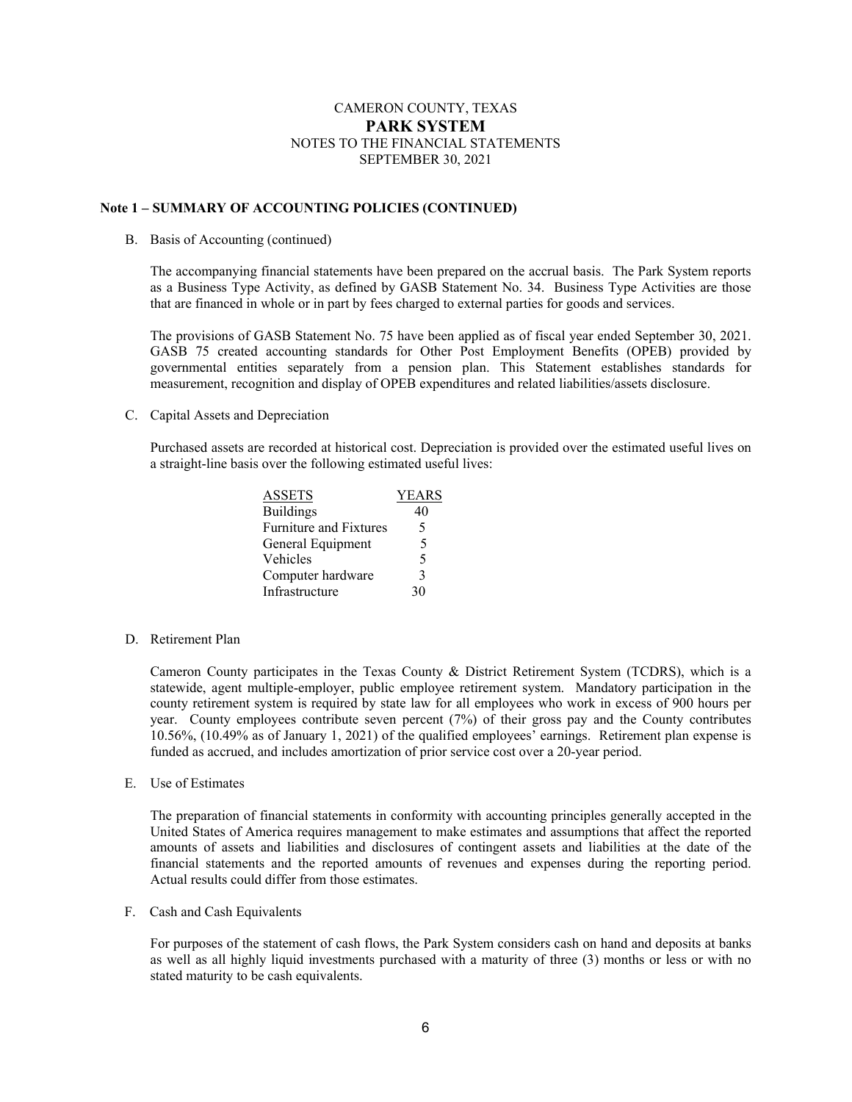#### **Note 1 – SUMMARY OF ACCOUNTING POLICIES (CONTINUED)**

#### B. Basis of Accounting (continued)

The accompanying financial statements have been prepared on the accrual basis. The Park System reports as a Business Type Activity, as defined by GASB Statement No. 34. Business Type Activities are those that are financed in whole or in part by fees charged to external parties for goods and services.

The provisions of GASB Statement No. 75 have been applied as of fiscal year ended September 30, 2021. GASB 75 created accounting standards for Other Post Employment Benefits (OPEB) provided by governmental entities separately from a pension plan. This Statement establishes standards for measurement, recognition and display of OPEB expenditures and related liabilities/assets disclosure.

#### C. Capital Assets and Depreciation

Purchased assets are recorded at historical cost. Depreciation is provided over the estimated useful lives on a straight-line basis over the following estimated useful lives:

| <b>ASSETS</b>                 |    |
|-------------------------------|----|
| <b>Buildings</b>              | 40 |
| <b>Furniture and Fixtures</b> |    |
| General Equipment             |    |
| Vehicles                      |    |
| Computer hardware             |    |
| Infrastructure                |    |

#### D. Retirement Plan

Cameron County participates in the Texas County & District Retirement System (TCDRS), which is a statewide, agent multiple-employer, public employee retirement system. Mandatory participation in the county retirement system is required by state law for all employees who work in excess of 900 hours per year. County employees contribute seven percent (7%) of their gross pay and the County contributes 10.56%, (10.49% as of January 1, 2021) of the qualified employees' earnings. Retirement plan expense is funded as accrued, and includes amortization of prior service cost over a 20-year period.

E. Use of Estimates

The preparation of financial statements in conformity with accounting principles generally accepted in the United States of America requires management to make estimates and assumptions that affect the reported amounts of assets and liabilities and disclosures of contingent assets and liabilities at the date of the financial statements and the reported amounts of revenues and expenses during the reporting period. Actual results could differ from those estimates.

F. Cash and Cash Equivalents

For purposes of the statement of cash flows, the Park System considers cash on hand and deposits at banks as well as all highly liquid investments purchased with a maturity of three (3) months or less or with no stated maturity to be cash equivalents.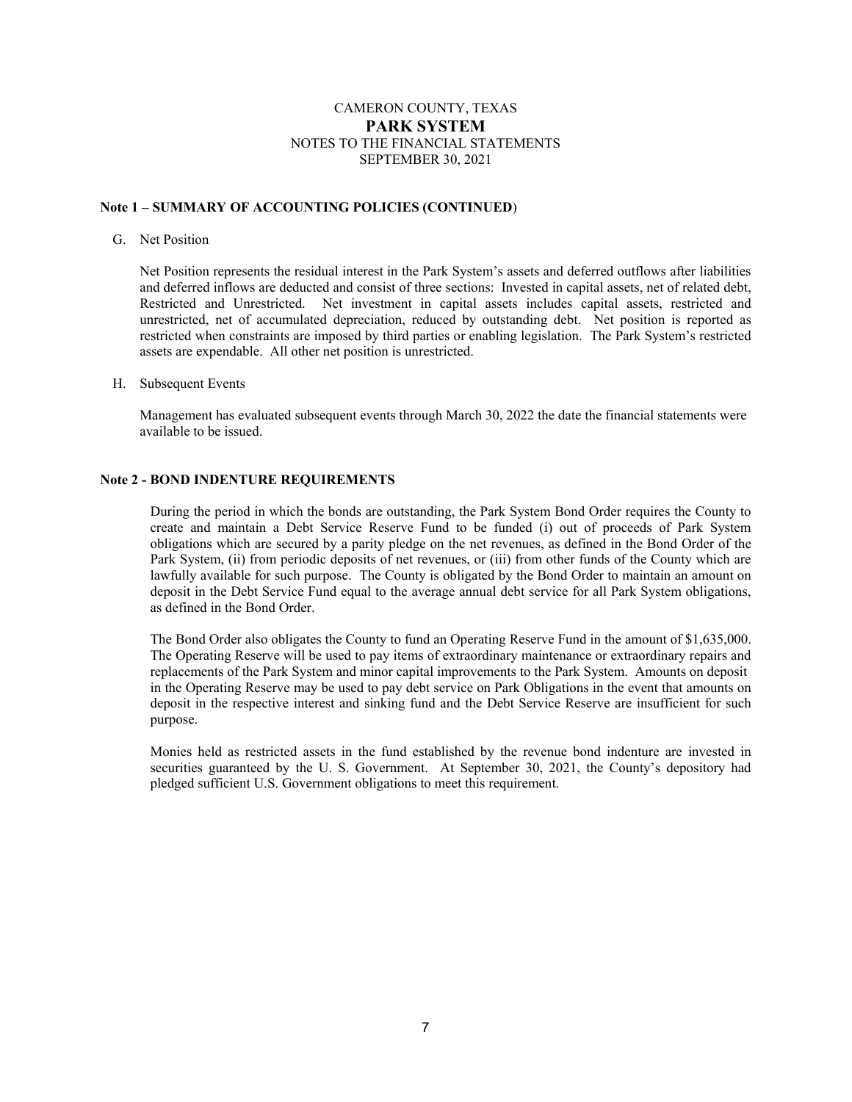### **Note 1 – SUMMARY OF ACCOUNTING POLICIES (CONTINUED**)

#### G. Net Position

Net Position represents the residual interest in the Park System's assets and deferred outflows after liabilities and deferred inflows are deducted and consist of three sections: Invested in capital assets, net of related debt, Restricted and Unrestricted. Net investment in capital assets includes capital assets, restricted and unrestricted, net of accumulated depreciation, reduced by outstanding debt. Net position is reported as restricted when constraints are imposed by third parties or enabling legislation. The Park System's restricted assets are expendable. All other net position is unrestricted.

#### H. Subsequent Events

Management has evaluated subsequent events through March 30, 2022 the date the financial statements were available to be issued.

#### **Note 2 - BOND INDENTURE REQUIREMENTS**

During the period in which the bonds are outstanding, the Park System Bond Order requires the County to create and maintain a Debt Service Reserve Fund to be funded (i) out of proceeds of Park System obligations which are secured by a parity pledge on the net revenues, as defined in the Bond Order of the Park System, (ii) from periodic deposits of net revenues, or (iii) from other funds of the County which are lawfully available for such purpose. The County is obligated by the Bond Order to maintain an amount on deposit in the Debt Service Fund equal to the average annual debt service for all Park System obligations, as defined in the Bond Order.

The Bond Order also obligates the County to fund an Operating Reserve Fund in the amount of \$1,635,000. The Operating Reserve will be used to pay items of extraordinary maintenance or extraordinary repairs and replacements of the Park System and minor capital improvements to the Park System. Amounts on deposit in the Operating Reserve may be used to pay debt service on Park Obligations in the event that amounts on deposit in the respective interest and sinking fund and the Debt Service Reserve are insufficient for such purpose.

Monies held as restricted assets in the fund established by the revenue bond indenture are invested in securities guaranteed by the U. S. Government. At September 30, 2021, the County's depository had pledged sufficient U.S. Government obligations to meet this requirement.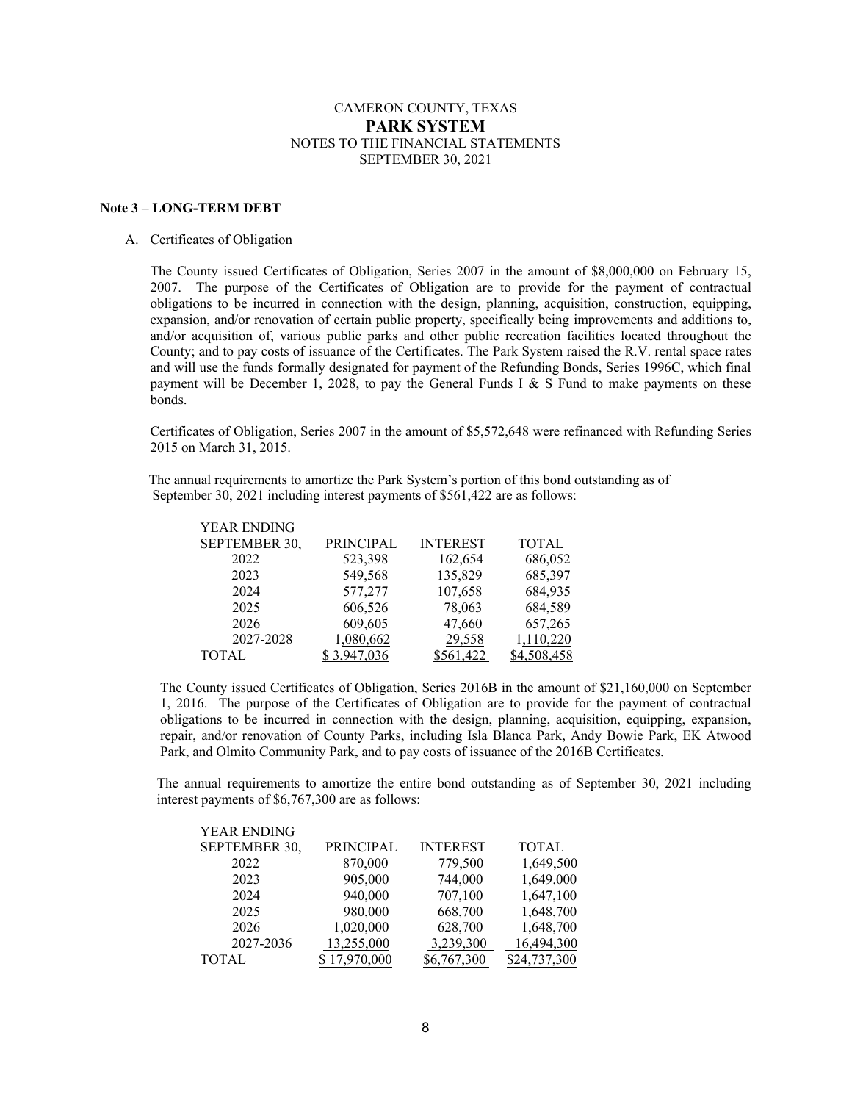#### **Note 3 – LONG-TERM DEBT**

#### A. Certificates of Obligation

YEAR ENDING

The County issued Certificates of Obligation, Series 2007 in the amount of \$8,000,000 on February 15, 2007. The purpose of the Certificates of Obligation are to provide for the payment of contractual obligations to be incurred in connection with the design, planning, acquisition, construction, equipping, expansion, and/or renovation of certain public property, specifically being improvements and additions to, and/or acquisition of, various public parks and other public recreation facilities located throughout the County; and to pay costs of issuance of the Certificates. The Park System raised the R.V. rental space rates and will use the funds formally designated for payment of the Refunding Bonds, Series 1996C, which final payment will be December 1, 2028, to pay the General Funds I & S Fund to make payments on these bonds.

Certificates of Obligation, Series 2007 in the amount of \$5,572,648 were refinanced with Refunding Series 2015 on March 31, 2015.

 The annual requirements to amortize the Park System's portion of this bond outstanding as of September 30, 2021 including interest payments of \$561,422 are as follows:

| YEAR ENDING   |                  |                 |              |
|---------------|------------------|-----------------|--------------|
| SEPTEMBER 30, | <b>PRINCIPAL</b> | <b>INTEREST</b> | <b>TOTAL</b> |
| 2022          | 523,398          | 162,654         | 686,052      |
| 2023          | 549,568          | 135,829         | 685,397      |
| 2024          | 577,277          | 107,658         | 684,935      |
| 2025          | 606,526          | 78,063          | 684,589      |
| 2026          | 609,605          | 47,660          | 657,265      |
| 2027-2028     | 1,080,662        | 29,558          | 1,110,220    |
| <b>TOTAL</b>  | \$3,947,036      | \$561,422       | \$4,508,458  |

The County issued Certificates of Obligation, Series 2016B in the amount of \$21,160,000 on September 1, 2016. The purpose of the Certificates of Obligation are to provide for the payment of contractual obligations to be incurred in connection with the design, planning, acquisition, equipping, expansion, repair, and/or renovation of County Parks, including Isla Blanca Park, Andy Bowie Park, EK Atwood Park, and Olmito Community Park, and to pay costs of issuance of the 2016B Certificates.

The annual requirements to amortize the entire bond outstanding as of September 30, 2021 including interest payments of \$6,767,300 are as follows:

| I EAK ENDING  |                  |                 |              |
|---------------|------------------|-----------------|--------------|
| SEPTEMBER 30, | <b>PRINCIPAL</b> | <b>INTEREST</b> | TOTAL        |
| 2022          | 870,000          | 779,500         | 1,649,500    |
| 2023          | 905,000          | 744,000         | 1,649.000    |
| 2024          | 940,000          | 707,100         | 1,647,100    |
| 2025          | 980,000          | 668,700         | 1,648,700    |
| 2026          | 1,020,000        | 628,700         | 1,648,700    |
| 2027-2036     | 13,255,000       | 3,239,300       | 16,494,300   |
| TOTAL         | 17.970.000       | \$6,767,300     | \$24,737,300 |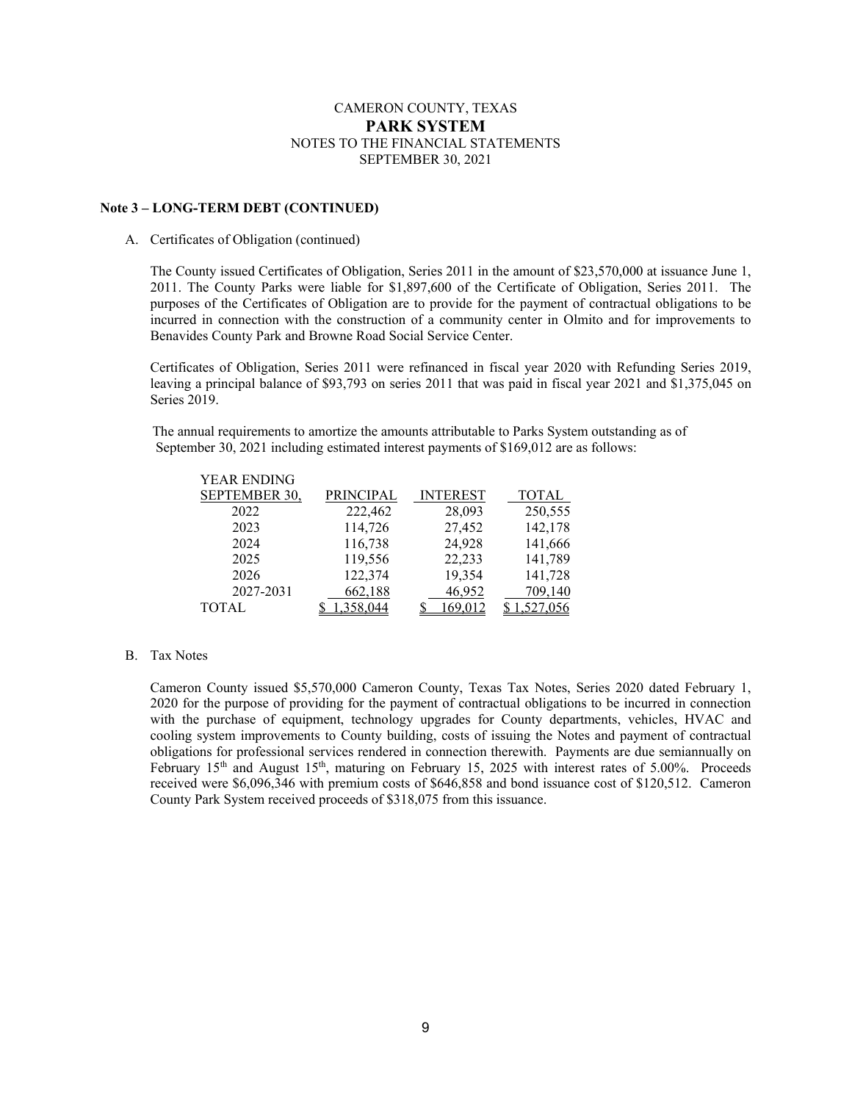#### **Note 3 – LONG-TERM DEBT (CONTINUED)**

#### A. Certificates of Obligation (continued)

The County issued Certificates of Obligation, Series 2011 in the amount of \$23,570,000 at issuance June 1, 2011. The County Parks were liable for \$1,897,600 of the Certificate of Obligation, Series 2011. The purposes of the Certificates of Obligation are to provide for the payment of contractual obligations to be incurred in connection with the construction of a community center in Olmito and for improvements to Benavides County Park and Browne Road Social Service Center.

Certificates of Obligation, Series 2011 were refinanced in fiscal year 2020 with Refunding Series 2019, leaving a principal balance of \$93,793 on series 2011 that was paid in fiscal year 2021 and \$1,375,045 on Series 2019.

 The annual requirements to amortize the amounts attributable to Parks System outstanding as of September 30, 2021 including estimated interest payments of \$169,012 are as follows:

| <b>YEAR ENDING</b> |                  |                 |              |
|--------------------|------------------|-----------------|--------------|
| SEPTEMBER 30,      | <b>PRINCIPAL</b> | <b>INTEREST</b> | <b>TOTAL</b> |
| 2022               | 222,462          | 28,093          | 250,555      |
| 2023               | 114,726          | 27,452          | 142,178      |
| 2024               | 116,738          | 24,928          | 141,666      |
| 2025               | 119,556          | 22,233          | 141,789      |
| 2026               | 122,374          | 19,354          | 141,728      |
| 2027-2031          | 662,188          | 46,952          | 709,140      |
| TOTAL              | 1.358,044        | 169,012         | \$1,527,056  |

#### B. Tax Notes

Cameron County issued \$5,570,000 Cameron County, Texas Tax Notes, Series 2020 dated February 1, 2020 for the purpose of providing for the payment of contractual obligations to be incurred in connection with the purchase of equipment, technology upgrades for County departments, vehicles, HVAC and cooling system improvements to County building, costs of issuing the Notes and payment of contractual obligations for professional services rendered in connection therewith. Payments are due semiannually on February 15<sup>th</sup> and August 15<sup>th</sup>, maturing on February 15, 2025 with interest rates of 5.00%. Proceeds received were \$6,096,346 with premium costs of \$646,858 and bond issuance cost of \$120,512. Cameron County Park System received proceeds of \$318,075 from this issuance.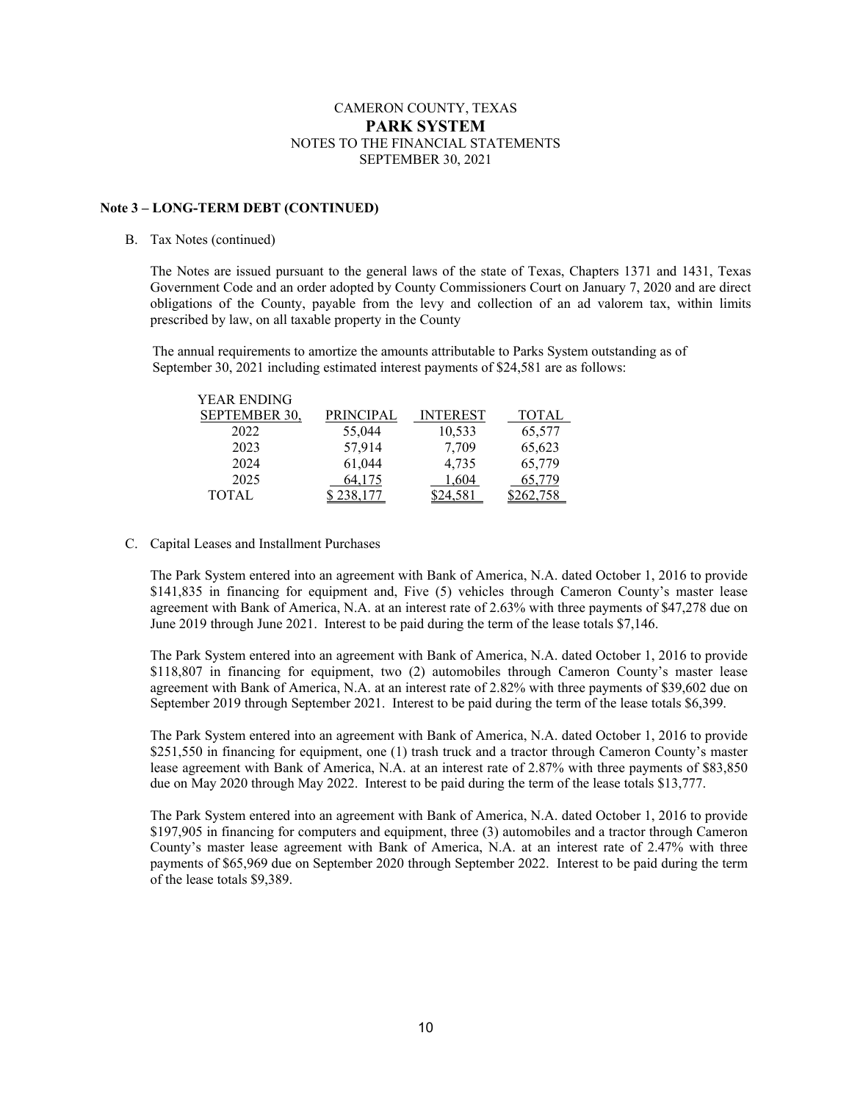#### **Note 3 – LONG-TERM DEBT (CONTINUED)**

#### B. Tax Notes (continued)

The Notes are issued pursuant to the general laws of the state of Texas, Chapters 1371 and 1431, Texas Government Code and an order adopted by County Commissioners Court on January 7, 2020 and are direct obligations of the County, payable from the levy and collection of an ad valorem tax, within limits prescribed by law, on all taxable property in the County

The annual requirements to amortize the amounts attributable to Parks System outstanding as of September 30, 2021 including estimated interest payments of \$24,581 are as follows:

| YEAR ENDING   |           |                 |              |
|---------------|-----------|-----------------|--------------|
| SEPTEMBER 30, | PRINCIPAL | <b>INTEREST</b> | <b>TOTAL</b> |
| 2022          | 55,044    | 10,533          | 65,577       |
| 2023          | 57,914    | 7.709           | 65,623       |
| 2024          | 61,044    | 4,735           | 65,779       |
| 2025          | 64,175    | 1,604           | 65,779       |
| TOTAL         |           |                 |              |

#### C. Capital Leases and Installment Purchases

The Park System entered into an agreement with Bank of America, N.A. dated October 1, 2016 to provide \$141,835 in financing for equipment and, Five (5) vehicles through Cameron County's master lease agreement with Bank of America, N.A. at an interest rate of 2.63% with three payments of \$47,278 due on June 2019 through June 2021. Interest to be paid during the term of the lease totals \$7,146.

The Park System entered into an agreement with Bank of America, N.A. dated October 1, 2016 to provide \$118,807 in financing for equipment, two (2) automobiles through Cameron County's master lease agreement with Bank of America, N.A. at an interest rate of 2.82% with three payments of \$39,602 due on September 2019 through September 2021. Interest to be paid during the term of the lease totals \$6,399.

The Park System entered into an agreement with Bank of America, N.A. dated October 1, 2016 to provide \$251,550 in financing for equipment, one (1) trash truck and a tractor through Cameron County's master lease agreement with Bank of America, N.A. at an interest rate of 2.87% with three payments of \$83,850 due on May 2020 through May 2022. Interest to be paid during the term of the lease totals \$13,777.

The Park System entered into an agreement with Bank of America, N.A. dated October 1, 2016 to provide \$197,905 in financing for computers and equipment, three (3) automobiles and a tractor through Cameron County's master lease agreement with Bank of America, N.A. at an interest rate of 2.47% with three payments of \$65,969 due on September 2020 through September 2022. Interest to be paid during the term of the lease totals \$9,389.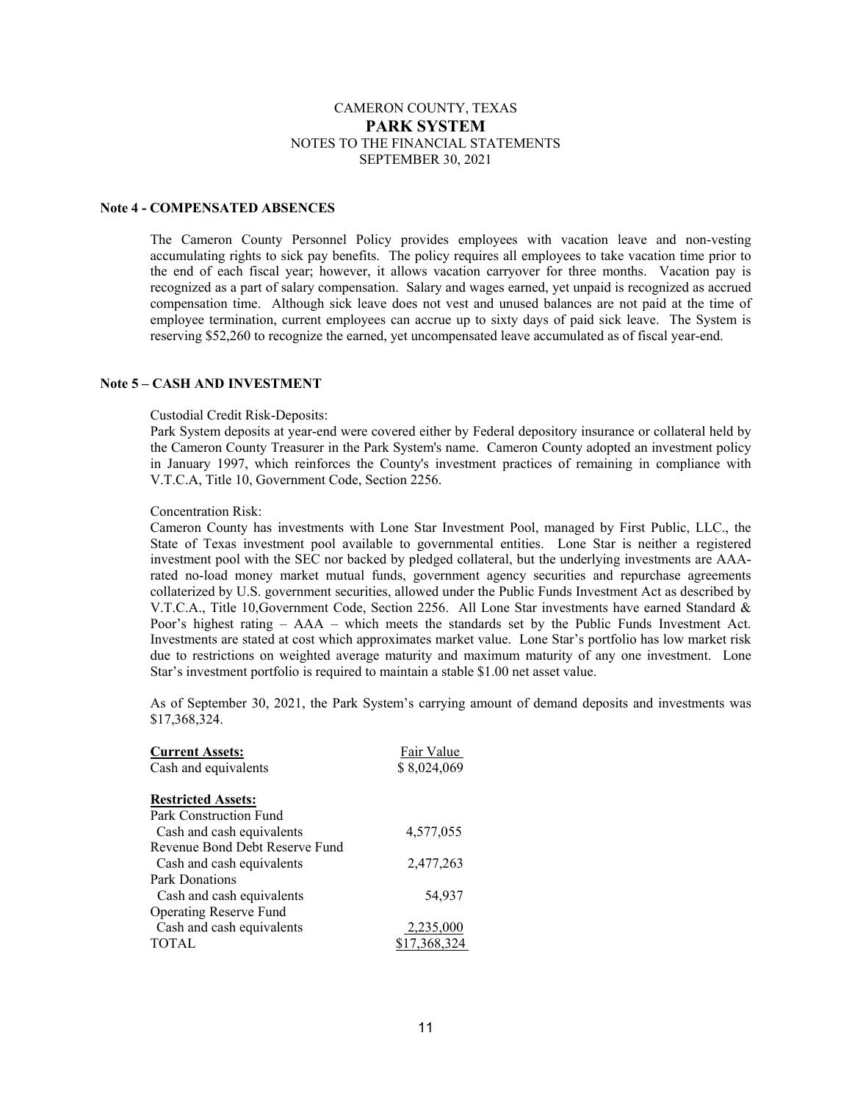### **Note 4 - COMPENSATED ABSENCES**

The Cameron County Personnel Policy provides employees with vacation leave and non-vesting accumulating rights to sick pay benefits. The policy requires all employees to take vacation time prior to the end of each fiscal year; however, it allows vacation carryover for three months. Vacation pay is recognized as a part of salary compensation. Salary and wages earned, yet unpaid is recognized as accrued compensation time. Although sick leave does not vest and unused balances are not paid at the time of employee termination, current employees can accrue up to sixty days of paid sick leave. The System is reserving \$52,260 to recognize the earned, yet uncompensated leave accumulated as of fiscal year-end.

### **Note 5 – CASH AND INVESTMENT**

#### Custodial Credit Risk-Deposits:

Park System deposits at year-end were covered either by Federal depository insurance or collateral held by the Cameron County Treasurer in the Park System's name. Cameron County adopted an investment policy in January 1997, which reinforces the County's investment practices of remaining in compliance with V.T.C.A, Title 10, Government Code, Section 2256.

#### Concentration Risk:

Cameron County has investments with Lone Star Investment Pool, managed by First Public, LLC., the State of Texas investment pool available to governmental entities. Lone Star is neither a registered investment pool with the SEC nor backed by pledged collateral, but the underlying investments are AAArated no-load money market mutual funds, government agency securities and repurchase agreements collaterized by U.S. government securities, allowed under the Public Funds Investment Act as described by V.T.C.A., Title 10,Government Code, Section 2256. All Lone Star investments have earned Standard & Poor's highest rating – AAA – which meets the standards set by the Public Funds Investment Act. Investments are stated at cost which approximates market value. Lone Star's portfolio has low market risk due to restrictions on weighted average maturity and maximum maturity of any one investment. Lone Star's investment portfolio is required to maintain a stable \$1.00 net asset value.

As of September 30, 2021, the Park System's carrying amount of demand deposits and investments was \$17,368,324.

| <b>Current Assets:</b>         | Fair Value   |
|--------------------------------|--------------|
| Cash and equivalents           | \$8,024,069  |
|                                |              |
| <b>Restricted Assets:</b>      |              |
| Park Construction Fund         |              |
| Cash and cash equivalents      | 4.577,055    |
| Revenue Bond Debt Reserve Fund |              |
| Cash and cash equivalents      | 2,477,263    |
| Park Donations                 |              |
| Cash and cash equivalents      | 54,937       |
| <b>Operating Reserve Fund</b>  |              |
| Cash and cash equivalents      | 2,235,000    |
| <b>TOTAL</b>                   | \$17,368,324 |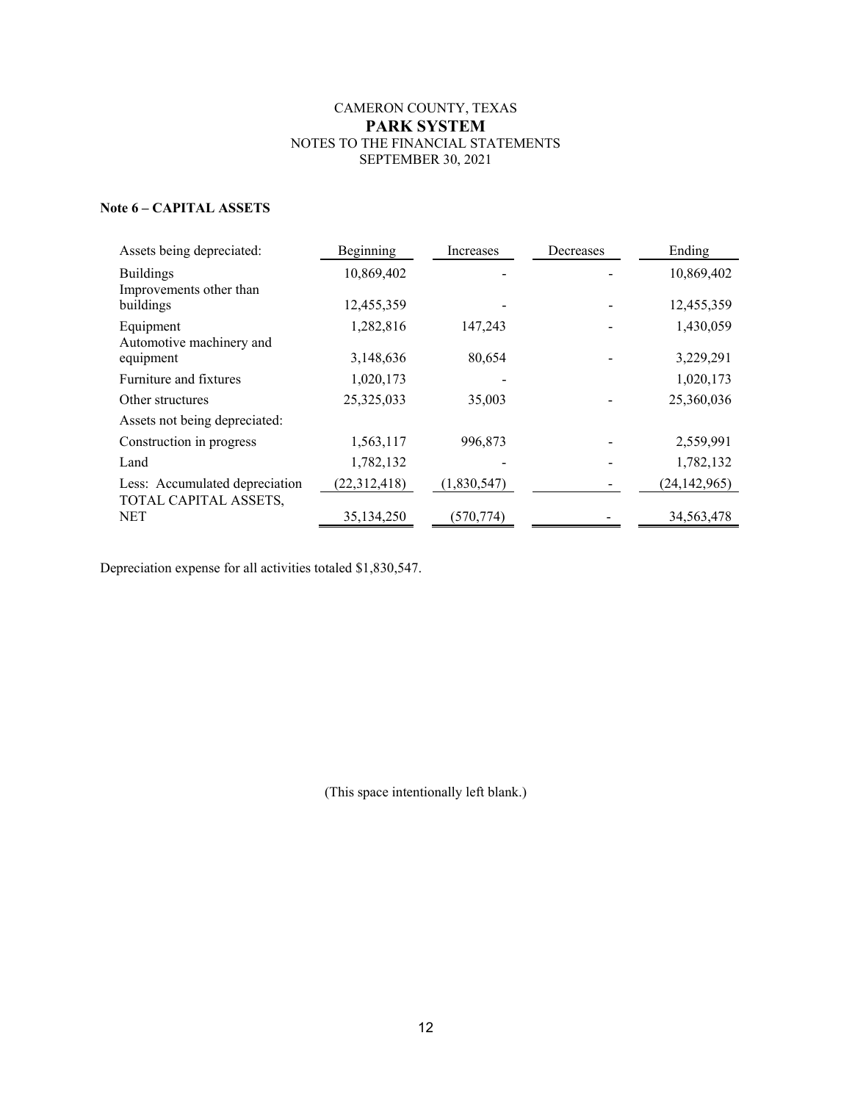# **Note 6 – CAPITAL ASSETS**

| Assets being depreciated:      | Beginning      | Increases   | Decreases | Ending         |
|--------------------------------|----------------|-------------|-----------|----------------|
| <b>Buildings</b>               | 10,869,402     |             |           | 10,869,402     |
| Improvements other than        |                |             |           |                |
| buildings                      | 12,455,359     |             |           | 12,455,359     |
| Equipment                      | 1,282,816      | 147,243     |           | 1,430,059      |
| Automotive machinery and       |                |             |           |                |
| equipment                      | 3,148,636      | 80,654      |           | 3,229,291      |
| Furniture and fixtures         | 1,020,173      |             |           | 1,020,173      |
| Other structures               | 25,325,033     | 35,003      |           | 25,360,036     |
| Assets not being depreciated:  |                |             |           |                |
| Construction in progress       | 1,563,117      | 996,873     |           | 2,559,991      |
| Land                           | 1,782,132      |             |           | 1,782,132      |
| Less: Accumulated depreciation | (22, 312, 418) | (1,830,547) |           | (24, 142, 965) |
| TOTAL CAPITAL ASSETS,          |                |             |           |                |
| <b>NET</b>                     | 35,134,250     | (570, 774)  |           | 34, 563, 478   |

Depreciation expense for all activities totaled \$1,830,547.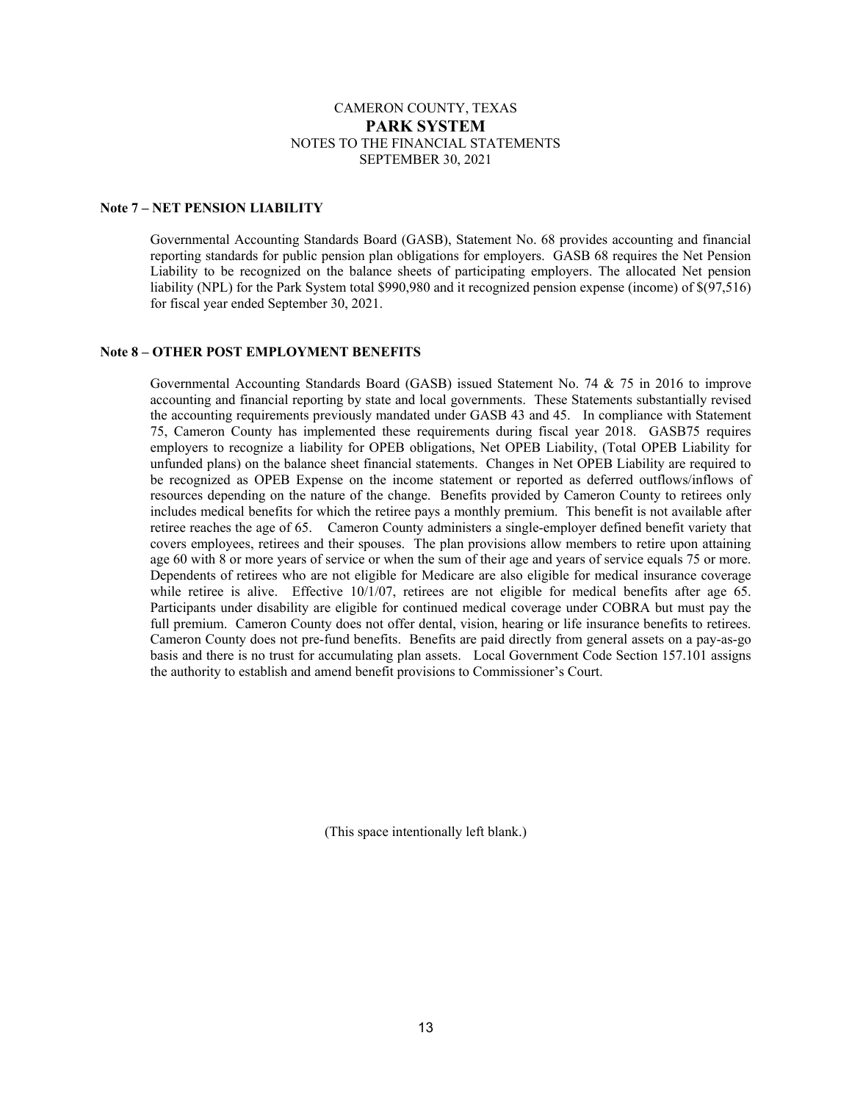#### **Note 7 – NET PENSION LIABILITY**

Governmental Accounting Standards Board (GASB), Statement No. 68 provides accounting and financial reporting standards for public pension plan obligations for employers. GASB 68 requires the Net Pension Liability to be recognized on the balance sheets of participating employers. The allocated Net pension liability (NPL) for the Park System total \$990,980 and it recognized pension expense (income) of \$(97,516) for fiscal year ended September 30, 2021.

### **Note 8 – OTHER POST EMPLOYMENT BENEFITS**

Governmental Accounting Standards Board (GASB) issued Statement No. 74 & 75 in 2016 to improve accounting and financial reporting by state and local governments. These Statements substantially revised the accounting requirements previously mandated under GASB 43 and 45. In compliance with Statement 75, Cameron County has implemented these requirements during fiscal year 2018. GASB75 requires employers to recognize a liability for OPEB obligations, Net OPEB Liability, (Total OPEB Liability for unfunded plans) on the balance sheet financial statements. Changes in Net OPEB Liability are required to be recognized as OPEB Expense on the income statement or reported as deferred outflows/inflows of resources depending on the nature of the change. Benefits provided by Cameron County to retirees only includes medical benefits for which the retiree pays a monthly premium. This benefit is not available after retiree reaches the age of 65. Cameron County administers a single-employer defined benefit variety that covers employees, retirees and their spouses. The plan provisions allow members to retire upon attaining age 60 with 8 or more years of service or when the sum of their age and years of service equals 75 or more. Dependents of retirees who are not eligible for Medicare are also eligible for medical insurance coverage while retiree is alive. Effective 10/1/07, retirees are not eligible for medical benefits after age 65. Participants under disability are eligible for continued medical coverage under COBRA but must pay the full premium. Cameron County does not offer dental, vision, hearing or life insurance benefits to retirees. Cameron County does not pre-fund benefits. Benefits are paid directly from general assets on a pay-as-go basis and there is no trust for accumulating plan assets. Local Government Code Section 157.101 assigns the authority to establish and amend benefit provisions to Commissioner's Court.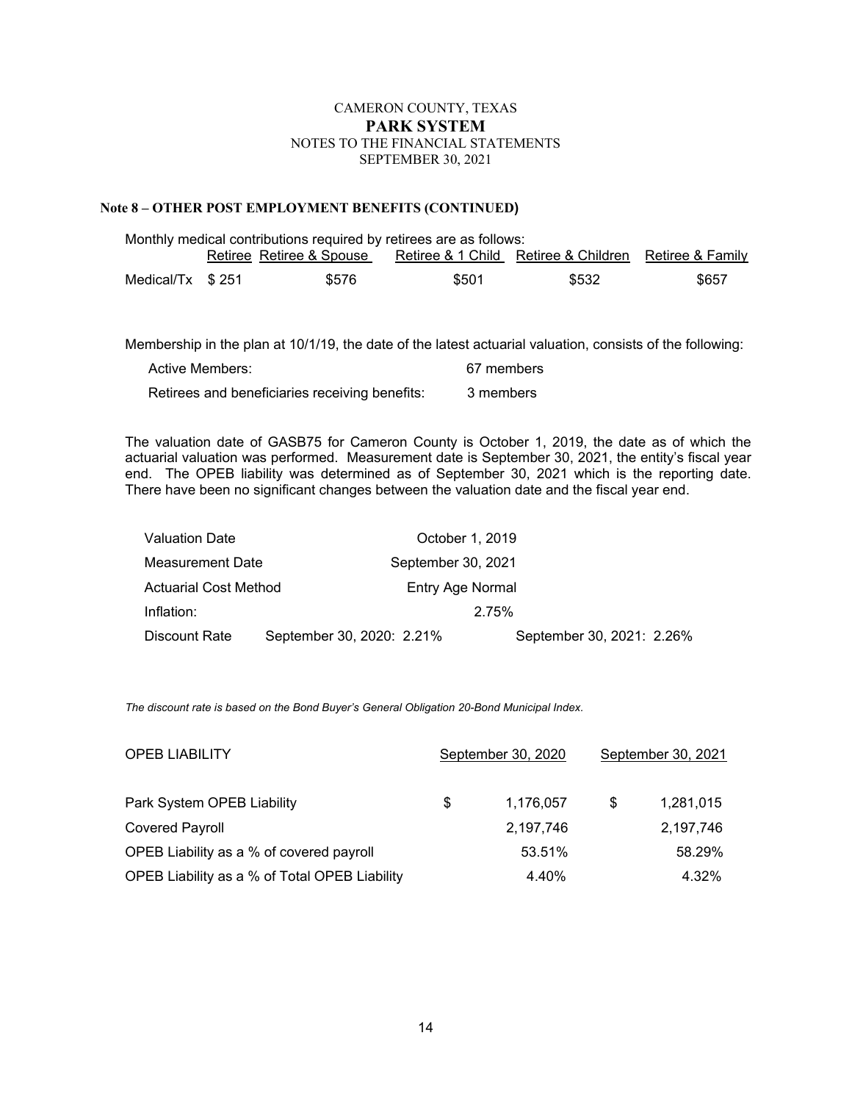### **Note 8 – OTHER POST EMPLOYMENT BENEFITS (CONTINUED)**

| Monthly medical contributions required by retirees are as follows: |  |                          |       |                                                       |       |
|--------------------------------------------------------------------|--|--------------------------|-------|-------------------------------------------------------|-------|
|                                                                    |  | Retiree Retiree & Spouse |       | Retiree & 1 Child Retiree & Children Retiree & Family |       |
| Medical/Tx \$251                                                   |  | \$576                    | \$501 | \$532                                                 | \$657 |

Membership in the plan at 10/1/19, the date of the latest actuarial valuation, consists of the following:

| Active Members:                                | 67 members |
|------------------------------------------------|------------|
| Retirees and beneficiaries receiving benefits: | 3 members  |

The valuation date of GASB75 for Cameron County is October 1, 2019, the date as of which the actuarial valuation was performed. Measurement date is September 30, 2021, the entity's fiscal year end. The OPEB liability was determined as of September 30, 2021 which is the reporting date. There have been no significant changes between the valuation date and the fiscal year end.

| <b>Valuation Date</b>        |                           | October 1, 2019    |                           |
|------------------------------|---------------------------|--------------------|---------------------------|
| Measurement Date             |                           | September 30, 2021 |                           |
| <b>Actuarial Cost Method</b> |                           | Entry Age Normal   |                           |
| Inflation:                   |                           | 2.75%              |                           |
| Discount Rate                | September 30, 2020: 2.21% |                    | September 30, 2021: 2.26% |

*The discount rate is based on the Bond Buyer's General Obligation 20-Bond Municipal Index.* 

| <b>OPEB LIABILITY</b>                         | September 30, 2020 |           | September 30, 2021 |           |
|-----------------------------------------------|--------------------|-----------|--------------------|-----------|
| Park System OPEB Liability                    | S                  | 1,176,057 | \$                 | 1,281,015 |
| <b>Covered Payroll</b>                        |                    | 2,197,746 |                    | 2,197,746 |
| OPEB Liability as a % of covered payroll      |                    | 53.51%    |                    | 58.29%    |
| OPEB Liability as a % of Total OPEB Liability |                    | 4.40%     |                    | 4.32%     |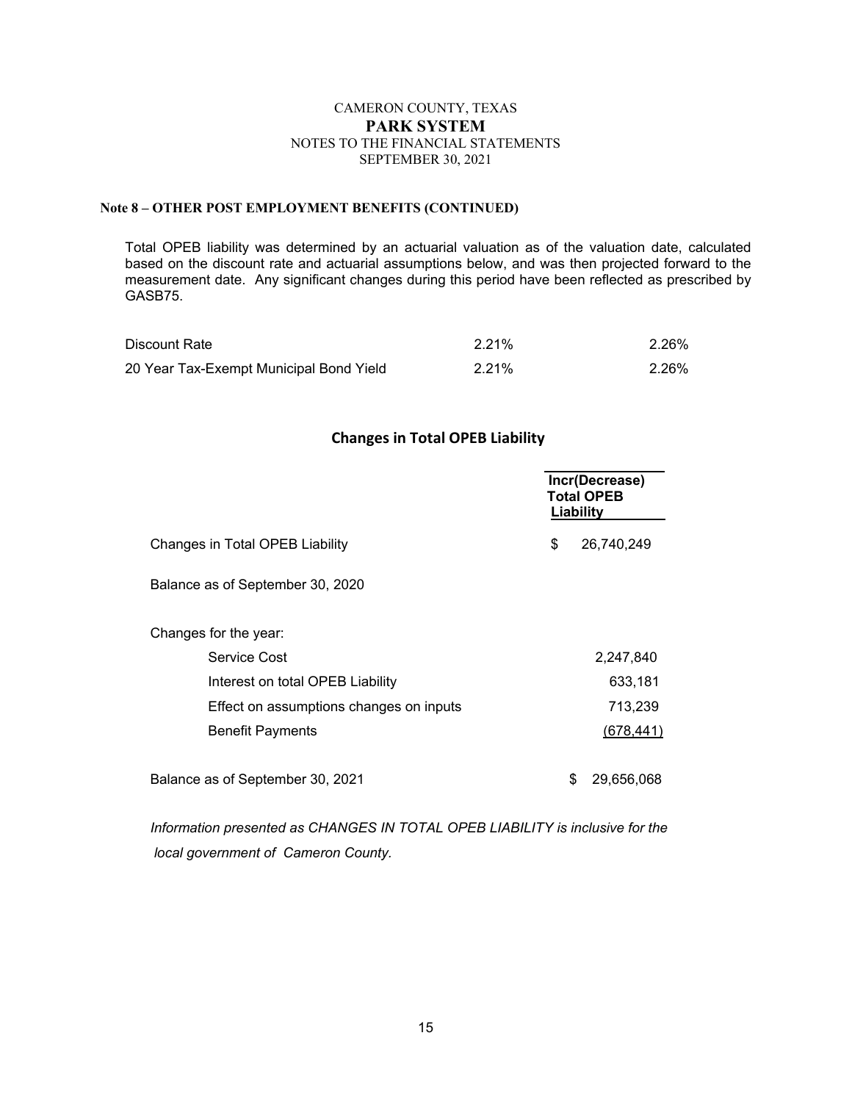### **Note 8 – OTHER POST EMPLOYMENT BENEFITS (CONTINUED)**

Total OPEB liability was determined by an actuarial valuation as of the valuation date, calculated based on the discount rate and actuarial assumptions below, and was then projected forward to the measurement date. Any significant changes during this period have been reflected as prescribed by GASB75.

| Discount Rate                           | 2.21% | 2.26% |
|-----------------------------------------|-------|-------|
| 20 Year Tax-Exempt Municipal Bond Yield | 2.21% | 2.26% |

# **Changes in Total OPEB Liability**

|                                         | Incr(Decrease)<br><b>Total OPEB</b><br>Liability |
|-----------------------------------------|--------------------------------------------------|
| <b>Changes in Total OPEB Liability</b>  | \$<br>26,740,249                                 |
| Balance as of September 30, 2020        |                                                  |
| Changes for the year:                   |                                                  |
| Service Cost                            | 2,247,840                                        |
| Interest on total OPEB Liability        | 633,181                                          |
| Effect on assumptions changes on inputs | 713,239                                          |
| <b>Benefit Payments</b>                 | (678, 441)                                       |
| Balance as of September 30, 2021        | \$<br>29,656,068                                 |

*Information presented as CHANGES IN TOTAL OPEB LIABILITY is inclusive for the local government of Cameron County.*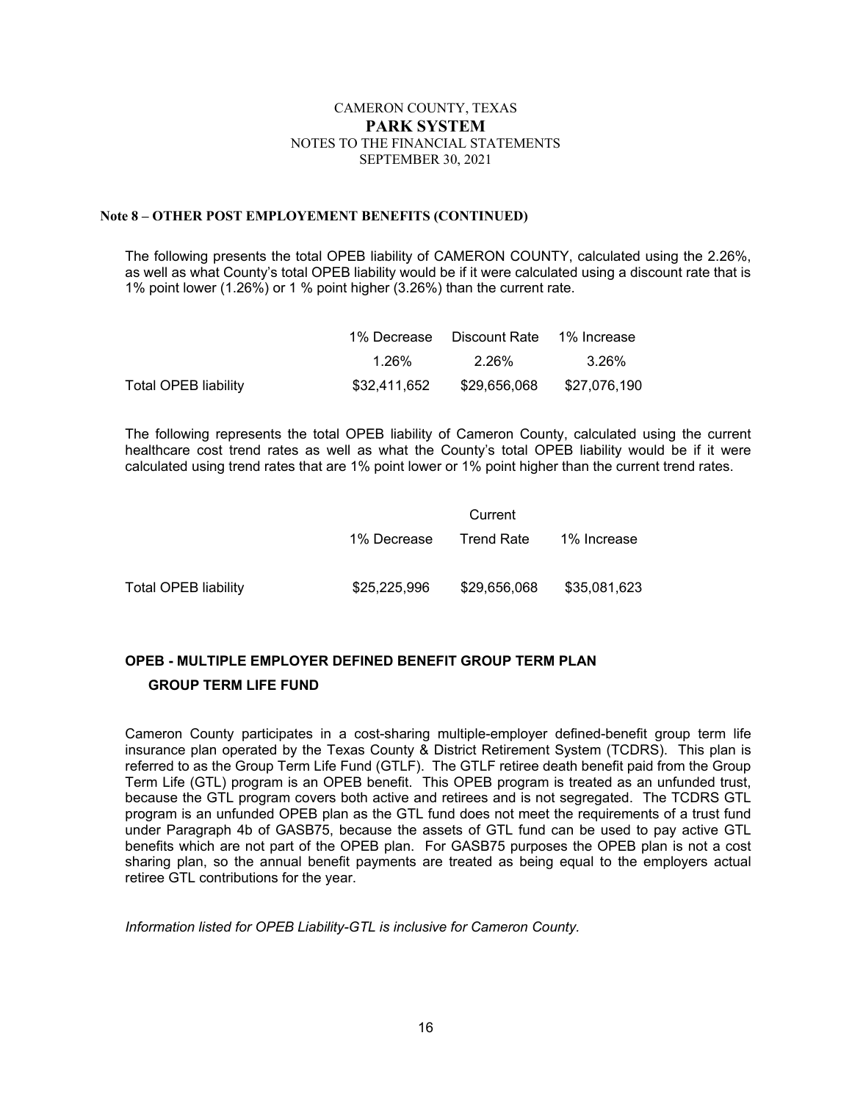### **Note 8 – OTHER POST EMPLOYEMENT BENEFITS (CONTINUED)**

The following presents the total OPEB liability of CAMERON COUNTY, calculated using the 2.26%, as well as what County's total OPEB liability would be if it were calculated using a discount rate that is 1% point lower (1.26%) or 1 % point higher (3.26%) than the current rate.

|                      | 1% Decrease  | Discount Rate 1% Increase |              |
|----------------------|--------------|---------------------------|--------------|
|                      | 1 26%        | 2.26%                     | 3.26%        |
| Total OPEB liability | \$32.411.652 | \$29.656.068              | \$27.076.190 |

The following represents the total OPEB liability of Cameron County, calculated using the current healthcare cost trend rates as well as what the County's total OPEB liability would be if it were calculated using trend rates that are 1% point lower or 1% point higher than the current trend rates.

|                      | Current      |              |              |
|----------------------|--------------|--------------|--------------|
|                      | 1% Decrease  | Trend Rate   | 1% Increase  |
| Total OPEB liability | \$25,225,996 | \$29.656.068 | \$35,081,623 |

# **OPEB - MULTIPLE EMPLOYER DEFINED BENEFIT GROUP TERM PLAN GROUP TERM LIFE FUND**

Cameron County participates in a cost-sharing multiple-employer defined-benefit group term life insurance plan operated by the Texas County & District Retirement System (TCDRS). This plan is referred to as the Group Term Life Fund (GTLF). The GTLF retiree death benefit paid from the Group Term Life (GTL) program is an OPEB benefit. This OPEB program is treated as an unfunded trust, because the GTL program covers both active and retirees and is not segregated. The TCDRS GTL program is an unfunded OPEB plan as the GTL fund does not meet the requirements of a trust fund under Paragraph 4b of GASB75, because the assets of GTL fund can be used to pay active GTL benefits which are not part of the OPEB plan. For GASB75 purposes the OPEB plan is not a cost sharing plan, so the annual benefit payments are treated as being equal to the employers actual retiree GTL contributions for the year.

*Information listed for OPEB Liability-GTL is inclusive for Cameron County.*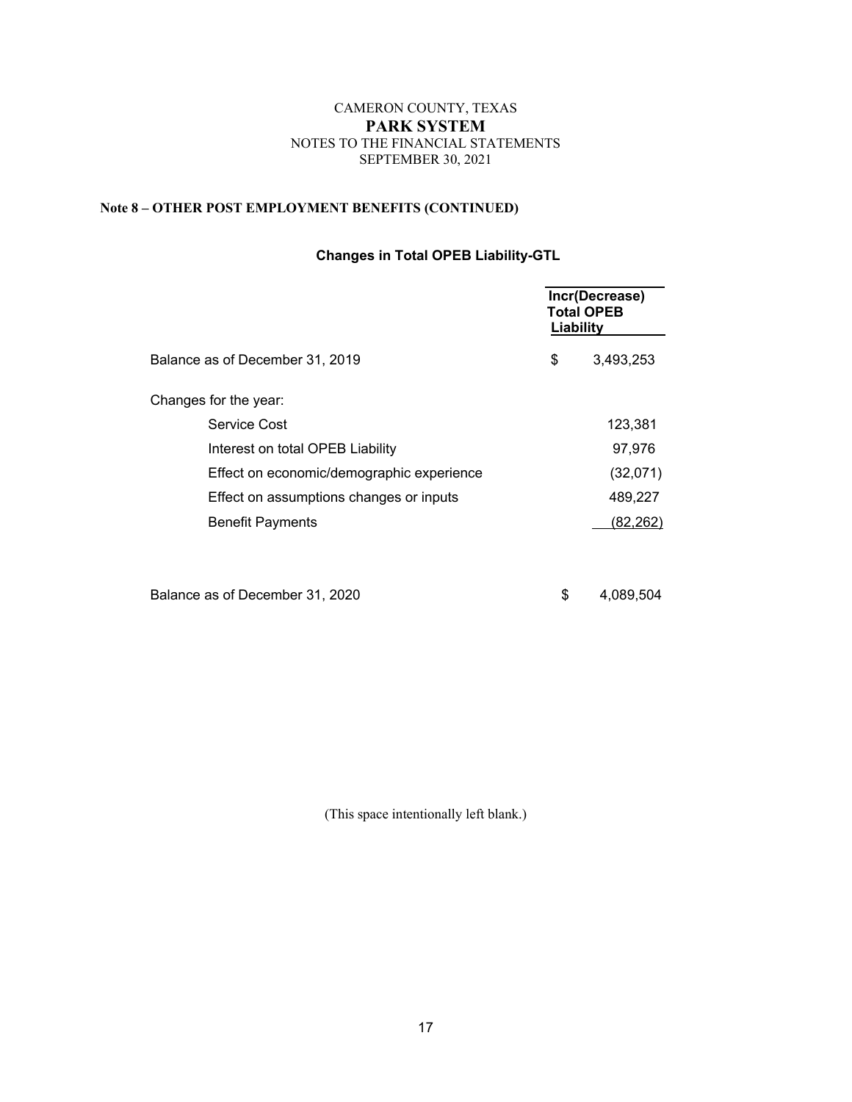# **Note 8 – OTHER POST EMPLOYMENT BENEFITS (CONTINUED)**

# **Changes in Total OPEB Liability-GTL**

|                                           | Incr(Decrease)<br><b>Total OPEB</b><br>Liability |
|-------------------------------------------|--------------------------------------------------|
| Balance as of December 31, 2019           | \$<br>3,493,253                                  |
| Changes for the year:                     |                                                  |
| Service Cost                              | 123,381                                          |
| Interest on total OPEB Liability          | 97,976                                           |
| Effect on economic/demographic experience | (32,071)                                         |
| Effect on assumptions changes or inputs   | 489,227                                          |
| <b>Benefit Payments</b>                   | (82, 262)                                        |
|                                           |                                                  |

Balance as of December 31, 2020 **\$** 4,089,504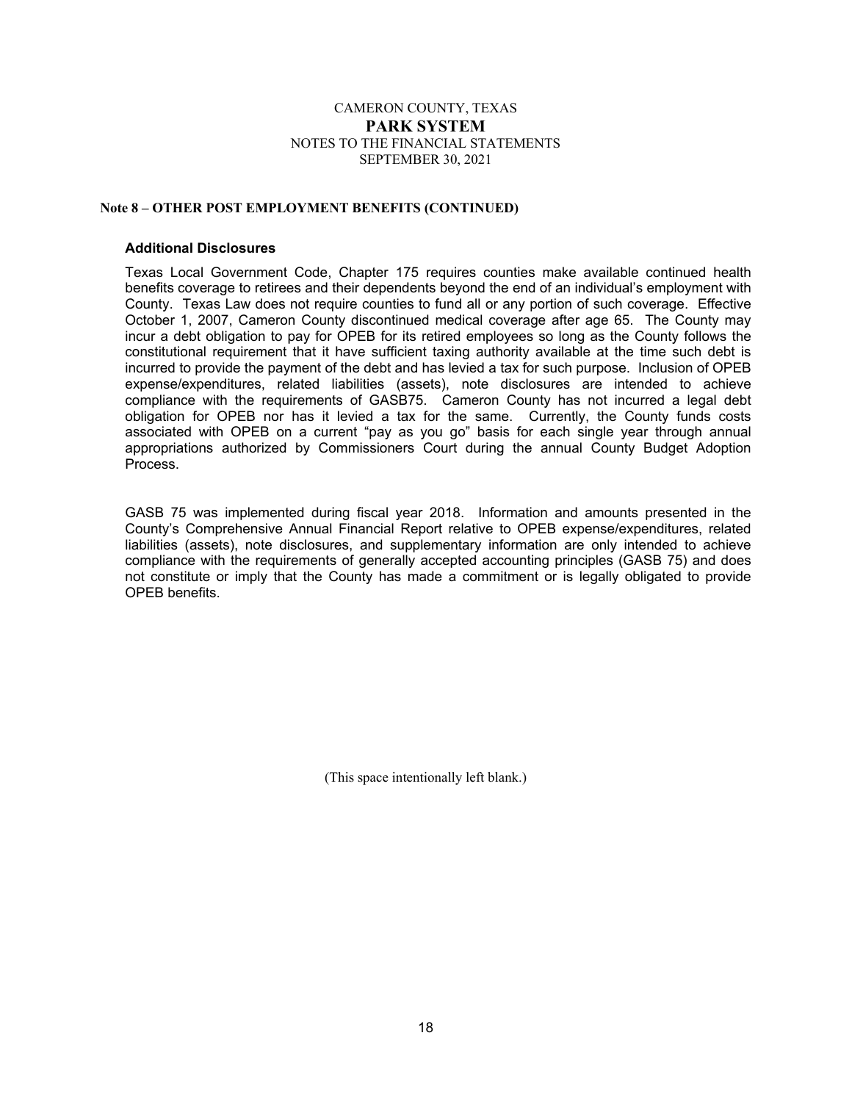### **Note 8 – OTHER POST EMPLOYMENT BENEFITS (CONTINUED)**

### **Additional Disclosures**

Texas Local Government Code, Chapter 175 requires counties make available continued health benefits coverage to retirees and their dependents beyond the end of an individual's employment with County. Texas Law does not require counties to fund all or any portion of such coverage. Effective October 1, 2007, Cameron County discontinued medical coverage after age 65. The County may incur a debt obligation to pay for OPEB for its retired employees so long as the County follows the constitutional requirement that it have sufficient taxing authority available at the time such debt is incurred to provide the payment of the debt and has levied a tax for such purpose. Inclusion of OPEB expense/expenditures, related liabilities (assets), note disclosures are intended to achieve compliance with the requirements of GASB75. Cameron County has not incurred a legal debt obligation for OPEB nor has it levied a tax for the same. Currently, the County funds costs associated with OPEB on a current "pay as you go" basis for each single year through annual appropriations authorized by Commissioners Court during the annual County Budget Adoption Process.

GASB 75 was implemented during fiscal year 2018. Information and amounts presented in the County's Comprehensive Annual Financial Report relative to OPEB expense/expenditures, related liabilities (assets), note disclosures, and supplementary information are only intended to achieve compliance with the requirements of generally accepted accounting principles (GASB 75) and does not constitute or imply that the County has made a commitment or is legally obligated to provide OPEB benefits.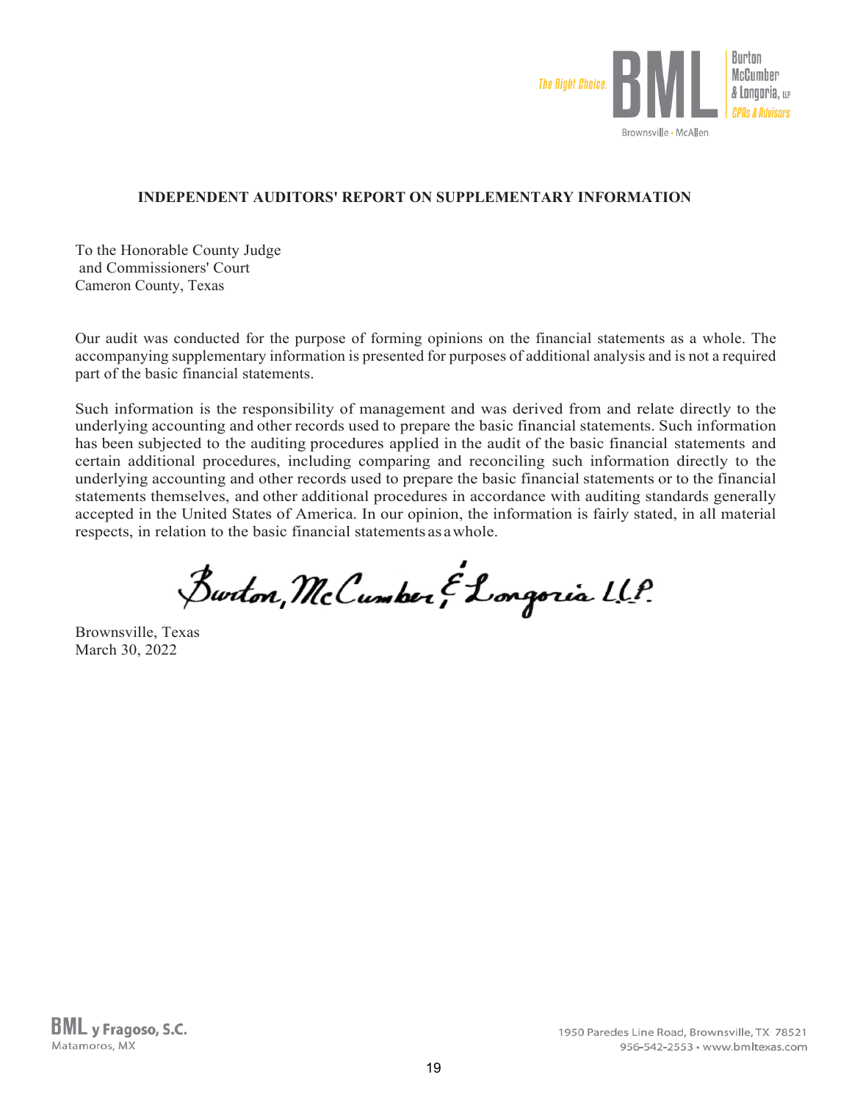

### **INDEPENDENT AUDITORS' REPORT ON SUPPLEMENTARY INFORMATION**

To the Honorable County Judge and Commissioners' Court Cameron County, Texas

Our audit was conducted for the purpose of forming opinions on the financial statements as a whole. The accompanying supplementary information is presented for purposes of additional analysis and is not a required part of the basic financial statements.

Such information is the responsibility of management and was derived from and relate directly to the underlying accounting and other records used to prepare the basic financial statements. Such information has been subjected to the auditing procedures applied in the audit of the basic financial statements and certain additional procedures, including comparing and reconciling such information directly to the underlying accounting and other records used to prepare the basic financial statements or to the financial statements themselves, and other additional procedures in accordance with auditing standards generally accepted in the United States of America. In our opinion, the information is fairly stated, in all material respects, in relation to the basic financial statements as a whole.

Burton, McCumber, ELongoria LLP.

Brownsville, Texas March 30, 2022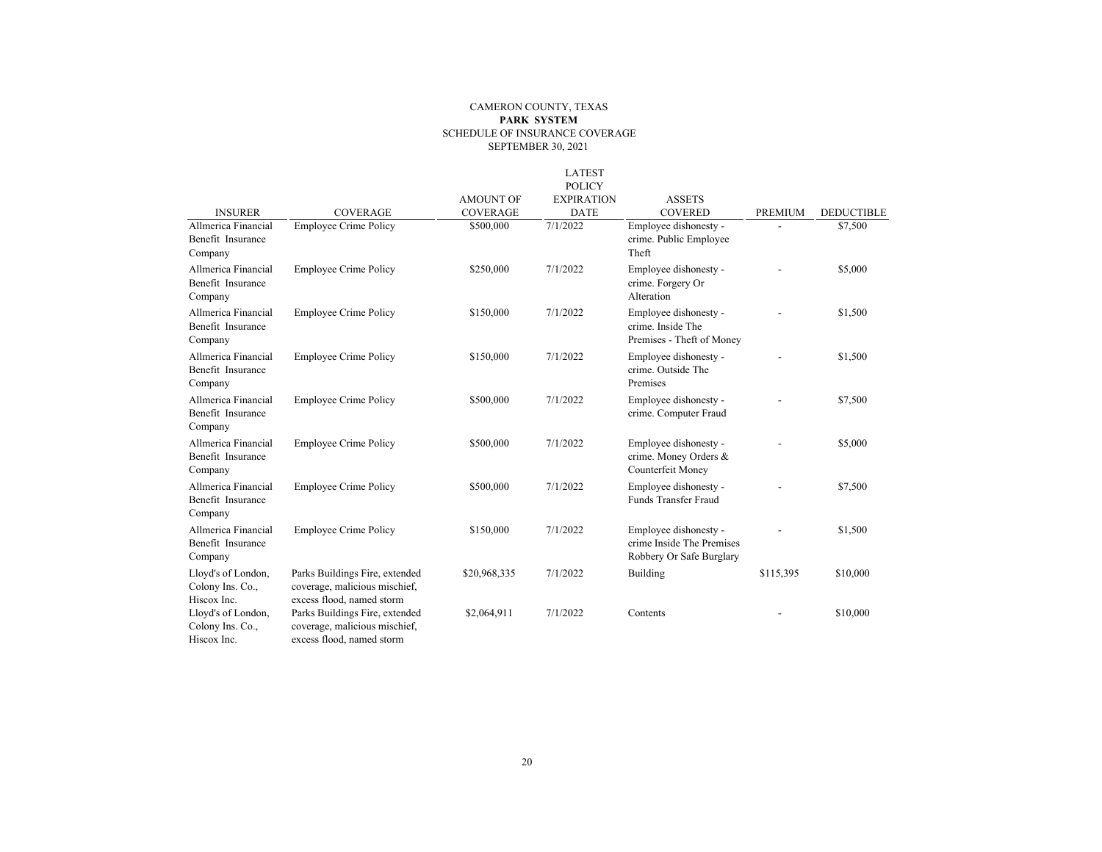#### CAMERON COUNTY, TEXAS **PARK SYSTEM** SCHEDULE OF INSURANCE COVERAGE SEPTEMBER 30, 2021

|                                                       |                                                                                              | <b>AMOUNT OF</b> | <b>LATEST</b><br><b>POLICY</b><br><b>EXPIRATION</b> | <b>ASSETS</b>                                                                  |                |                   |
|-------------------------------------------------------|----------------------------------------------------------------------------------------------|------------------|-----------------------------------------------------|--------------------------------------------------------------------------------|----------------|-------------------|
| <b>INSURER</b>                                        | <b>COVERAGE</b>                                                                              | <b>COVERAGE</b>  | <b>DATE</b>                                         | <b>COVERED</b>                                                                 | <b>PREMIUM</b> | <b>DEDUCTIBLE</b> |
| Allmerica Financial<br>Benefit Insurance<br>Company   | <b>Employee Crime Policy</b>                                                                 | \$500,000        | 7/1/2022                                            | Employee dishonesty -<br>crime. Public Employee<br>Theft                       |                | \$7,500           |
| Allmerica Financial<br>Benefit Insurance<br>Company   | <b>Employee Crime Policy</b>                                                                 | \$250,000        | 7/1/2022                                            | Employee dishonesty -<br>crime. Forgery Or<br>Alteration                       |                | \$5,000           |
| Allmerica Financial<br>Benefit Insurance<br>Company   | <b>Employee Crime Policy</b>                                                                 | \$150,000        | 7/1/2022                                            | Employee dishonesty -<br>crime. Inside The<br>Premises - Theft of Money        |                | \$1,500           |
| Allmerica Financial<br>Benefit Insurance<br>Company   | <b>Employee Crime Policy</b>                                                                 | \$150,000        | 7/1/2022                                            | Employee dishonesty -<br>crime. Outside The<br>Premises                        |                | \$1,500           |
| Allmerica Financial<br>Benefit Insurance<br>Company   | <b>Employee Crime Policy</b>                                                                 | \$500,000        | 7/1/2022                                            | Employee dishonesty -<br>crime. Computer Fraud                                 |                | \$7,500           |
| Allmerica Financial<br>Benefit Insurance<br>Company   | <b>Employee Crime Policy</b>                                                                 | \$500,000        | 7/1/2022                                            | Employee dishonesty -<br>crime. Money Orders &<br>Counterfeit Money            |                | \$5,000           |
| Allmerica Financial<br>Benefit Insurance<br>Company   | <b>Employee Crime Policy</b>                                                                 | \$500,000        | 7/1/2022                                            | Employee dishonesty -<br><b>Funds Transfer Fraud</b>                           |                | \$7,500           |
| Allmerica Financial<br>Benefit Insurance<br>Company   | <b>Employee Crime Policy</b>                                                                 | \$150,000        | 7/1/2022                                            | Employee dishonesty -<br>crime Inside The Premises<br>Robbery Or Safe Burglary |                | \$1,500           |
| Lloyd's of London,<br>Colony Ins. Co.,<br>Hiscox Inc. | Parks Buildings Fire, extended<br>coverage, malicious mischief,<br>excess flood, named storm | \$20,968,335     | 7/1/2022                                            | Building                                                                       | \$115,395      | \$10,000          |
| Lloyd's of London,<br>Colony Ins. Co.,<br>Hiscox Inc. | Parks Buildings Fire, extended<br>coverage, malicious mischief,<br>excess flood, named storm | \$2,064,911      | 7/1/2022                                            | Contents                                                                       |                | \$10,000          |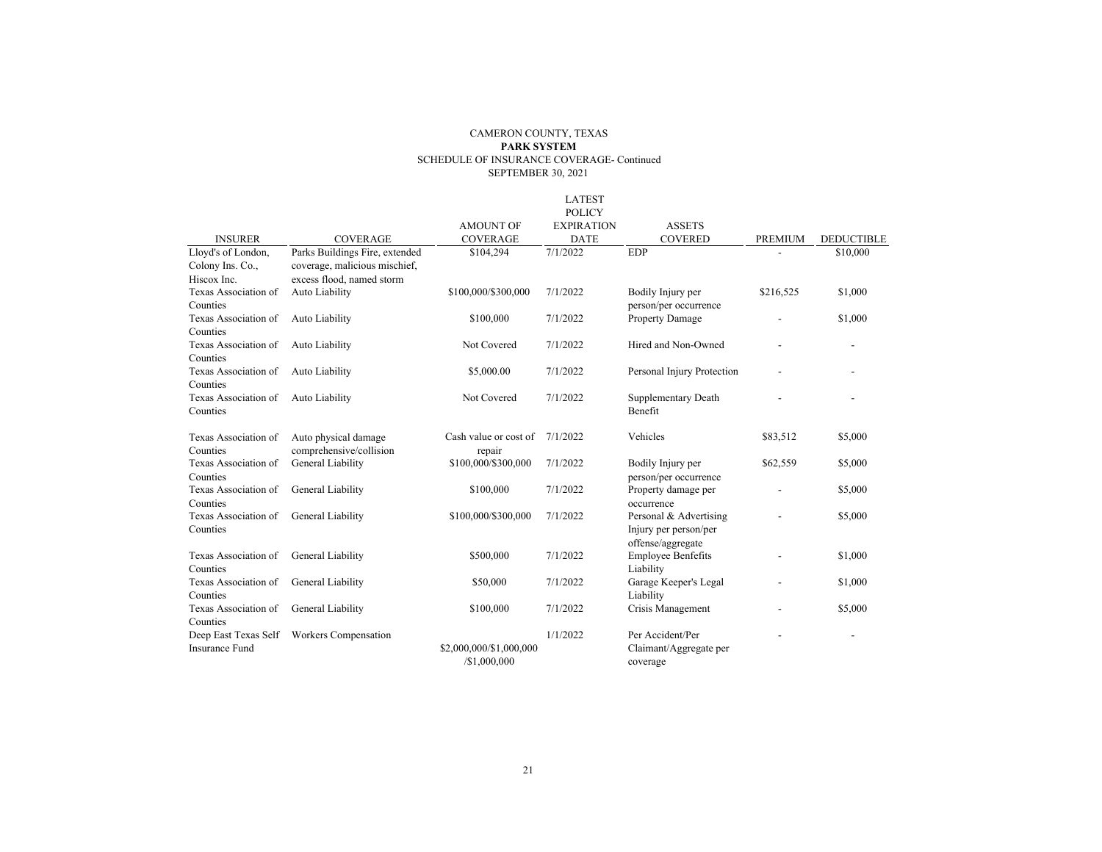#### SCHEDULE OF INSURANCE COVERAGE- Continued SEPTEMBER 30, 2021 CAMERON COUNTY, TEXAS **PARK SYSTEM**

|                                                       |                                                                                              | <b>AMOUNT OF</b>                           | <b>LATEST</b><br><b>POLICY</b><br><b>EXPIRATION</b> | <b>ASSETS</b>                                                        |                |                          |
|-------------------------------------------------------|----------------------------------------------------------------------------------------------|--------------------------------------------|-----------------------------------------------------|----------------------------------------------------------------------|----------------|--------------------------|
| <b>INSURER</b>                                        | <b>COVERAGE</b>                                                                              | <b>COVERAGE</b>                            | <b>DATE</b>                                         | <b>COVERED</b>                                                       | <b>PREMIUM</b> | <b>DEDUCTIBLE</b>        |
| Lloyd's of London,<br>Colony Ins. Co.,<br>Hiscox Inc. | Parks Buildings Fire, extended<br>coverage, malicious mischief,<br>excess flood, named storm | \$104,294                                  | 7/1/2022                                            | <b>EDP</b>                                                           |                | \$10,000                 |
| Texas Association of<br>Counties                      | Auto Liability                                                                               | \$100,000/\$300,000                        | 7/1/2022                                            | Bodily Injury per<br>person/per occurrence                           | \$216,525      | \$1,000                  |
| Texas Association of<br>Counties                      | Auto Liability                                                                               | \$100,000                                  | 7/1/2022                                            | Property Damage                                                      |                | \$1,000                  |
| Texas Association of<br>Counties                      | Auto Liability                                                                               | Not Covered                                | 7/1/2022                                            | Hired and Non-Owned                                                  |                |                          |
| Texas Association of<br>Counties                      | Auto Liability                                                                               | \$5,000.00                                 | 7/1/2022                                            | Personal Injury Protection                                           |                |                          |
| Texas Association of<br>Counties                      | Auto Liability                                                                               | Not Covered                                | 7/1/2022                                            | Supplementary Death<br><b>Benefit</b>                                |                | $\overline{\phantom{0}}$ |
| Texas Association of<br>Counties                      | Auto physical damage<br>comprehensive/collision                                              | Cash value or cost of<br>repair            | 7/1/2022                                            | Vehicles                                                             | \$83,512       | \$5,000                  |
| Texas Association of<br>Counties                      | General Liability                                                                            | \$100,000/\$300,000                        | 7/1/2022                                            | Bodily Injury per<br>person/per occurrence                           | \$62,559       | \$5,000                  |
| Texas Association of<br>Counties                      | General Liability                                                                            | \$100,000                                  | 7/1/2022                                            | Property damage per<br>occurrence                                    |                | \$5,000                  |
| Texas Association of<br>Counties                      | General Liability                                                                            | \$100,000/\$300,000                        | 7/1/2022                                            | Personal & Advertising<br>Injury per person/per<br>offense/aggregate |                | \$5,000                  |
| Texas Association of<br>Counties                      | General Liability                                                                            | \$500,000                                  | 7/1/2022                                            | <b>Employee Benfefits</b><br>Liability                               |                | \$1,000                  |
| Texas Association of<br>Counties                      | General Liability                                                                            | \$50,000                                   | 7/1/2022                                            | Garage Keeper's Legal<br>Liability                                   |                | \$1,000                  |
| Texas Association of<br>Counties                      | General Liability                                                                            | \$100,000                                  | 7/1/2022                                            | Crisis Management                                                    |                | \$5,000                  |
| Deep East Texas Self<br><b>Insurance Fund</b>         | Workers Compensation                                                                         | \$2,000,000/\$1,000,000<br>$/$ \$1,000,000 | 1/1/2022                                            | Per Accident/Per<br>Claimant/Aggregate per<br>coverage               |                |                          |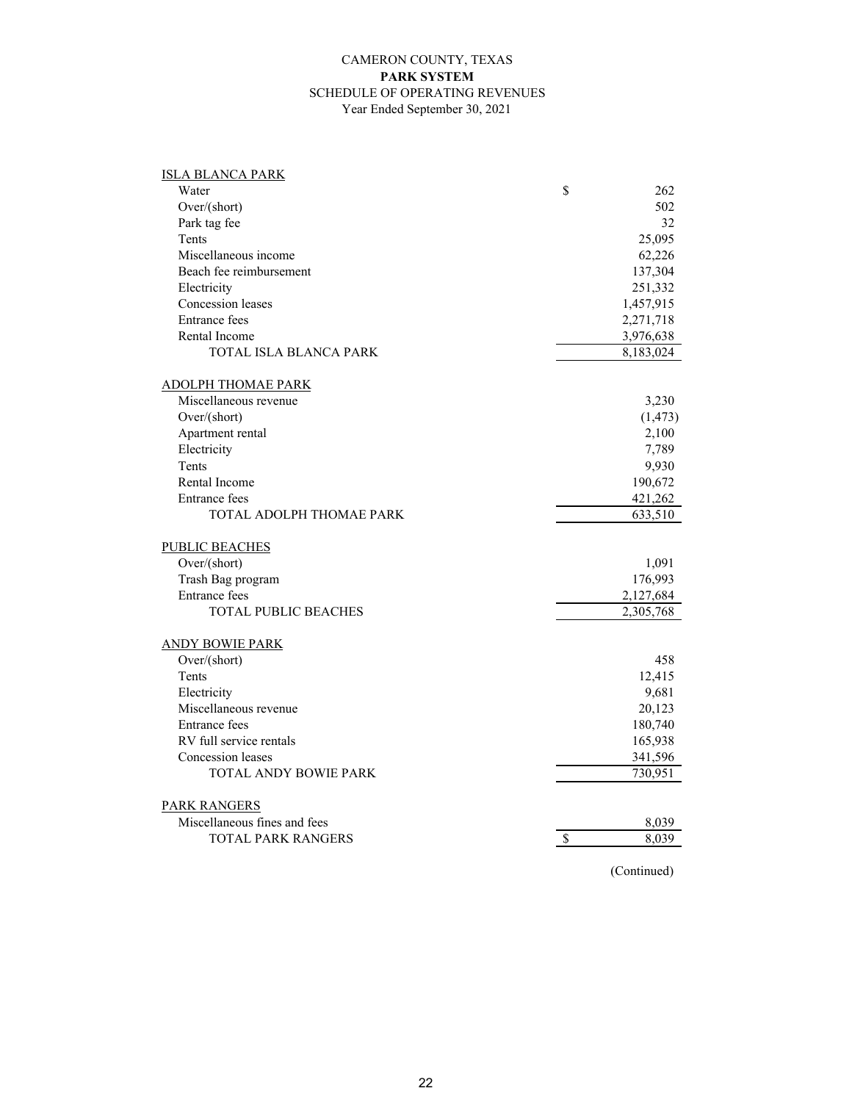### CAMERON COUNTY, TEXAS **PARK SYSTEM** SCHEDULE OF OPERATING REVENUES Year Ended September 30, 2021

| <b>ISLA BLANCA PARK</b>      |             |
|------------------------------|-------------|
| Water                        | \$<br>262   |
| Over/(short)                 | 502         |
| Park tag fee                 | 32          |
| Tents                        | 25,095      |
| Miscellaneous income         | 62,226      |
| Beach fee reimbursement      | 137,304     |
| Electricity                  | 251,332     |
| Concession leases            | 1,457,915   |
| <b>Entrance</b> fees         | 2,271,718   |
| Rental Income                | 3,976,638   |
| TOTAL ISLA BLANCA PARK       | 8,183,024   |
| <b>ADOLPH THOMAE PARK</b>    |             |
| Miscellaneous revenue        | 3,230       |
| Over/(short)                 | (1, 473)    |
| Apartment rental             | 2,100       |
| Electricity                  | 7,789       |
| Tents                        | 9,930       |
| Rental Income                | 190,672     |
| <b>Entrance</b> fees         | 421,262     |
| TOTAL ADOLPH THOMAE PARK     | 633,510     |
| <b>PUBLIC BEACHES</b>        |             |
| Over/(short)                 | 1,091       |
| Trash Bag program            | 176,993     |
| <b>Entrance</b> fees         | 2,127,684   |
| TOTAL PUBLIC BEACHES         | 2,305,768   |
| <b>ANDY BOWIE PARK</b>       |             |
| Over/(short)                 | 458         |
| Tents                        | 12,415      |
| Electricity                  | 9,681       |
| Miscellaneous revenue        | 20,123      |
| <b>Entrance</b> fees         | 180,740     |
| RV full service rentals      | 165,938     |
| Concession leases            | 341,596     |
| <b>TOTAL ANDY BOWIE PARK</b> | 730,951     |
| <b>PARK RANGERS</b>          |             |
| Miscellaneous fines and fees | 8,039       |
| <b>TOTAL PARK RANGERS</b>    | \$<br>8.039 |
|                              |             |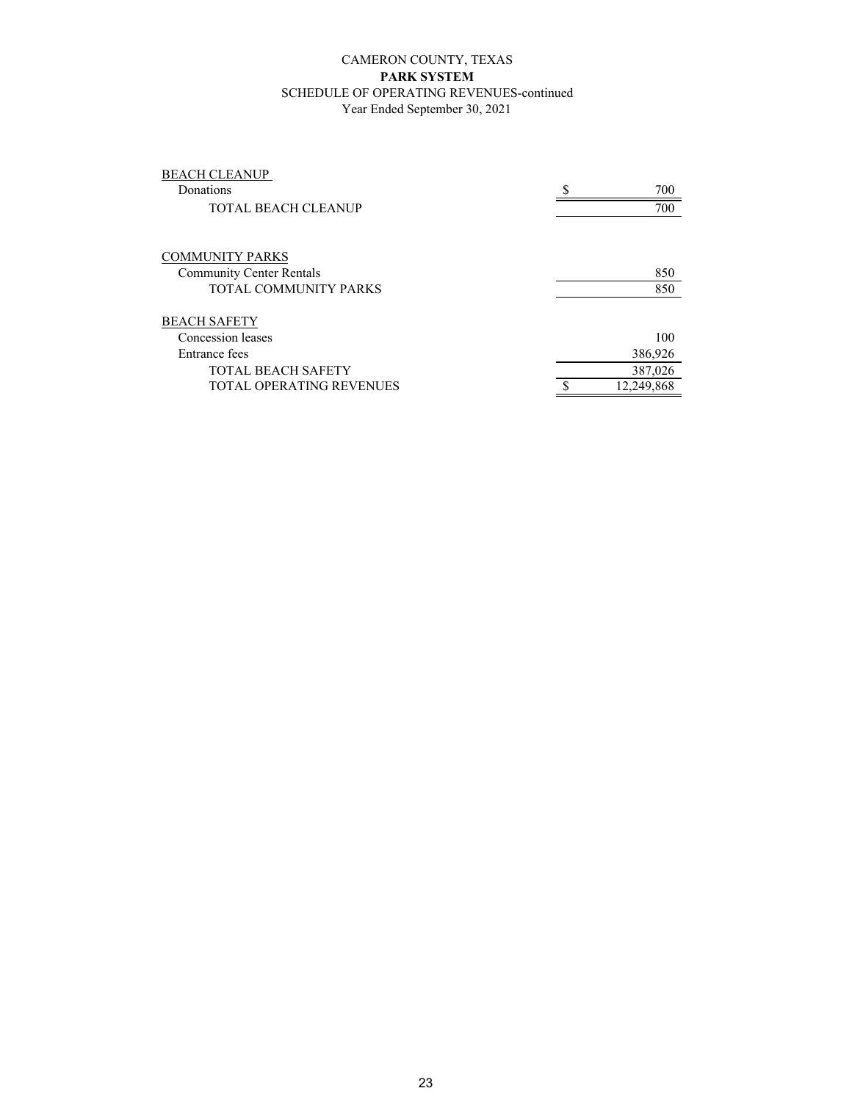### CAMERON COUNTY, TEXAS **PARK SYSTEM** SCHEDULE OF OPERATING REVENUES-continued Year Ended September 30, 2021

# BEACH CLEANUP Donations \$ 700 TOTAL BEACH CLEANUP 700 COMMUNITY PARKS Community Center Rentals 850 TOTAL COMMUNITY PARKS 850 **BEACH SAFETY** Concession leases 100 Entrance fees 386,926 TOTAL BEACH SAFETY 387,026 TOTAL OPERATING REVENUES  $\overline{\text{S}}$  12,249,868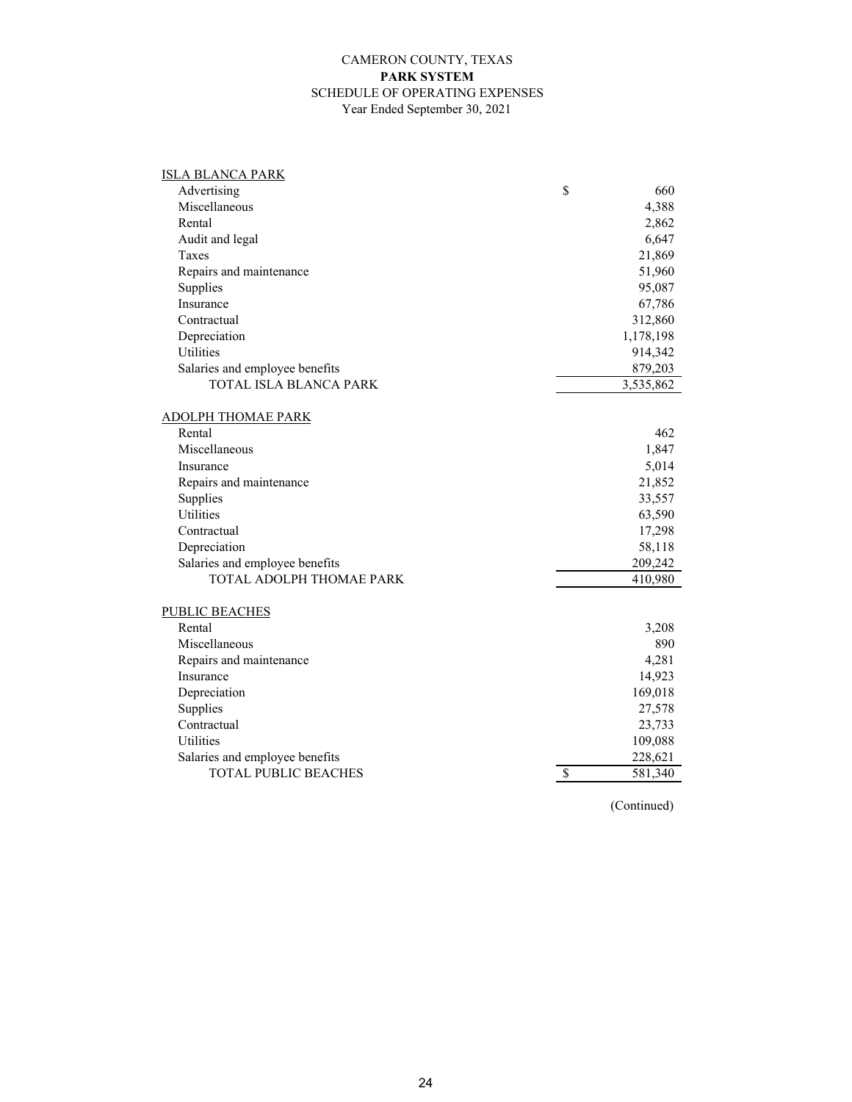### CAMERON COUNTY, TEXAS **PARK SYSTEM** SCHEDULE OF OPERATING EXPENSES Year Ended September 30, 2021

| \$<br>Advertising<br>Miscellaneous<br>Rental<br>Audit and legal<br>Taxes<br>Repairs and maintenance<br>Supplies<br>Insurance<br>Contractual<br>Depreciation<br>Utilities<br>Salaries and employee benefits<br><b>TOTAL ISLA BLANCA PARK</b><br><b>ADOLPH THOMAE PARK</b><br>Rental<br>Miscellaneous<br>Insurance<br>Repairs and maintenance | 660<br>4,388<br>2,862<br>6,647 |
|---------------------------------------------------------------------------------------------------------------------------------------------------------------------------------------------------------------------------------------------------------------------------------------------------------------------------------------------|--------------------------------|
|                                                                                                                                                                                                                                                                                                                                             |                                |
|                                                                                                                                                                                                                                                                                                                                             |                                |
|                                                                                                                                                                                                                                                                                                                                             |                                |
|                                                                                                                                                                                                                                                                                                                                             |                                |
|                                                                                                                                                                                                                                                                                                                                             | 21,869                         |
|                                                                                                                                                                                                                                                                                                                                             | 51,960                         |
|                                                                                                                                                                                                                                                                                                                                             | 95,087                         |
|                                                                                                                                                                                                                                                                                                                                             | 67,786                         |
|                                                                                                                                                                                                                                                                                                                                             | 312,860                        |
|                                                                                                                                                                                                                                                                                                                                             | 1,178,198                      |
|                                                                                                                                                                                                                                                                                                                                             | 914,342                        |
|                                                                                                                                                                                                                                                                                                                                             | 879,203                        |
|                                                                                                                                                                                                                                                                                                                                             | 3,535,862                      |
|                                                                                                                                                                                                                                                                                                                                             |                                |
|                                                                                                                                                                                                                                                                                                                                             | 462                            |
|                                                                                                                                                                                                                                                                                                                                             | 1,847                          |
|                                                                                                                                                                                                                                                                                                                                             | 5,014                          |
|                                                                                                                                                                                                                                                                                                                                             | 21,852                         |
| Supplies                                                                                                                                                                                                                                                                                                                                    | 33,557                         |
| Utilities                                                                                                                                                                                                                                                                                                                                   | 63,590                         |
| Contractual                                                                                                                                                                                                                                                                                                                                 | 17,298                         |
| Depreciation                                                                                                                                                                                                                                                                                                                                | 58,118                         |
| Salaries and employee benefits                                                                                                                                                                                                                                                                                                              | 209,242                        |
| TOTAL ADOLPH THOMAE PARK                                                                                                                                                                                                                                                                                                                    | 410,980                        |
| <b>PUBLIC BEACHES</b>                                                                                                                                                                                                                                                                                                                       |                                |
| Rental                                                                                                                                                                                                                                                                                                                                      | 3,208                          |
| Miscellaneous                                                                                                                                                                                                                                                                                                                               | 890                            |
| Repairs and maintenance                                                                                                                                                                                                                                                                                                                     | 4,281                          |
| Insurance                                                                                                                                                                                                                                                                                                                                   | 14,923                         |
| Depreciation                                                                                                                                                                                                                                                                                                                                | 169,018                        |
| Supplies                                                                                                                                                                                                                                                                                                                                    | 27,578                         |
| Contractual                                                                                                                                                                                                                                                                                                                                 | 23,733                         |
| Utilities                                                                                                                                                                                                                                                                                                                                   | 109,088                        |
| Salaries and employee benefits                                                                                                                                                                                                                                                                                                              | 228,621                        |
| <b>TOTAL PUBLIC BEACHES</b><br>\$                                                                                                                                                                                                                                                                                                           |                                |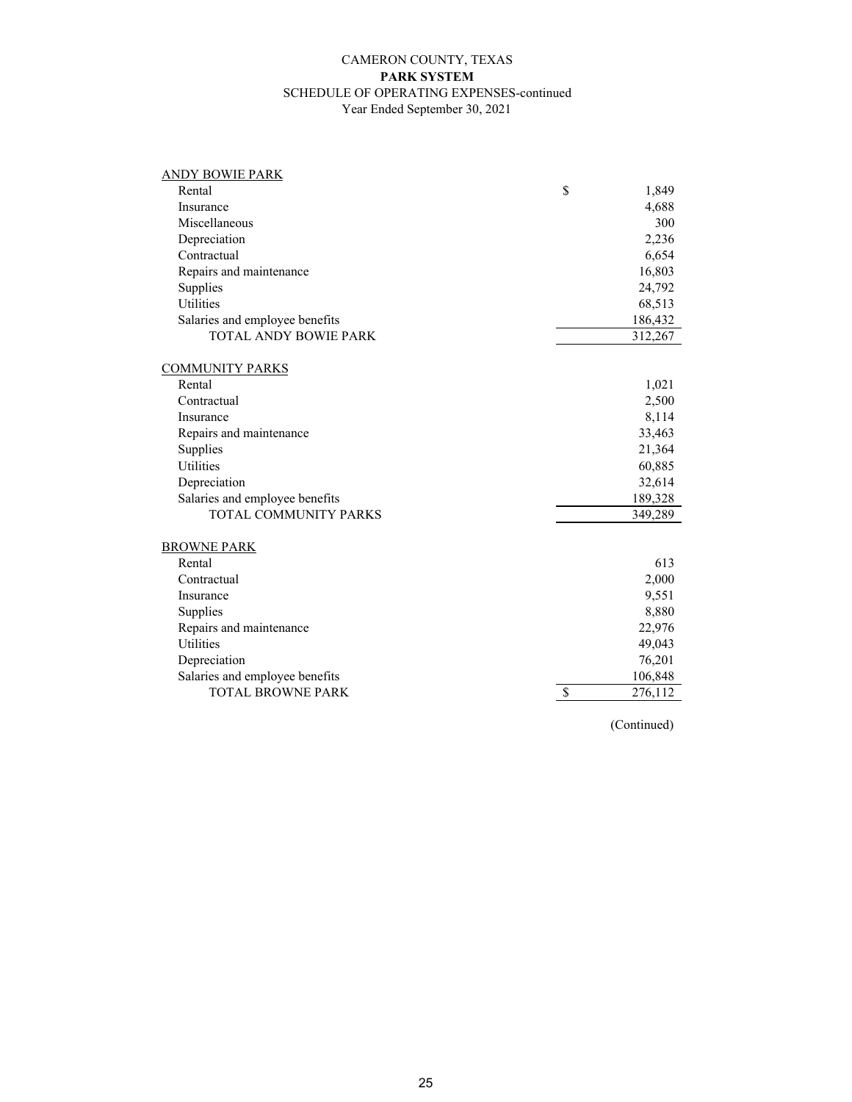### CAMERON COUNTY, TEXAS **PARK SYSTEM** SCHEDULE OF OPERATING EXPENSES-continued Year Ended September 30, 2021

## ANDY BOWIE PARK Rental  $\sim$  1,849 Insurance 4,688 Miscellaneous 300 Depreciation 2,236 Contractual 6,654 Repairs and maintenance 16,803 Supplies 24,792 Utilities 68,513 Salaries and employee benefits 186,432 TOTAL ANDY BOWIE PARK 312,267 COMMUNITY PARKS Rental 1,021 Contractual 2,500 Insurance 8,114 Repairs and maintenance 33,463 Supplies 21,364 Utilities 60,885 Depreciation 32,614 Salaries and employee benefits 189,328 TOTAL COMMUNITY PARKS 349,289 BROWNE PARK Rental 613 Contractual 2,000 Insurance 9,551 Supplies 8,880 Repairs and maintenance 22,976 Utilities 49,043 Depreciation  $76,201$ Salaries and employee benefits 106,848 TOTAL BROWNE PARK  $\overline{\text{S}}$  276,112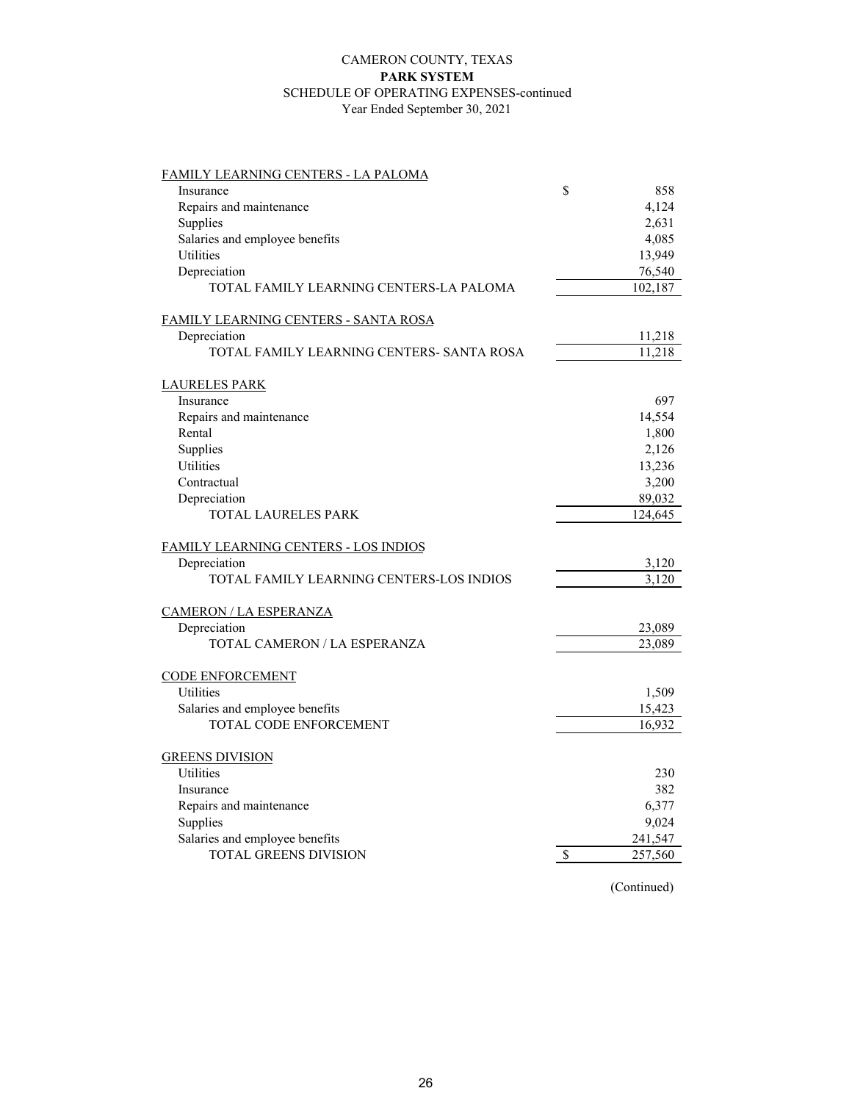### Year Ended September 30, 2021 SCHEDULE OF OPERATING EXPENSES-continued **PARK SYSTEM** CAMERON COUNTY, TEXAS

| FAMILY LEARNING CENTERS - LA PALOMA       |               |
|-------------------------------------------|---------------|
| Insurance                                 | \$<br>858     |
| Repairs and maintenance                   | 4,124         |
| Supplies                                  | 2,631         |
| Salaries and employee benefits            | 4,085         |
| Utilities                                 | 13,949        |
| Depreciation                              | 76,540        |
| TOTAL FAMILY LEARNING CENTERS-LA PALOMA   | 102,187       |
| FAMILY LEARNING CENTERS - SANTA ROSA      |               |
| Depreciation                              | 11,218        |
| TOTAL FAMILY LEARNING CENTERS- SANTA ROSA | 11,218        |
| <b>LAURELES PARK</b>                      |               |
| Insurance                                 | 697           |
| Repairs and maintenance                   | 14,554        |
| Rental                                    | 1,800         |
| Supplies                                  | 2,126         |
| Utilities                                 | 13,236        |
| Contractual                               | 3,200         |
| Depreciation                              | 89,032        |
| <b>TOTAL LAURELES PARK</b>                | 124,645       |
| FAMILY LEARNING CENTERS - LOS INDIOS      |               |
| Depreciation                              | 3,120         |
| TOTAL FAMILY LEARNING CENTERS-LOS INDIOS  | 3,120         |
| <b>CAMERON / LA ESPERANZA</b>             |               |
| Depreciation                              | 23,089        |
| TOTAL CAMERON / LA ESPERANZA              | 23,089        |
| <b>CODE ENFORCEMENT</b>                   |               |
| <b>Utilities</b>                          | 1,509         |
| Salaries and employee benefits            | 15,423        |
| TOTAL CODE ENFORCEMENT                    | 16,932        |
| <b>GREENS DIVISION</b>                    |               |
| Utilities                                 | 230           |
| Insurance                                 | 382           |
| Repairs and maintenance                   | 6,377         |
| Supplies                                  | 9,024         |
| Salaries and employee benefits            | 241,547       |
| <b>TOTAL GREENS DIVISION</b>              | \$<br>257,560 |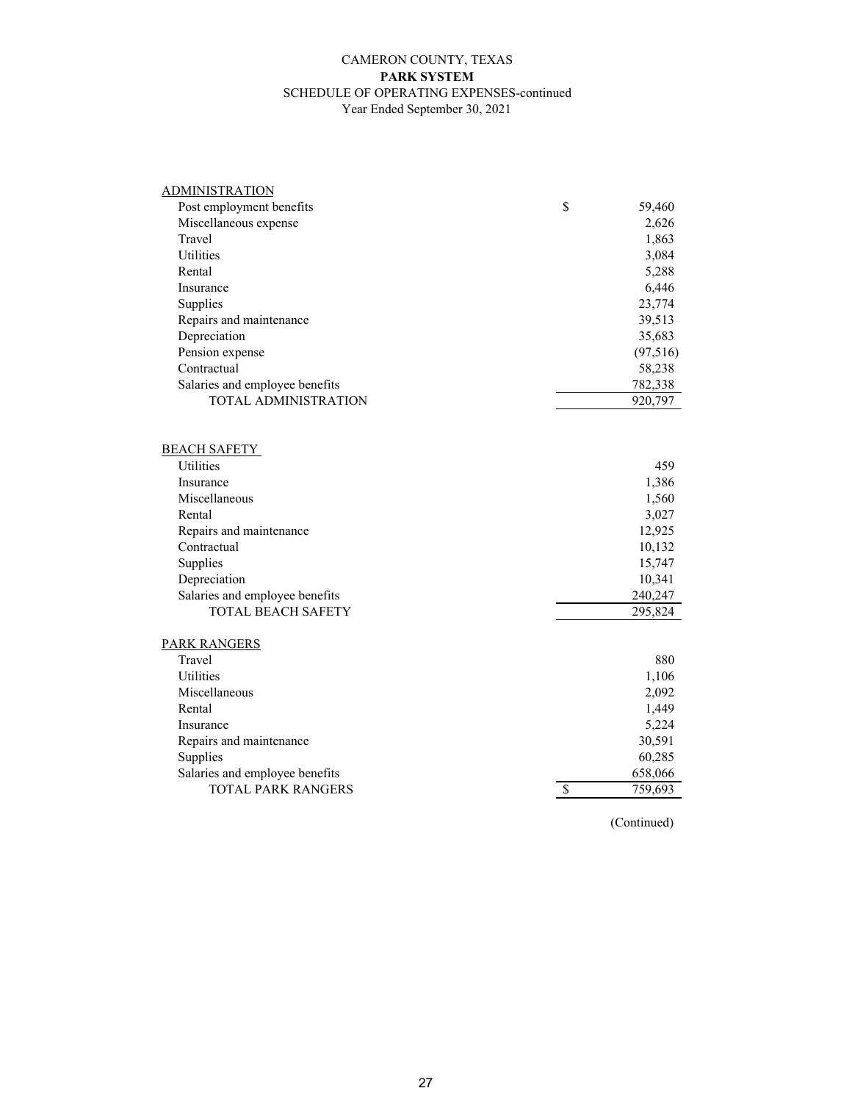### CAMERON COUNTY, TEXAS **PARK SYSTEM** SCHEDULE OF OPERATING EXPENSES-continued Year Ended September 30, 2021

| <b>ADMINISTRATION</b>          |               |
|--------------------------------|---------------|
| Post employment benefits       | \$<br>59,460  |
| Miscellaneous expense          | 2,626         |
| Travel                         | 1,863         |
| Utilities                      | 3,084         |
| Rental                         | 5,288         |
| Insurance                      | 6,446         |
| Supplies                       | 23,774        |
| Repairs and maintenance        | 39,513        |
| Depreciation                   | 35,683        |
| Pension expense                | (97, 516)     |
| Contractual                    | 58,238        |
| Salaries and employee benefits | 782,338       |
| <b>TOTAL ADMINISTRATION</b>    | 920,797       |
| <b>BEACH SAFETY</b>            |               |
| Utilities                      | 459           |
| Insurance                      | 1,386         |
| Miscellaneous                  | 1,560         |
| Rental                         | 3,027         |
| Repairs and maintenance        | 12,925        |
| Contractual                    | 10,132        |
| Supplies                       | 15,747        |
| Depreciation                   | 10,341        |
| Salaries and employee benefits | 240,247       |
| <b>TOTAL BEACH SAFETY</b>      | 295,824       |
| <b>PARK RANGERS</b>            |               |
| Travel                         | 880           |
| Utilities                      | 1,106         |
| Miscellaneous                  | 2,092         |
| Rental                         | 1,449         |
| Insurance                      | 5,224         |
| Repairs and maintenance        | 30,591        |
| Supplies                       | 60,285        |
| Salaries and employee benefits | 658,066       |
| <b>TOTAL PARK RANGERS</b>      | \$<br>759,693 |
|                                |               |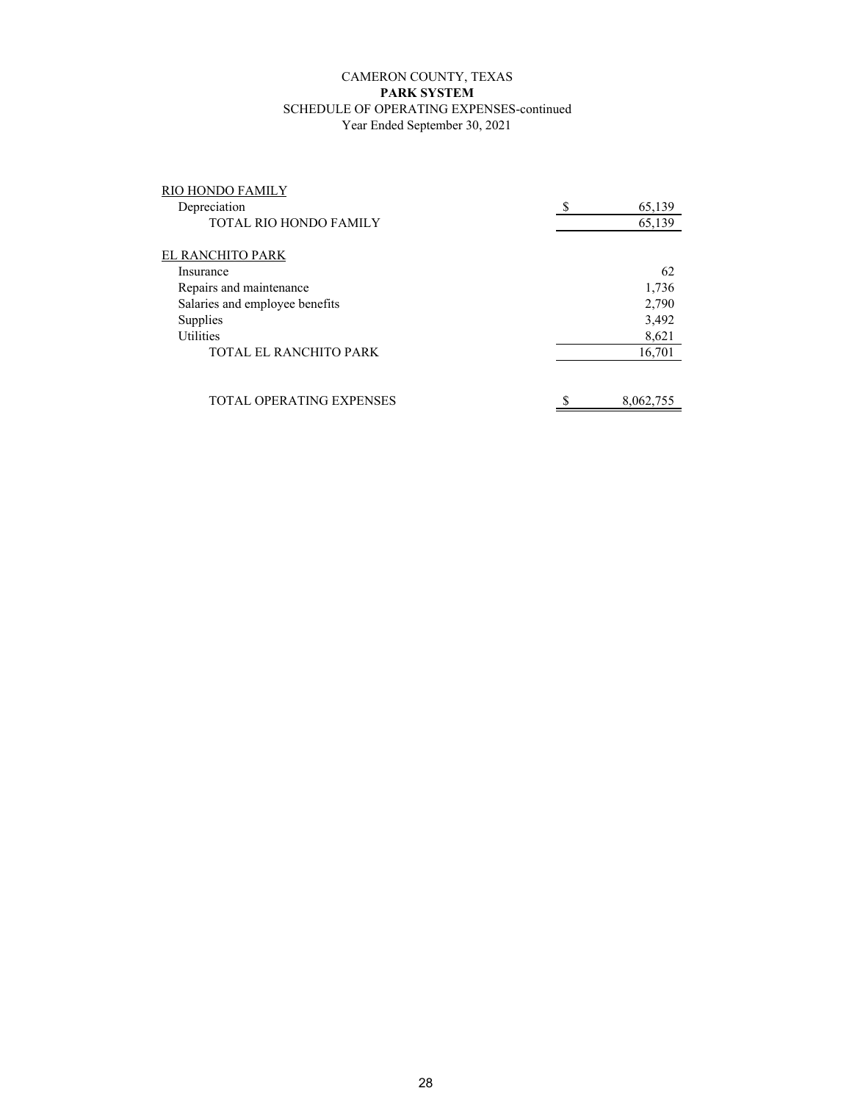### CAMERON COUNTY, TEXAS **PARK SYSTEM** SCHEDULE OF OPERATING EXPENSES-continued Year Ended September 30, 2021

| <b>RIO HONDO FAMILY</b>         |   |           |
|---------------------------------|---|-----------|
| Depreciation                    |   | 65,139    |
| <b>TOTAL RIO HONDO FAMILY</b>   |   | 65,139    |
| EL RANCHITO PARK                |   |           |
| Insurance                       |   | 62        |
| Repairs and maintenance         |   | 1,736     |
| Salaries and employee benefits  |   | 2,790     |
| Supplies                        |   | 3,492     |
| <b>Utilities</b>                |   | 8,621     |
| TOTAL EL RANCHITO PARK          |   | 16,701    |
| <b>TOTAL OPERATING EXPENSES</b> | S | 8,062,755 |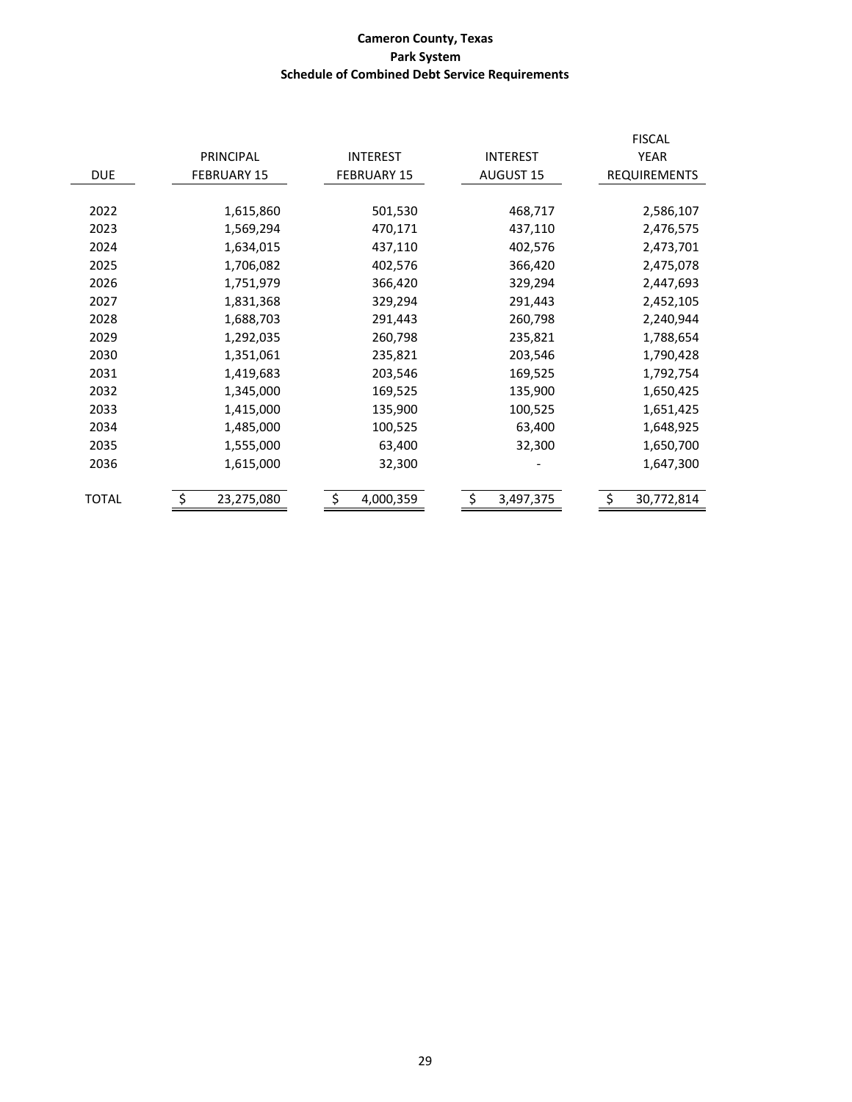# **Cameron County, Texas Park System Schedule of Combined Debt Service Requirements**

| <b>DUE</b>   | <b>PRINCIPAL</b><br><b>FEBRUARY 15</b> | <b>INTEREST</b><br><b>FEBRUARY 15</b> | <b>INTEREST</b><br><b>AUGUST 15</b> | <b>FISCAL</b><br><b>YEAR</b><br><b>REQUIREMENTS</b> |
|--------------|----------------------------------------|---------------------------------------|-------------------------------------|-----------------------------------------------------|
|              |                                        |                                       |                                     |                                                     |
| 2022         | 1,615,860                              | 501,530                               | 468,717                             | 2,586,107                                           |
| 2023         | 1,569,294                              | 470,171                               | 437,110                             | 2,476,575                                           |
| 2024         | 1,634,015                              | 437,110                               | 402,576                             | 2,473,701                                           |
| 2025         | 1,706,082                              | 402,576                               | 366,420                             | 2,475,078                                           |
| 2026         | 1,751,979                              | 366,420                               | 329,294                             | 2,447,693                                           |
| 2027         | 1,831,368                              | 329,294                               | 291,443                             | 2,452,105                                           |
| 2028         | 1,688,703                              | 291,443                               | 260,798                             | 2,240,944                                           |
| 2029         | 1,292,035                              | 260,798                               | 235,821                             | 1,788,654                                           |
| 2030         | 1,351,061                              | 235,821                               | 203,546                             | 1,790,428                                           |
| 2031         | 1,419,683                              | 203,546                               | 169,525                             | 1,792,754                                           |
| 2032         | 1,345,000                              | 169,525                               | 135,900                             | 1,650,425                                           |
| 2033         | 1,415,000                              | 135,900                               | 100,525                             | 1,651,425                                           |
| 2034         | 1,485,000                              | 100,525                               | 63,400                              | 1,648,925                                           |
| 2035         | 1,555,000                              | 63,400                                | 32,300                              | 1,650,700                                           |
| 2036         | 1,615,000                              | 32,300                                |                                     | 1,647,300                                           |
| <b>TOTAL</b> | 23,275,080                             | 4,000,359                             | 3,497,375                           | 30,772,814                                          |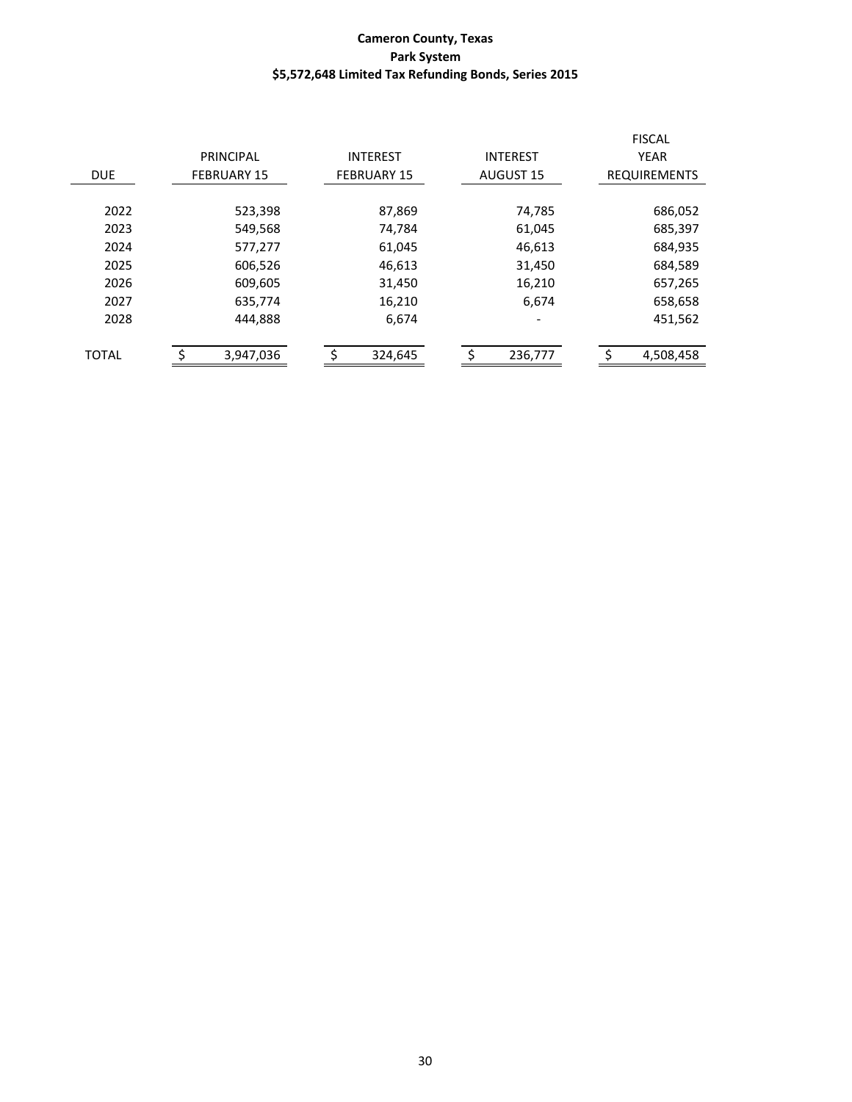# **Cameron County, Texas Park System \$5,572,648 Limited Tax Refunding Bonds, Series 2015**

| <b>DUE</b>   | <b>PRINCIPAL</b><br><b>FEBRUARY 15</b> | <b>INTEREST</b><br><b>FEBRUARY 15</b> | <b>INTEREST</b><br><b>AUGUST 15</b> | <b>FISCAL</b><br><b>YEAR</b><br><b>REQUIREMENTS</b> |
|--------------|----------------------------------------|---------------------------------------|-------------------------------------|-----------------------------------------------------|
| 2022         | 523,398                                | 87,869                                | 74,785                              | 686,052                                             |
| 2023         | 549,568                                | 74,784                                | 61,045                              | 685,397                                             |
| 2024         | 577,277                                | 61,045                                | 46,613                              | 684,935                                             |
| 2025         | 606,526                                | 46,613                                | 31,450                              | 684,589                                             |
| 2026         | 609,605                                | 31,450                                | 16,210                              | 657,265                                             |
| 2027         | 635,774                                | 16,210                                | 6,674                               | 658,658                                             |
| 2028         | 444.888                                | 6,674                                 |                                     | 451,562                                             |
|              |                                        |                                       |                                     |                                                     |
| <b>TOTAL</b> | 3,947,036                              | 324,645                               | 236,777                             | 4,508,458                                           |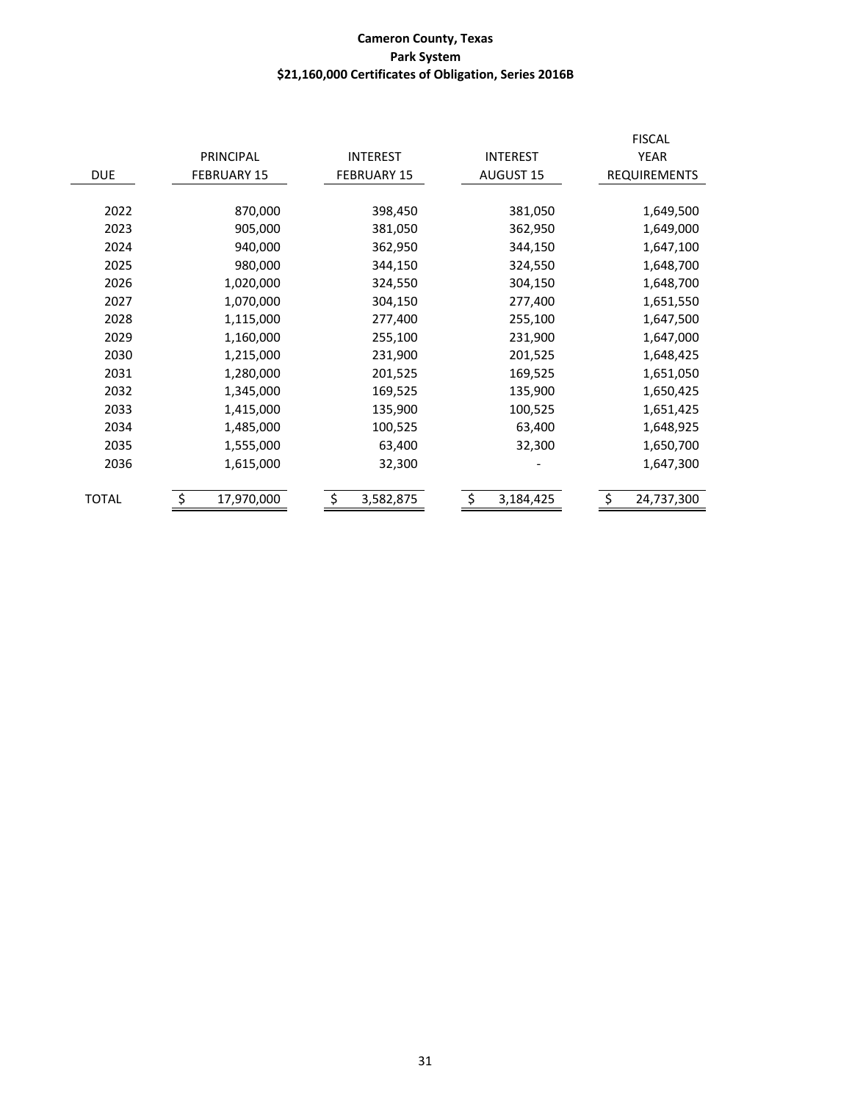# **Cameron County, Texas Park System \$21,160,000 Certificates of Obligation, Series 2016B**

|              | <b>PRINCIPAL</b>   | <b>INTEREST</b>    | <b>INTEREST</b>  | <b>FISCAL</b><br><b>YEAR</b> |
|--------------|--------------------|--------------------|------------------|------------------------------|
| <b>DUE</b>   | <b>FEBRUARY 15</b> | <b>FEBRUARY 15</b> | <b>AUGUST 15</b> | <b>REQUIREMENTS</b>          |
|              |                    |                    |                  |                              |
| 2022         | 870,000            | 398,450            | 381,050          | 1,649,500                    |
| 2023         | 905,000            | 381,050            | 362,950          | 1,649,000                    |
| 2024         | 940,000            | 362,950            | 344,150          | 1,647,100                    |
| 2025         | 980,000            | 344,150            | 324,550          | 1,648,700                    |
| 2026         | 1,020,000          | 324,550            | 304,150          | 1,648,700                    |
| 2027         | 1,070,000          | 304,150            | 277,400          | 1,651,550                    |
| 2028         | 1,115,000          | 277,400            | 255,100          | 1,647,500                    |
| 2029         | 1,160,000          | 255,100            | 231,900          | 1,647,000                    |
| 2030         | 1,215,000          | 231,900            | 201,525          | 1,648,425                    |
| 2031         | 1,280,000          | 201,525            | 169,525          | 1,651,050                    |
| 2032         | 1,345,000          | 169,525            | 135,900          | 1,650,425                    |
| 2033         | 1,415,000          | 135,900            | 100,525          | 1,651,425                    |
| 2034         | 1,485,000          | 100,525            | 63,400           | 1,648,925                    |
| 2035         | 1,555,000          | 63,400             | 32,300           | 1,650,700                    |
| 2036         | 1,615,000          | 32,300             |                  | 1,647,300                    |
|              |                    |                    |                  |                              |
| <b>TOTAL</b> | 17,970,000         | 3,582,875          | 3,184,425        | 24,737,300                   |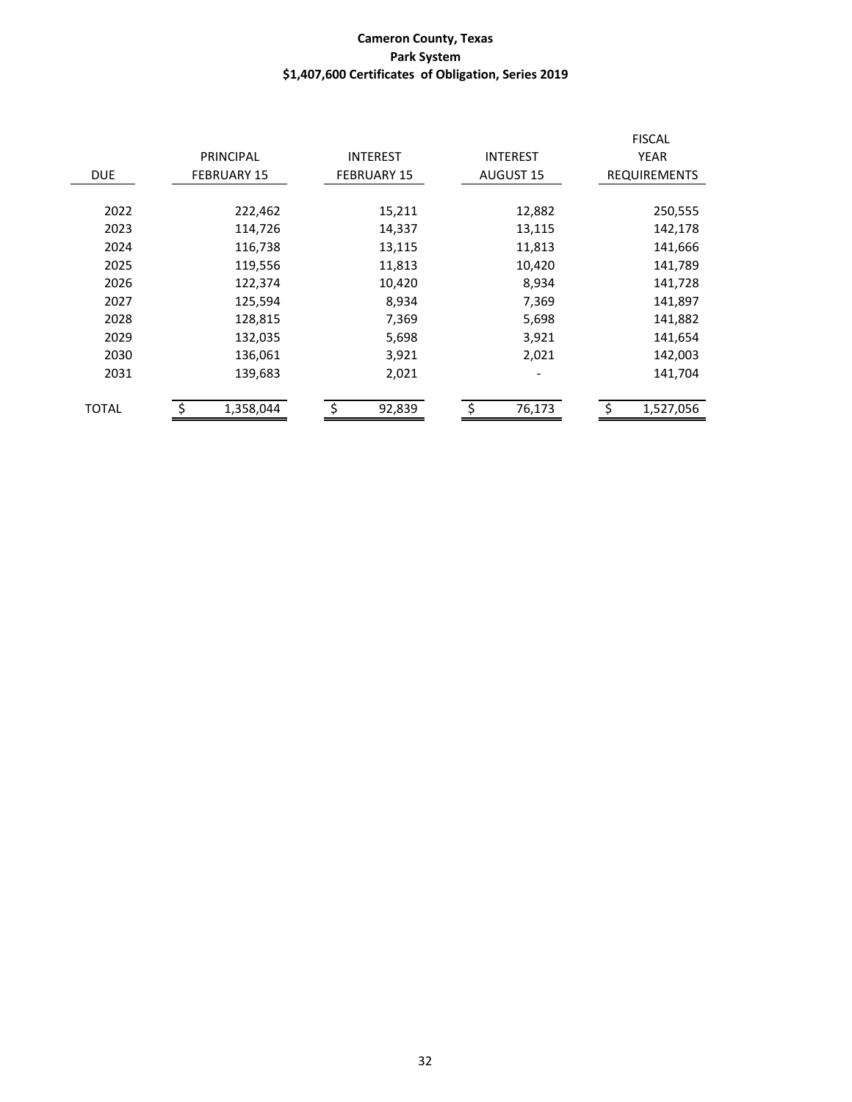# **Cameron County, Texas Park System \$1,407,600 Certificates of Obligation, Series 2019**

|              |                    |                    |                  | <b>FISCAL</b>       |
|--------------|--------------------|--------------------|------------------|---------------------|
|              | <b>PRINCIPAL</b>   | <b>INTEREST</b>    | <b>INTEREST</b>  | <b>YEAR</b>         |
| DUE.         | <b>FEBRUARY 15</b> | <b>FEBRUARY 15</b> | <b>AUGUST 15</b> | <b>REQUIREMENTS</b> |
|              |                    |                    |                  |                     |
| 2022         | 222,462            | 15,211             | 12,882           | 250,555             |
| 2023         | 114,726            | 14,337             | 13,115           | 142,178             |
| 2024         | 116,738            | 13,115             | 11,813           | 141,666             |
| 2025         | 119,556            | 11,813             | 10,420           | 141,789             |
| 2026         | 122,374            | 10,420             | 8,934            | 141,728             |
| 2027         | 125,594            | 8,934              | 7,369            | 141,897             |
| 2028         | 128,815            | 7,369              | 5,698            | 141,882             |
| 2029         | 132,035            | 5,698              | 3,921            | 141,654             |
| 2030         | 136,061            | 3,921              | 2,021            |                     |
| 2031         | 139,683            | 2,021              |                  | 141,704             |
|              |                    |                    |                  |                     |
| <b>TOTAL</b> | 1,358,044          | 92,839             | 76,173           | 1,527,056           |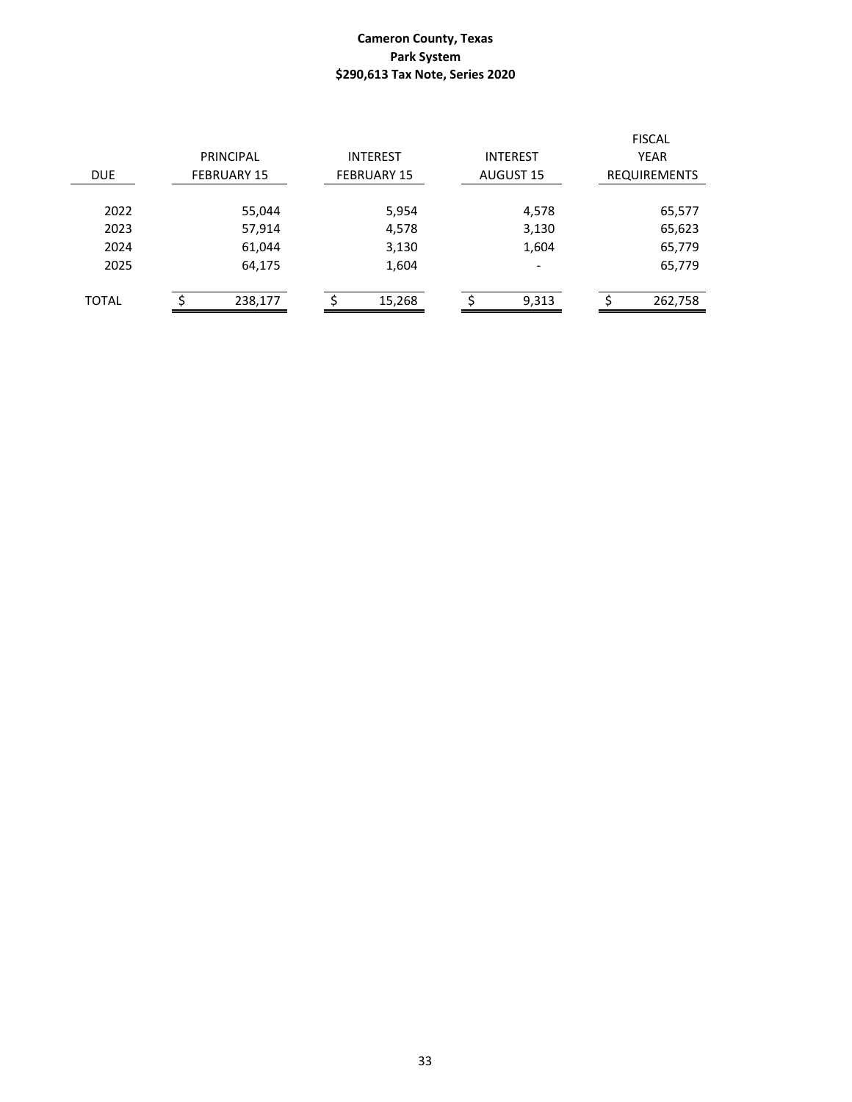# **Cameron County, Texas Park System \$290,613 Tax Note, Series 2020**

| <b>DUE</b>   | <b>PRINCIPAL</b><br><b>FEBRUARY 15</b> | <b>INTEREST</b><br><b>FEBRUARY 15</b> | <b>INTEREST</b><br>AUGUST 15 |  | <b>FISCAL</b><br><b>YEAR</b><br><b>REQUIREMENTS</b> |
|--------------|----------------------------------------|---------------------------------------|------------------------------|--|-----------------------------------------------------|
|              |                                        |                                       |                              |  |                                                     |
| 2022         | 55,044                                 | 5,954                                 | 4,578                        |  | 65,577                                              |
| 2023         | 57,914                                 | 4,578                                 | 3,130                        |  | 65,623                                              |
| 2024         | 61,044                                 | 3,130                                 | 1,604                        |  | 65,779                                              |
| 2025         | 64,175                                 | 1,604                                 | -                            |  | 65,779                                              |
|              |                                        |                                       |                              |  |                                                     |
| <b>TOTAL</b> | 238,177                                | 15,268                                | 9,313                        |  | 262,758                                             |
|              |                                        |                                       |                              |  |                                                     |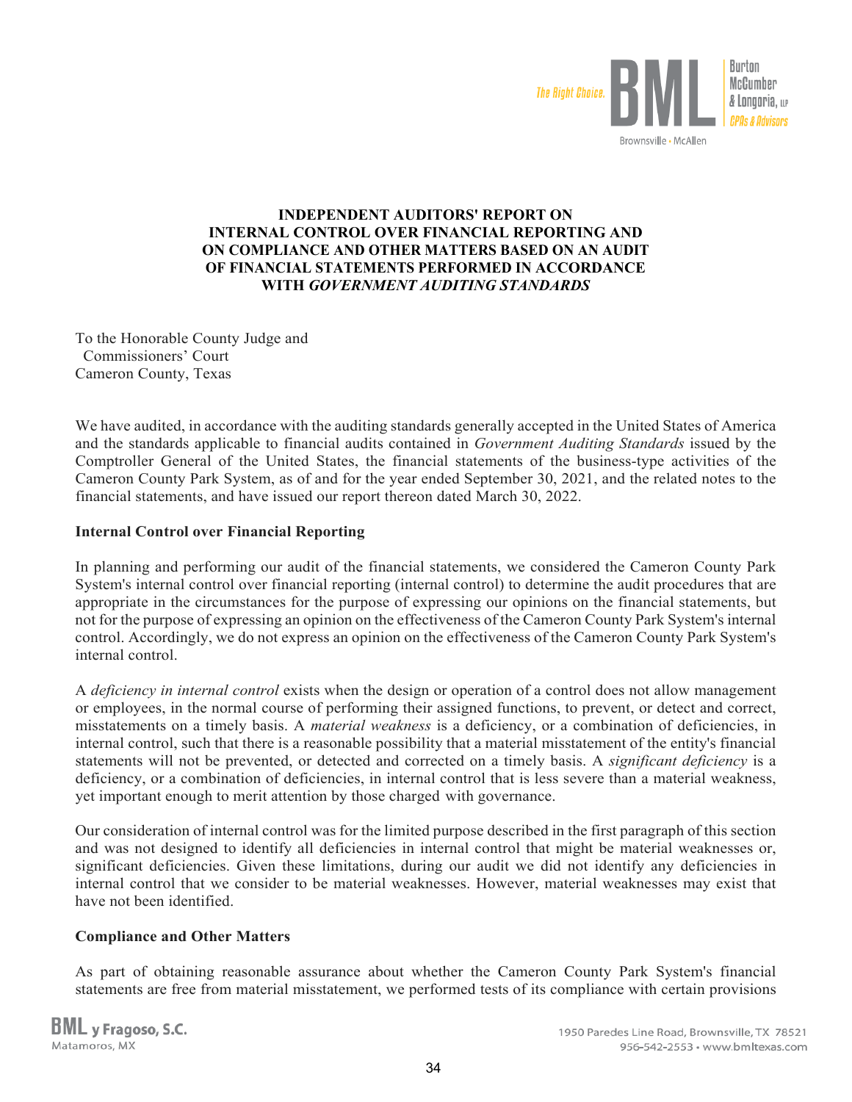

### **INDEPENDENT AUDITORS' REPORT ON INTERNAL CONTROL OVER FINANCIAL REPORTING AND ON COMPLIANCE AND OTHER MATTERS BASED ON AN AUDIT OF FINANCIAL STATEMENTS PERFORMED IN ACCORDANCE WITH** *GOVERNMENT AUDITING STANDARDS*

To the Honorable County Judge and Commissioners' Court Cameron County, Texas

We have audited, in accordance with the auditing standards generally accepted in the United States of America and the standards applicable to financial audits contained in *Government Auditing Standards* issued by the Comptroller General of the United States, the financial statements of the business-type activities of the Cameron County Park System, as of and for the year ended September 30, 2021, and the related notes to the financial statements, and have issued our report thereon dated March 30, 2022.

# **Internal Control over Financial Reporting**

In planning and performing our audit of the financial statements, we considered the Cameron County Park System's internal control over financial reporting (internal control) to determine the audit procedures that are appropriate in the circumstances for the purpose of expressing our opinions on the financial statements, but not for the purpose of expressing an opinion on the effectiveness of the Cameron County Park System's internal control. Accordingly, we do not express an opinion on the effectiveness of the Cameron County Park System's internal control.

A *deficiency in internal control* exists when the design or operation of a control does not allow management or employees, in the normal course of performing their assigned functions, to prevent, or detect and correct, misstatements on a timely basis. A *material weakness* is a deficiency, or a combination of deficiencies, in internal control, such that there is a reasonable possibility that a material misstatement of the entity's financial statements will not be prevented, or detected and corrected on a timely basis. A *significant deficiency* is a deficiency, or a combination of deficiencies, in internal control that is less severe than a material weakness, yet important enough to merit attention by those charged with governance.

Our consideration of internal control was for the limited purpose described in the first paragraph of this section and was not designed to identify all deficiencies in internal control that might be material weaknesses or, significant deficiencies. Given these limitations, during our audit we did not identify any deficiencies in internal control that we consider to be material weaknesses. However, material weaknesses may exist that have not been identified.

# **Compliance and Other Matters**

As part of obtaining reasonable assurance about whether the Cameron County Park System's financial statements are free from material misstatement, we performed tests of its compliance with certain provisions

**BML** y Fragoso, S.C. Matamoros, MX